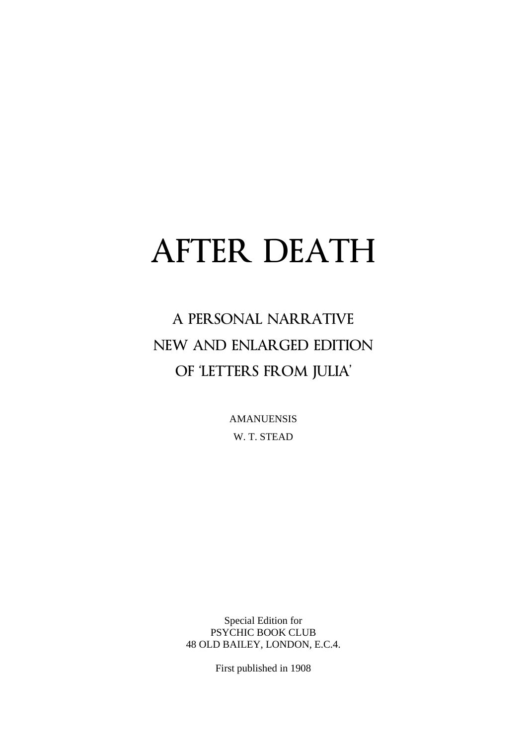# AFTER DEATH

## A PERSONAL NARRATIVE NEW AND ENLARGED EDITION OF 'LETTERS FROM JULIA'

AMANUENSIS W. T. STEAD

Special Edition for PSYCHIC BOOK CLUB 48 OLD BAILEY, LONDON, E.C.4.

First published in 1908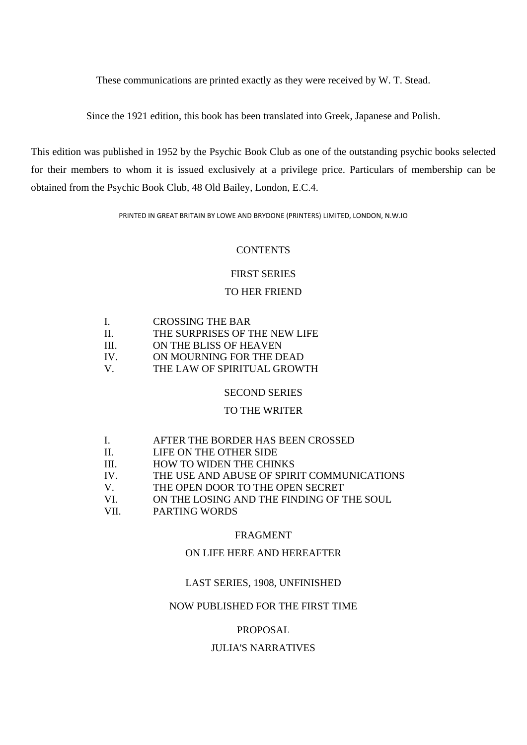These communications are printed exactly as they were received by W. T. Stead.

Since the 1921 edition, this book has been translated into Greek, Japanese and Polish.

This edition was published in 1952 by the Psychic Book Club as one of the outstanding psychic books selected for their members to whom it is issued exclusively at a privilege price. Particulars of membership can be obtained from the Psychic Book Club, 48 Old Bailey, London, E.C.4.

PRINTED IN GREAT BRITAIN BY LOWE AND BRYDONE (PRINTERS) LIMITED, LONDON, N.W.IO

#### **CONTENTS**

#### FIRST SERIES

#### TO HER FRIEND

| Ι.  | <b>CROSSING THE BAR</b>       |
|-----|-------------------------------|
| Н.  | THE SURPRISES OF THE NEW LIFE |
| Ш   | ON THE BLISS OF HEAVEN        |
| TV. | ON MOURNING FOR THE DEAD      |
| V   | THE LAW OF SPIRITUAL GROWTH   |

#### SECOND SERIES

#### TO THE WRITER

| I.       | AFTER THE BORDER HAS BEEN CROSSED          |
|----------|--------------------------------------------|
| П.       | LIFE ON THE OTHER SIDE                     |
| III.     | <b>HOW TO WIDEN THE CHINKS</b>             |
| $IV_{-}$ | THE USE AND ABUSE OF SPIRIT COMMUNICATIONS |
| V.       | THE OPEN DOOR TO THE OPEN SECRET           |
| VI.      | ON THE LOSING AND THE FINDING OF THE SOUL  |
| VII.     | PARTING WORDS                              |

#### FRAGMENT

#### ON LIFE HERE AND HEREAFTER

#### LAST SERIES, 1908, UNFINISHED

#### NOW PUBLISHED FOR THE FIRST TIME

#### PROPOSAL

#### JULIA'S NARRATIVES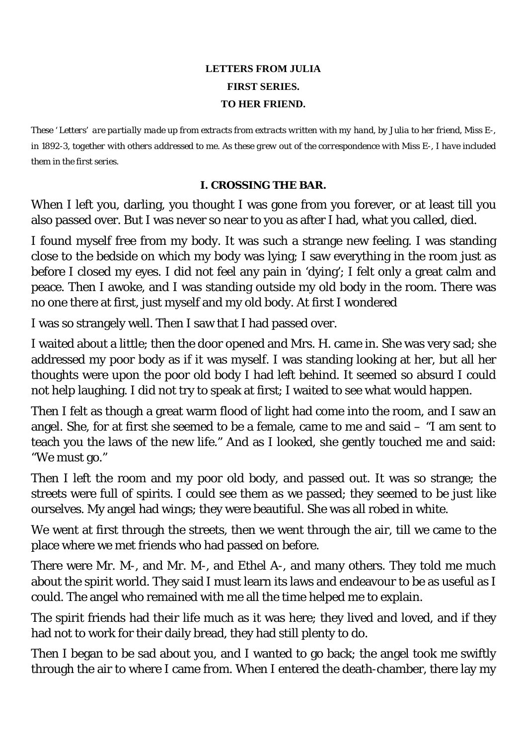## **LETTERS FROM JULIA FIRST SERIES. TO HER FRIEND.**

*These ' Letters' are partially made up from extracts from extracts written with my hand, by Julia to her friend, Miss E-, in 1892-3, together with others addressed to me. As these grew out of the correspondence with Miss E-, I have included them in the first series.* 

#### **I. CROSSING THE BAR.**

When I left you, darling, you thought I was gone from you forever, or at least till you also passed over. But I was never so near to you as after I had, what you called, died.

I found myself free from my body. It was such a strange new feeling. I was standing close to the bedside on which my body was lying; I saw everything in the room just as before I closed my eyes. I did not feel any pain in 'dying'; I felt only a great calm and peace. Then I awoke, and I was standing outside my old body in the room. There was no one there at first, just myself and my old body. At first I wondered

I was so strangely well. Then I saw that I had passed over.

I waited about a little; then the door opened and Mrs. H. came in. She was very sad; she addressed my poor body as if it was myself. I was standing looking at her, but all her thoughts were upon the poor old body I had left behind. It seemed so absurd I could not help laughing. I did not try to speak at first; I waited to see what would happen.

Then I felt as though a great warm flood of light had come into the room, and I saw an angel. She, for at first she seemed to be a female, came to me and said – "I am sent to teach you the laws of the new life." And as I looked, she gently touched me and said: "We must go."

Then I left the room and my poor old body, and passed out. It was so strange; the streets were full of spirits. I could see them as we passed; they seemed to be just like ourselves. My angel had wings; they were beautiful. She was all robed in white.

We went at first through the streets, then we went through the air, till we came to the place where we met friends who had passed on before.

There were Mr. M-, and Mr. M-, and Ethel A-, and many others. They told me much about the spirit world. They said I must learn its laws and endeavour to be as useful as I could. The angel who remained with me all the time helped me to explain.

The spirit friends had their life much as it was here; they lived and loved, and if they had not to work for their daily bread, they had still plenty to do.

Then I began to be sad about you, and I wanted to go back; the angel took me swiftly through the air to where I came from. When I entered the death-chamber, there lay my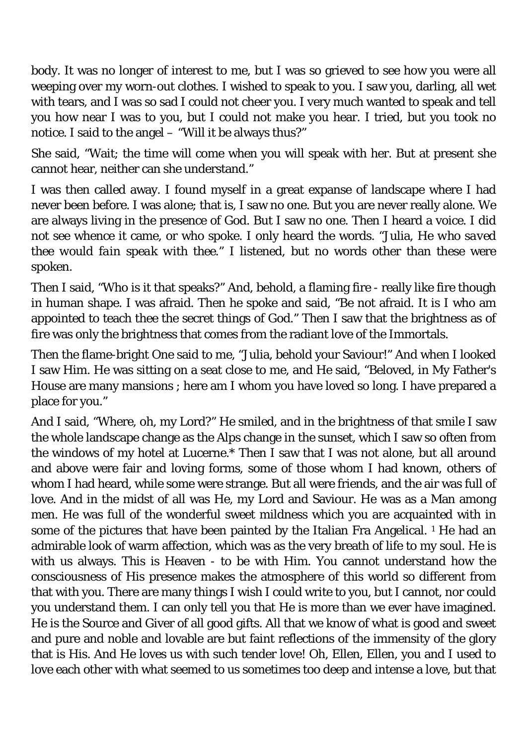body. It was no longer of interest to me, but I was so grieved to see how you were all weeping over my worn-out clothes. I wished to speak to you. I saw you, darling, all wet with tears, and I was so sad I could not cheer you. I very much wanted to speak and tell you how near I was to you, but I could not make you hear. I tried, but you took no notice. I said to the angel – "Will it be always thus?"

She said, "Wait; the time will come when you will speak with her. But at present she cannot hear, neither can she understand."

I was then called away. I found myself in a great expanse of landscape where I had never been before. I was alone; that is, I saw no one. But you are never really alone. We are always living in the presence of God. But I saw no one. Then I heard a voice. I did not see whence it came, or who spoke. I only heard the words. "Julia, *He who saved thee would fain speak with thee.*" I listened, but no words other than these were spoken.

Then I said, "Who is it that speaks?" And, behold, a flaming fire - really like fire though in human shape. I was afraid. Then he spoke and said, "Be not afraid. It is I who am appointed to teach thee the secret things of God." Then I saw that the brightness as of fire was only the brightness that comes from the radiant love of the Immortals.

Then the flame-bright One said to me, "Julia, behold your Saviour!" And when I looked I saw Him. He was sitting on a seat close to me, and He said, "Beloved, in My Father's House are many mansions ; here am I whom you have loved so long. I have prepared a place for you."

And I said, "Where, oh, my Lord?" He smiled, and in the brightness of that smile I saw the whole landscape change as the Alps change in the sunset, which I saw so often from the windows of my hotel at Lucerne.\* Then I saw that I was not alone, but all around and above were fair and loving forms, some of those whom I had known, others of whom I had heard, while some were strange. But all were friends, and the air was full of love. And in the midst of all was He, my Lord and Saviour. He was as a Man among men. He was full of the wonderful sweet mildness which you are acquainted with in some of the pictures that have been painted by the Italian Fra Angelical.<sup>1</sup> He had an admirable look of warm affection, which was as the very breath of life to my soul. He is with us always. This is Heaven - to be with Him. You cannot understand how the consciousness of His presence makes the atmosphere of this world so different from that with you. There are many things I wish I could write to you, but I cannot, nor could you understand them. I can only tell you that He is more than we ever have imagined. He is the Source and Giver of all good gifts. All that we know of what is good and sweet and pure and noble and lovable are but faint reflections of the immensity of the glory that is His. And He loves us with such tender love! Oh, Ellen, Ellen, you and I used to love each other with what seemed to us sometimes too deep and intense a love, but that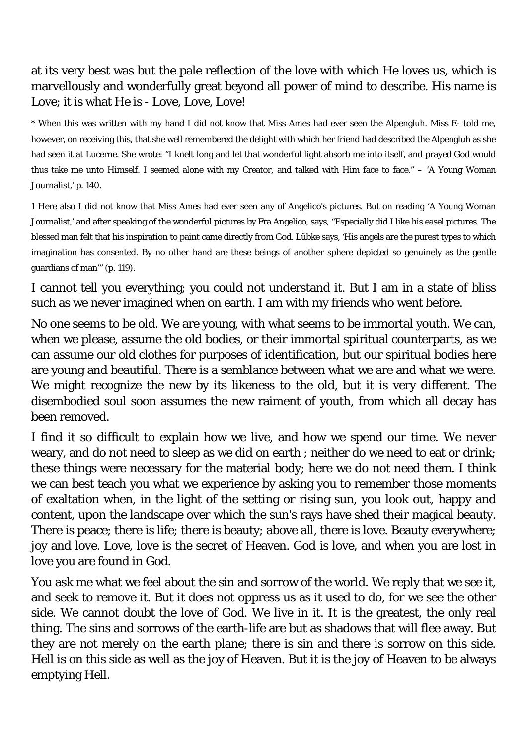## at its very best was but the pale reflection of the love with which He loves us, which is marvellously and wonderfully great beyond all power of mind to describe. His name is Love; it is what He is - Love, Love, Love!

\* When this was written with my hand I did not know that Miss Ames had ever seen the Alpengluh. Miss E- told me, however, on receiving this, that she well remembered the delight with which her friend had described the Alpengluh as she had seen it at Lucerne. She wrote: "I knelt long and let that wonderful light absorb me into itself, and prayed God would thus take me unto Himself. I seemed alone with my Creator, and talked with Him face to face." – 'A Young Woman Journalist,' p. 140.

1 Here also I did not know that Miss Ames had ever seen any of Angelico's pictures. But on reading 'A Young Woman Journalist,' and after speaking of the wonderful pictures by Fra Angelico, says, "Especially did I like his easel pictures. The blessed man felt that his inspiration to paint came directly from God. Lübke says, 'His angels are the purest types to which imagination has consented. By no other hand are these beings of another sphere depicted so genuinely as the gentle guardians of man'" (p. 119).

I cannot tell you everything; you could not understand it. But I am in a state of bliss such as we never imagined when on earth. I am with my friends who went before.

No one seems to be old. We are young, with what seems to be immortal youth. We can, when we please, assume the old bodies, or their immortal spiritual counterparts, as we can assume our old clothes for purposes of identification, but our spiritual bodies here are young and beautiful. There is a semblance between what we are and what we were. We might recognize the new by its likeness to the old, but it is very different. The disembodied soul soon assumes the new raiment of youth, from which all decay has been removed.

I find it so difficult to explain how we live, and how we spend our time. We never weary, and do not need to sleep as we did on earth ; neither do we need to eat or drink; these things were necessary for the material body; here we do not need them. I think we can best teach you what we experience by asking you to remember those moments of exaltation when, in the light of the setting or rising sun, you look out, happy and content, upon the landscape over which the sun's rays have shed their magical beauty. There is peace; there is life; there is beauty; above all, there is love. Beauty everywhere; joy and love. Love, love is the secret of Heaven. God is love, and when you are lost in love you are found in God.

You ask me what we feel about the sin and sorrow of the world. We reply that we see it, and seek to remove it. But it does not oppress us as it used to do, for we see the other side. We cannot doubt the love of God. We live in it. It is the greatest, the only real thing. The sins and sorrows of the earth-life are but as shadows that will flee away. But they are not merely on the earth plane; there is sin and there is sorrow on this side. Hell is on this side as well as the joy of Heaven. But it is the joy of Heaven to be always emptying Hell.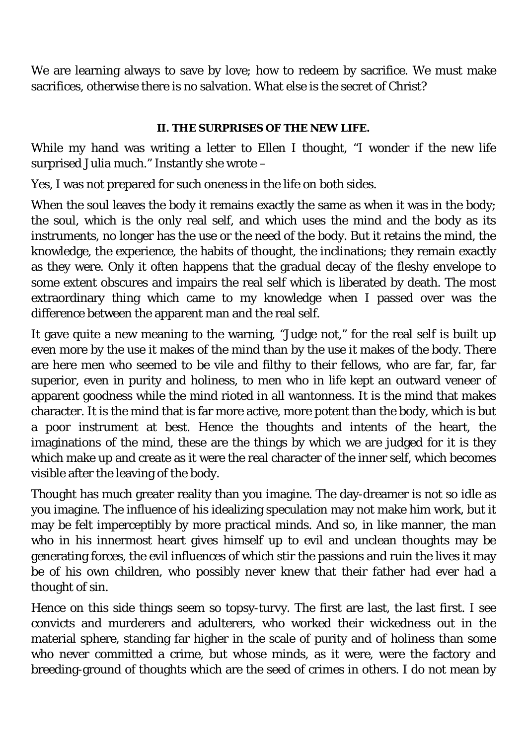We are learning always to save by love; how to redeem by sacrifice. We must make sacrifices, otherwise there is no salvation. What else is the secret of Christ?

#### **II. THE SURPRISES OF THE NEW LIFE.**

While my hand was writing a letter to Ellen I thought, "I wonder if the new life surprised Julia much." Instantly she wrote –

Yes, I was not prepared for such oneness in the life on both sides.

When the soul leaves the body it remains exactly the same as when it was in the body; the soul, which is the only real self, and which uses the mind and the body as its instruments, no longer has the use or the need of the body. But it retains the mind, the knowledge, the experience, the habits of thought, the inclinations; they remain exactly as they were. Only it often happens that the gradual decay of the fleshy envelope to some extent obscures and impairs the real self which is liberated by death. The most extraordinary thing which came to my knowledge when I passed over was the difference between the apparent man and the real self.

It gave quite a new meaning to the warning, "Judge not," for the real self is built up even more by the use it makes of the mind than by the use it makes of the body. There are here men who seemed to be vile and filthy to their fellows, who are far, far, far superior, even in purity and holiness, to men who in life kept an outward veneer of apparent goodness while the mind rioted in all wantonness. It is the mind that makes character. It is the mind that is far more active, more potent than the body, which is but a poor instrument at best. Hence the thoughts and intents of the heart, the imaginations of the mind, these are the things by which we are judged for it is they which make up and create as it were the real character of the inner self, which becomes visible after the leaving of the body.

Thought has much greater reality than you imagine. The day-dreamer is not so idle as you imagine. The influence of his idealizing speculation may not make him work, but it may be felt imperceptibly by more practical minds. And so, in like manner, the man who in his innermost heart gives himself up to evil and unclean thoughts may be generating forces, the evil influences of which stir the passions and ruin the lives it may be of his own children, who possibly never knew that their father had ever had a thought of sin.

Hence on this side things seem so topsy-turvy. The first are last, the last first. I see convicts and murderers and adulterers, who worked their wickedness out in the material sphere, standing far higher in the scale of purity and of holiness than some who never committed a crime, but whose minds, as it were, were the factory and breeding-ground of thoughts which are the seed of crimes in others. I do not mean by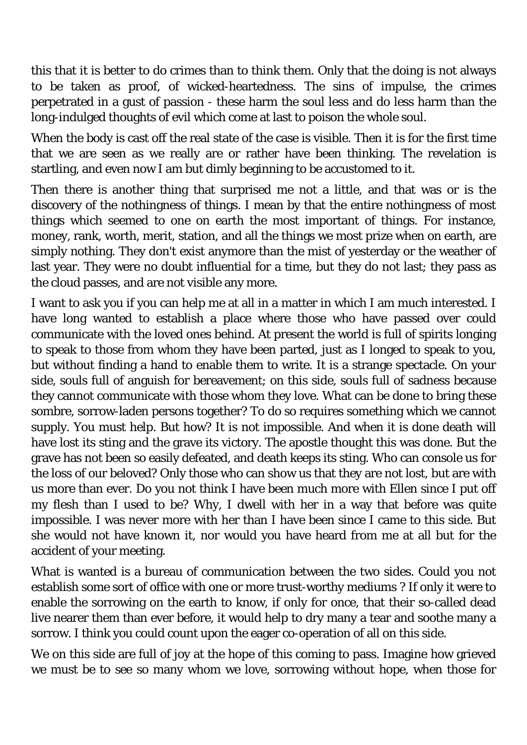this that it is better to do crimes than to think them. Only that the doing is not always to be taken as proof, of wicked-heartedness. The sins of impulse, the crimes perpetrated in a gust of passion - these harm the soul less and do less harm than the long-indulged thoughts of evil which come at last to poison the whole soul.

When the body is cast off the real state of the case is visible. Then it is for the first time that we are seen as we really are or rather have been thinking. The revelation is startling, and even now I am but dimly beginning to be accustomed to it.

Then there is another thing that surprised me not a little, and that was or is the discovery of the nothingness of things. I mean by that the entire nothingness of most things which seemed to one on earth the most important of things. For instance, money, rank, worth, merit, station, and all the things we most prize when on earth, are simply nothing. They don't exist anymore than the mist of yesterday or the weather of last year. They were no doubt influential for a time, but they do not last; they pass as the cloud passes, and are not visible any more.

I want to ask you if you can help me at all in a matter in which I am much interested. I have long wanted to establish a place where those who have passed over could communicate with the loved ones behind. At present the world is full of spirits longing to speak to those from whom they have been parted, just as I longed to speak to you, but without finding a hand to enable them to write. It is a strange spectacle. On your side, souls full of anguish for bereavement; on this side, souls full of sadness because they cannot communicate with those whom they love. What can be done to bring these sombre, sorrow-laden persons together? To do so requires something which we cannot supply. You must help. But how? It is not impossible. And when it is done death will have lost its sting and the grave its victory. The apostle thought this was done. But the grave has not been so easily defeated, and death keeps its sting. Who can console us for the loss of our beloved? Only those who can show us that they are not lost, but are with us more than ever. Do you not think I have been much more with Ellen since I put off my flesh than I used to be? Why, I dwell with her in a way that before was quite impossible. I was never more with her than I have been since I came to this side. But she would not have known it, nor would you have heard from me at all but for the accident of your meeting.

What is wanted is a bureau of communication between the two sides. Could you not establish some sort of office with one or more trust-worthy mediums ? If only it were to enable the sorrowing on the earth to know, if only for once, that their so-called dead live nearer them than ever before, it would help to dry many a tear and soothe many a sorrow. I think you could count upon the eager co-operation of all on this side.

We on this side are full of joy at the hope of this coming to pass. Imagine how grieved we must be to see so many whom we love, sorrowing without hope, when those for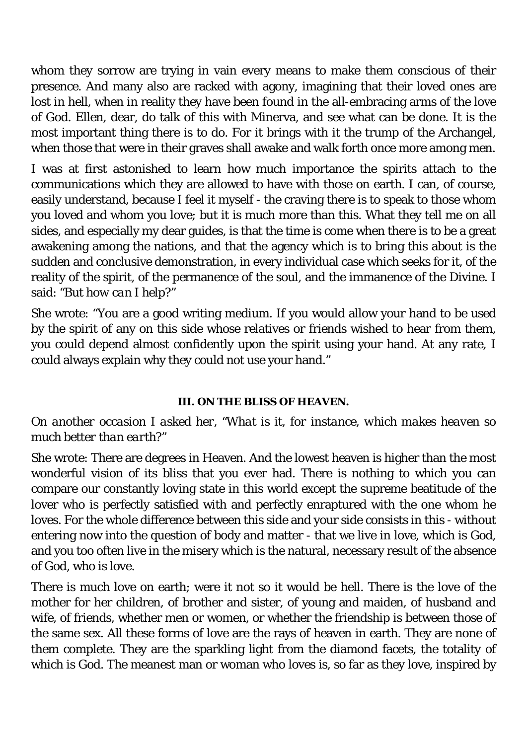whom they sorrow are trying in vain every means to make them conscious of their presence. And many also are racked with agony, imagining that their loved ones are lost in hell, when in reality they have been found in the all-embracing arms of the love of God. Ellen, dear, do talk of this with Minerva, and see what can be done. It is the most important thing there is to do. For it brings with it the trump of the Archangel, when those that were in their graves shall awake and walk forth once more among men.

I was at first astonished to learn how much importance the spirits attach to the communications which they are allowed to have with those on earth. I can, of course, easily understand, because I feel it myself - the craving there is to speak to those whom you loved and whom you love; but it is much more than this. What they tell me on all sides, and especially my dear guides, is that the time is come when there is to be a great awakening among the nations, and that the agency which is to bring this about is the sudden and conclusive demonstration, in every individual case which seeks for it, of the reality of the spirit, of the permanence of the soul, and the immanence of the Divine. I said: *"But how can I help?"*

She wrote: "You are a good writing medium. If you would allow your hand to be used by the spirit of any on this side whose relatives or friends wished to hear from them, you could depend almost confidently upon the spirit using your hand. At any rate, I could always explain why they could not use your hand."

#### **III. ON THE BLISS OF HEAVEN.**

#### *On another occasion I asked her, "What is it, for instance, which makes heaven so much better than earth?"*

She wrote: There are degrees in Heaven. And the lowest heaven is higher than the most wonderful vision of its bliss that you ever had. There is nothing to which you can compare our constantly loving state in this world except the supreme beatitude of the lover who is perfectly satisfied with and perfectly enraptured with the one whom he loves. For the whole difference between this side and your side consists in this - without entering now into the question of body and matter - that we live in love, which is God, and you too often live in the misery which is the natural, necessary result of the absence of God, who is love.

There is much love on earth; were it not so it would be hell. There is the love of the mother for her children, of brother and sister, of young and maiden, of husband and wife, of friends, whether men or women, or whether the friendship is between those of the same sex. All these forms of love are the rays of heaven in earth. They are none of them complete. They are the sparkling light from the diamond facets, the totality of which is God. The meanest man or woman who loves is, so far as they love, inspired by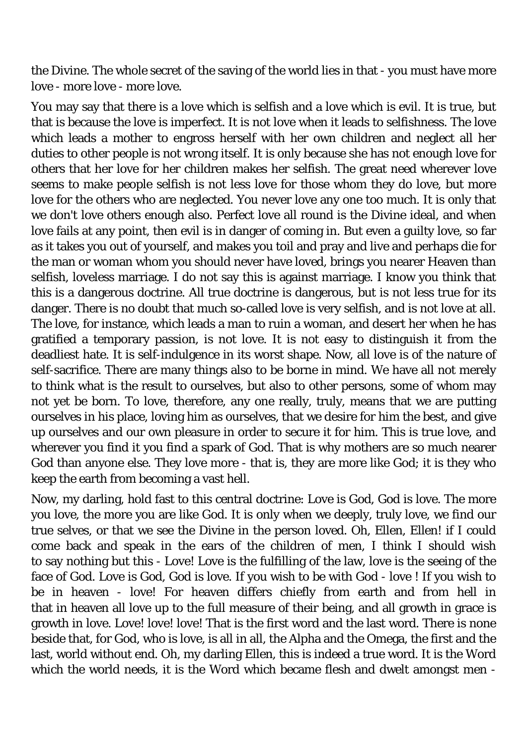the Divine. The whole secret of the saving of the world lies in that - you must have more love - more love - more love.

You may say that there is a love which is selfish and a love which is evil. It is true, but that is because the love is imperfect. It is not love when it leads to selfishness. The love which leads a mother to engross herself with her own children and neglect all her duties to other people is not wrong itself. It is only because she has not enough love for others that her love for her children makes her selfish. The great need wherever love seems to make people selfish is not less love for those whom they do love, but more love for the others who are neglected. You never love any one too much. It is only that we don't love others enough also. Perfect love all round is the Divine ideal, and when love fails at any point, then evil is in danger of coming in. But even a guilty love, so far as it takes you out of yourself, and makes you toil and pray and live and perhaps die for the man or woman whom you should never have loved, brings you nearer Heaven than selfish, loveless marriage. I do not say this is against marriage. I know you think that this is a dangerous doctrine. All true doctrine is dangerous, but is not less true for its danger. There is no doubt that much so-called love is very selfish, and is not love at all. The love, for instance, which leads a man to ruin a woman, and desert her when he has gratified a temporary passion, is not love. It is not easy to distinguish it from the deadliest hate. It is self-indulgence in its worst shape. Now, all love is of the nature of self-sacrifice. There are many things also to be borne in mind. We have all not merely to think what is the result to ourselves, but also to other persons, some of whom may not yet be born. To love, therefore, any one really, truly, means that we are putting ourselves in his place, loving him as ourselves, that we desire for him the best, and give up ourselves and our own pleasure in order to secure it for him. This is true love, and wherever you find it you find a spark of God. That is why mothers are so much nearer God than anyone else. They love more - that is, they are more like God; it is they who keep the earth from becoming a vast hell.

Now, my darling, hold fast to this central doctrine: Love is God, God is love. The more you love, the more you are like God. It is only when we deeply, truly love, we find our true selves, or that we see the Divine in the person loved. Oh, Ellen, Ellen! if I could come back and speak in the ears of the children of men, I think I should wish to say nothing but this - Love! Love is the fulfilling of the law, love is the seeing of the face of God. Love is God, God is love. If you wish to be with God - love ! If you wish to be in heaven - love! For heaven differs chiefly from earth and from hell in that in heaven all love up to the full measure of their being, and all growth in grace is growth in love. Love! love! love! That is the first word and the last word. There is none beside that, for God, who is love, is all in all, the Alpha and the Omega, the first and the last, world without end. Oh, my darling Ellen, this is indeed a true word. It is the Word which the world needs, it is the Word which became flesh and dwelt amongst men -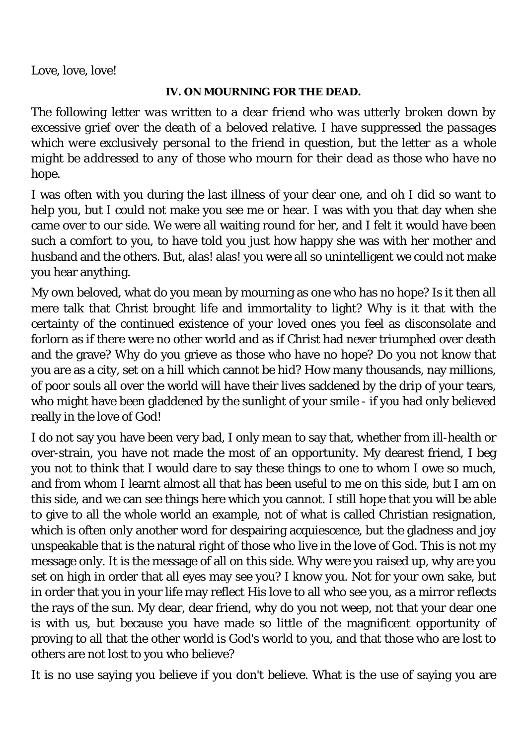Love, love, love!

#### **IV. ON MOURNING FOR THE DEAD.**

*The following letter was written to a dear friend who was utterly broken down by excessive grief over the death of a beloved relative. I have suppressed the passages which were exclusively personal to the friend in question, but the letter as a whole might be addressed to any of those who mourn for their dead as those who have no hope.* 

I was often with you during the last illness of your dear one, and oh I did so want to help you, but I could not make you see me or hear. I was with you that day when she came over to our side. We were all waiting round for her, and I felt it would have been such a comfort to you, to have told you just how happy she was with her mother and husband and the others. But, alas! alas! you were all so unintelligent we could not make you hear anything.

My own beloved, what do you mean by mourning as one who has no hope? Is it then all mere talk that Christ brought life and immortality to light? Why is it that with the certainty of the continued existence of your loved ones you feel as disconsolate and forlorn as if there were no other world and as if Christ had never triumphed over death and the grave? Why do you grieve as those who have no hope? Do you not know that you are as a city, set on a hill which cannot be hid? How many thousands, nay millions, of poor souls all over the world will have their lives saddened by the drip of your tears, who might have been gladdened by the sunlight of your smile - if you had only believed really in the love of God!

I do not say you have been very bad, I only mean to say that, whether from ill-health or over-strain, you have not made the most of an opportunity. My dearest friend, I beg you not to think that I would dare to say these things to one to whom I owe so much, and from whom I learnt almost all that has been useful to me on this side, but I am on this side, and we can see things here which you cannot. I still hope that you will be able to give to all the whole world an example, not of what is called Christian resignation, which is often only another word for despairing acquiescence, but the gladness and joy unspeakable that is the natural right of those who live in the love of God. This is not my message only. It is the message of all on this side. Why were you raised up, why are you set on high in order that all eyes may see you? I know you. Not for your own sake, but in order that you in your life may reflect His love to all who see you, as a mirror reflects the rays of the sun. My dear, dear friend, why do you not weep, not that your dear one is with us, but because you have made so little of the magnificent opportunity of proving to all that the other world is God's world to you, and that those who are lost to others are not lost to you who believe?

It is no use saying you believe if you don't believe. What is the use of saying you are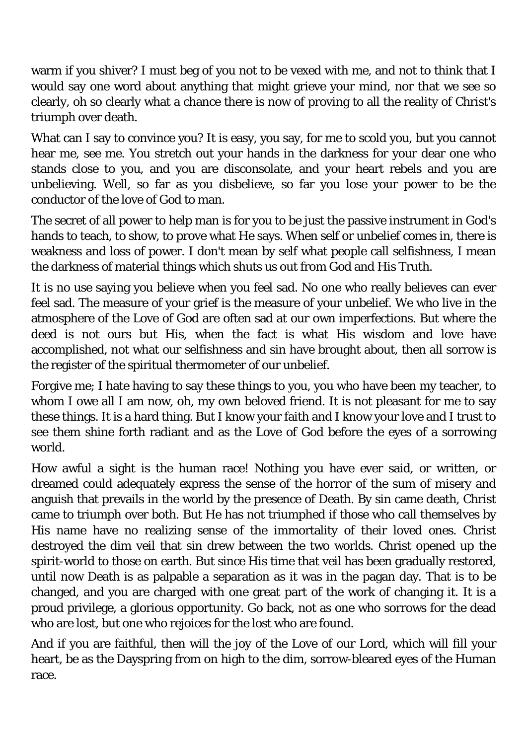warm if you shiver? I must beg of you not to be vexed with me, and not to think that I would say one word about anything that might grieve your mind, nor that we see so clearly, oh so clearly what a chance there is now of proving to all the reality of Christ's triumph over death.

What can I say to convince you? It is easy, you say, for me to scold you, but you cannot hear me, see me. You stretch out your hands in the darkness for your dear one who stands close to you, and you are disconsolate, and your heart rebels and you are unbelieving. Well, so far as you disbelieve, so far you lose your power to be the conductor of the love of God to man.

The secret of all power to help man is for you to be just the passive instrument in God's hands to teach, to show, to prove what He says. When self or unbelief comes in, there is weakness and loss of power. I don't mean by self what people call selfishness, I mean the darkness of material things which shuts us out from God and His Truth.

It is no use saying you believe when you feel sad. No one who really believes can ever feel sad. The measure of your grief is the measure of your unbelief. We who live in the atmosphere of the Love of God are often sad at our own imperfections. But where the deed is not ours but His, when the fact is what His wisdom and love have accomplished, not what our selfishness and sin have brought about, then all sorrow is the register of the spiritual thermometer of our unbelief.

Forgive me; I hate having to say these things to you, you who have been my teacher, to whom I owe all I am now, oh, my own beloved friend. It is not pleasant for me to say these things. It is a hard thing. But I know your faith and I know your love and I trust to see them shine forth radiant and as the Love of God before the eyes of a sorrowing world.

How awful a sight is the human race! Nothing you have ever said, or written, or dreamed could adequately express the sense of the horror of the sum of misery and anguish that prevails in the world by the presence of Death. By sin came death, Christ came to triumph over both. But He has not triumphed if those who call themselves by His name have no realizing sense of the immortality of their loved ones. Christ destroyed the dim veil that sin drew between the two worlds. Christ opened up the spirit-world to those on earth. But since His time that veil has been gradually restored, until now Death is as palpable a separation as it was in the pagan day. That is to be changed, and you are charged with one great part of the work of changing it. It is a proud privilege, a glorious opportunity. Go back, not as one who sorrows for the dead who are lost, but one who rejoices for the lost who are found.

And if you are faithful, then will the joy of the Love of our Lord, which will fill your heart, be as the Dayspring from on high to the dim, sorrow-bleared eyes of the Human race.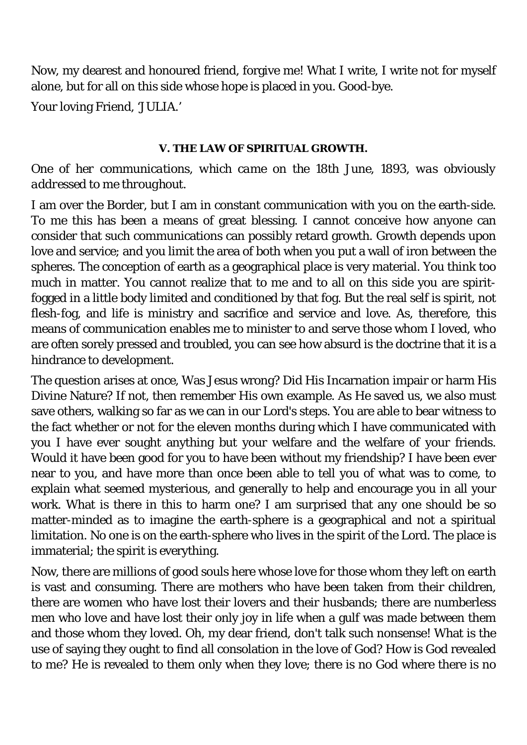Now, my dearest and honoured friend, forgive me! What I write, I write not for myself alone, but for all on this side whose hope is placed in you. Good-bye.

Your loving Friend, 'JULIA.'

#### **V. THE LAW OF SPIRITUAL GROWTH.**

## *One of her communications, which came on the 18th June, 1893, was obviously addressed to me throughout.*

I am over the Border, but I am in constant communication with you on the earth-side. To me this has been a means of great blessing. I cannot conceive how anyone can consider that such communications can possibly retard growth. Growth depends upon love and service; and you limit the area of both when you put a wall of iron between the spheres. The conception of earth as a geographical place is very material. You think too much in matter. You cannot realize that to me and to all on this side you are spiritfogged in a little body limited and conditioned by that fog. But the real self is spirit, not flesh-fog, and life is ministry and sacrifice and service and love. As, therefore, this means of communication enables me to minister to and serve those whom I loved, who are often sorely pressed and troubled, you can see how absurd is the doctrine that it is a hindrance to development.

The question arises at once, Was Jesus wrong? Did His Incarnation impair or harm His Divine Nature? If not, then remember His own example. As He saved us, we also must save others, walking so far as we can in our Lord's steps. You are able to bear witness to the fact whether or not for the eleven months during which I have communicated with you I have ever sought anything but your welfare and the welfare of your friends. Would it have been good for you to have been without my friendship? I have been ever near to you, and have more than once been able to tell you of what was to come, to explain what seemed mysterious, and generally to help and encourage you in all your work. What is there in this to harm one? I am surprised that any one should be so matter-minded as to imagine the earth-sphere is a geographical and not a spiritual limitation. No one is on the earth-sphere who lives in the spirit of the Lord. The place is immaterial; the spirit is everything.

Now, there are millions of good souls here whose love for those whom they left on earth is vast and consuming. There are mothers who have been taken from their children, there are women who have lost their lovers and their husbands; there are numberless men who love and have lost their only joy in life when a gulf was made between them and those whom they loved. Oh, my dear friend, don't talk such nonsense! What is the use of saying they ought to find all consolation in the love of God? How is God revealed to me? He is revealed to them only when they love; there is no God where there is no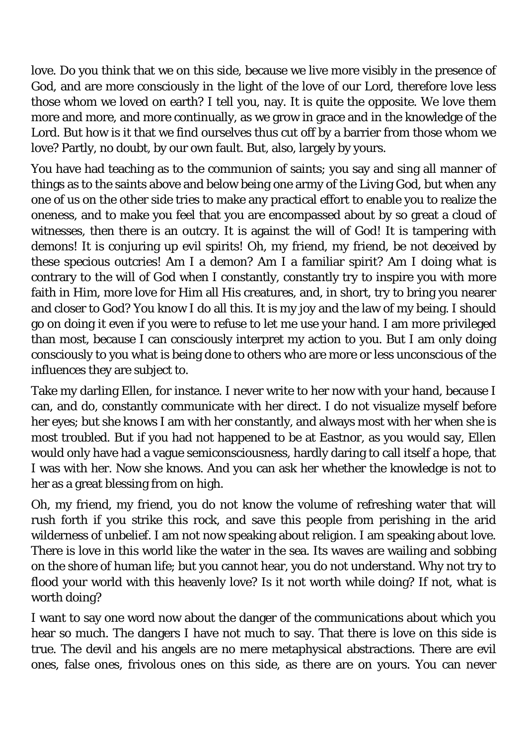love. Do you think that we on this side, because we live more visibly in the presence of God, and are more consciously in the light of the love of our Lord, therefore love less those whom we loved on earth? I tell you, nay. It is quite the opposite. We love them more and more, and more continually, as we grow in grace and in the knowledge of the Lord. But how is it that we find ourselves thus cut off by a barrier from those whom we love? Partly, no doubt, by our own fault. But, also, largely by yours.

You have had teaching as to the communion of saints; you say and sing all manner of things as to the saints above and below being one army of the Living God, but when any one of us on the other side tries to make any practical effort to enable you to realize the oneness, and to make you feel that you are encompassed about by so great a cloud of witnesses, then there is an outcry. It is against the will of God! It is tampering with demons! It is conjuring up evil spirits! Oh, my friend, my friend, be not deceived by these specious outcries! Am I a demon? Am I a familiar spirit? Am I doing what is contrary to the will of God when I constantly, constantly try to inspire you with more faith in Him, more love for Him all His creatures, and, in short, try to bring you nearer and closer to God? You know I do all this. It is my joy and the law of my being. I should go on doing it even if you were to refuse to let me use your hand. I am more privileged than most, because I can consciously interpret my action to you. But I am only doing consciously to you what is being done to others who are more or less unconscious of the influences they are subject to.

Take my darling Ellen, for instance. I never write to her now with your hand, because I can, and do, constantly communicate with her direct. I do not visualize myself before her eyes; but she knows I am with her constantly, and always most with her when she is most troubled. But if you had not happened to be at Eastnor, as you would say, Ellen would only have had a vague semiconsciousness, hardly daring to call itself a hope, that I was with her. Now she knows. And you can ask her whether the knowledge is not to her as a great blessing from on high.

Oh, my friend, my friend, you do not know the volume of refreshing water that will rush forth if you strike this rock, and save this people from perishing in the arid wilderness of unbelief. I am not now speaking about religion. I am speaking about love. There is love in this world like the water in the sea. Its waves are wailing and sobbing on the shore of human life; but you cannot hear, you do not understand. Why not try to flood your world with this heavenly love? Is it not worth while doing? If not, what is worth doing?

I want to say one word now about the danger of the communications about which you hear so much. The dangers I have not much to say. That there is love on this side is true. The devil and his angels are no mere metaphysical abstractions. There are evil ones, false ones, frivolous ones on this side, as there are on yours. You can never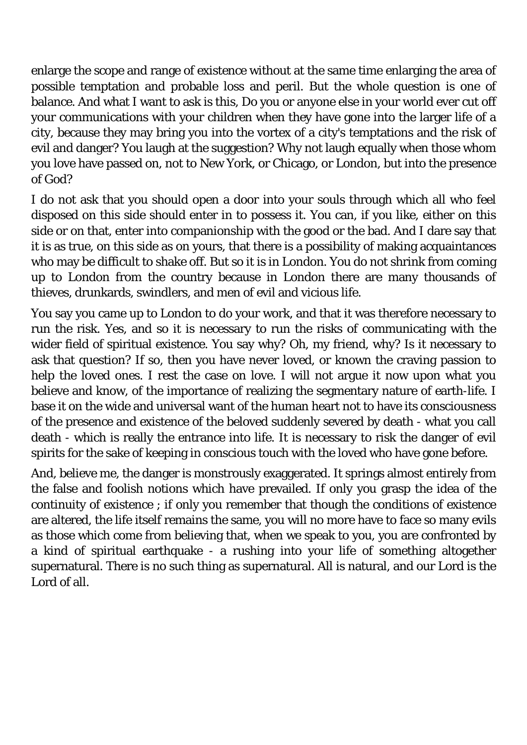enlarge the scope and range of existence without at the same time enlarging the area of possible temptation and probable loss and peril. But the whole question is one of balance. And what I want to ask is this, Do you or anyone else in your world ever cut off your communications with your children when they have gone into the larger life of a city, because they may bring you into the vortex of a city's temptations and the risk of evil and danger? You laugh at the suggestion? Why not laugh equally when those whom you love have passed on, not to New York, or Chicago, or London, but into the presence of God?

I do not ask that you should open a door into your souls through which all who feel disposed on this side should enter in to possess it. You can, if you like, either on this side or on that, enter into companionship with the good or the bad. And I dare say that it is as true, on this side as on yours, that there is a possibility of making acquaintances who may be difficult to shake off. But so it is in London. You do not shrink from coming up to London from the country because in London there are many thousands of thieves, drunkards, swindlers, and men of evil and vicious life.

You say you came up to London to do your work, and that it was therefore necessary to run the risk. Yes, and so it is necessary to run the risks of communicating with the wider field of spiritual existence. You say why? Oh, my friend, why? Is it necessary to ask that question? If so, then you have never loved, or known the craving passion to help the loved ones. I rest the case on love. I will not argue it now upon what you believe and know, of the importance of realizing the segmentary nature of earth-life. I base it on the wide and universal want of the human heart not to have its consciousness of the presence and existence of the beloved suddenly severed by death - what you call death - which is really the entrance into life. It is necessary to risk the danger of evil spirits for the sake of keeping in conscious touch with the loved who have gone before.

And, believe me, the danger is monstrously exaggerated. It springs almost entirely from the false and foolish notions which have prevailed. If only you grasp the idea of the continuity of existence ; if only you remember that though the conditions of existence are altered, the life itself remains the same, you will no more have to face so many evils as those which come from believing that, when we speak to you, you are confronted by a kind of spiritual earthquake - a rushing into your life of something altogether supernatural. There is no such thing as supernatural. All is natural, and our Lord is the Lord of all.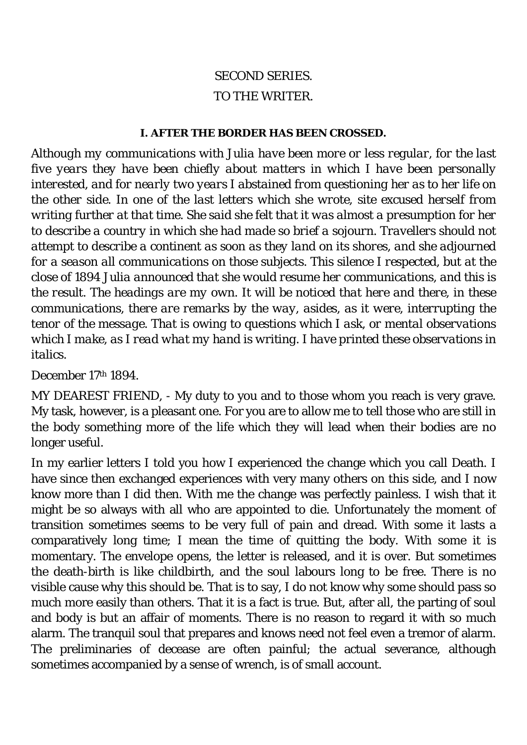## *SECOND SERIES.*  TO THE WRITER.

#### **I. AFTER THE BORDER HAS BEEN CROSSED.**

*Although my communications with Julia have been more or less regular, for the last five years they have been chiefly about matters in which I have been personally interested, and for nearly two years I abstained from questioning her as to her life on the other side. In one of the last letters which she wrote, site excused herself from writing further at that time. She said she felt that it was almost a presumption for her to describe a country in which she had made so brief a sojourn. Travellers should not attempt to describe a continent as soon as they land on its shores, and she adjourned for a season all communications on those subjects. This silence I respected, but at the close of 1894 Julia announced that she would resume her communications, and this is the result. The headings are my own. It will be noticed that here and there, in these communications, there are remarks by the way, asides, as it were, interrupting the tenor of the message. That is owing to questions which I ask, or mental observations which I make, as I read what my hand is writing. I have printed these observations in italics.* 

December 17th 1894.

MY DEAREST FRIEND, - My duty to you and to those whom you reach is very grave. My task, however, is a pleasant one. For you are to allow me to tell those who are still in the body something more of the life which they will lead when their bodies are no longer useful.

In my earlier letters I told you how I experienced the change which you call Death. I have since then exchanged experiences with very many others on this side, and I now know more than I did then. With me the change was perfectly painless. I wish that it might be so always with all who are appointed to die. Unfortunately the moment of transition sometimes seems to be very full of pain and dread. With some it lasts a comparatively long time; I mean the time of quitting the body. With some it is momentary. The envelope opens, the letter is released, and it is over. But sometimes the death-birth is like childbirth, and the soul labours long to be free. There is no visible cause why this should be. That is to say, I do not know why some should pass so much more easily than others. That it is a fact is true. But, after all, the parting of soul and body is but an affair of moments. There is no reason to regard it with so much alarm. The tranquil soul that prepares and knows need not feel even a tremor of alarm. The preliminaries of decease are often painful; the actual severance, although sometimes accompanied by a sense of wrench, is of small account.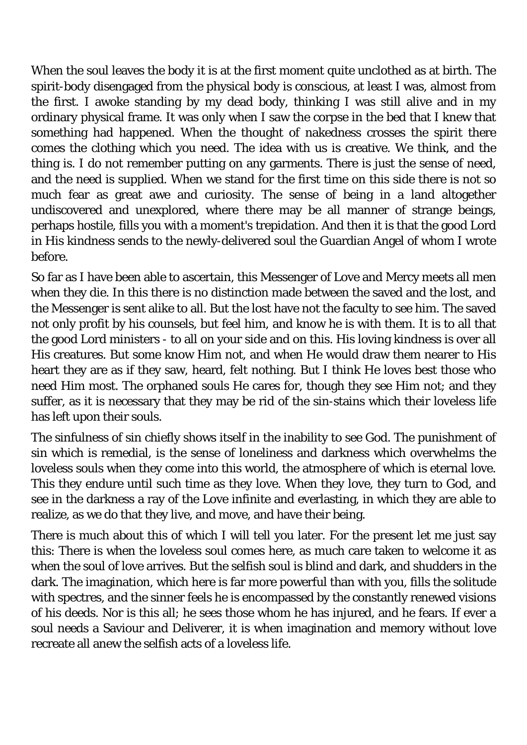When the soul leaves the body it is at the first moment quite unclothed as at birth. The spirit-body disengaged from the physical body is conscious, at least I was, almost from the first. I awoke standing by my dead body, thinking I was still alive and in my ordinary physical frame. It was only when I saw the corpse in the bed that I knew that something had happened. When the thought of nakedness crosses the spirit there comes the clothing which you need. The idea with us is creative. We think, and the thing is. I do not remember putting on any garments. There is just the sense of need, and the need is supplied. When we stand for the first time on this side there is not so much fear as great awe and curiosity. The sense of being in a land altogether undiscovered and unexplored, where there may be all manner of strange beings, perhaps hostile, fills you with a moment's trepidation. And then it is that the good Lord in His kindness sends to the newly-delivered soul the Guardian Angel of whom I wrote before.

So far as I have been able to ascertain, this Messenger of Love and Mercy meets all men when they die. In this there is no distinction made between the saved and the lost, and the Messenger is sent alike to all. But the lost have not the faculty to see him. The saved not only profit by his counsels, but feel him, and know he is with them. It is to all that the good Lord ministers - to all on your side and on this. His loving kindness is over all His creatures. But some know Him not, and when He would draw them nearer to His heart they are as if they saw, heard, felt nothing. But I think He loves best those who need Him most. The orphaned souls He cares for, though they see Him not; and they suffer, as it is necessary that they may be rid of the sin-stains which their loveless life has left upon their souls.

The sinfulness of sin chiefly shows itself in the inability to see God. The punishment of sin which is remedial, is the sense of loneliness and darkness which overwhelms the loveless souls when they come into this world, the atmosphere of which is eternal love. This they endure until such time as they love. When they love, they turn to God, and see in the darkness a ray of the Love infinite and everlasting, in which they are able to realize, as we do that they live, and move, and have their being.

There is much about this of which I will tell you later. For the present let me just say this: There is when the loveless soul comes here, as much care taken to welcome it as when the soul of love arrives. But the selfish soul is blind and dark, and shudders in the dark. The imagination, which here is far more powerful than with you, fills the solitude with spectres, and the sinner feels he is encompassed by the constantly renewed visions of his deeds. Nor is this all; he sees those whom he has injured, and he fears. If ever a soul needs a Saviour and Deliverer, it is when imagination and memory without love recreate all anew the selfish acts of a loveless life.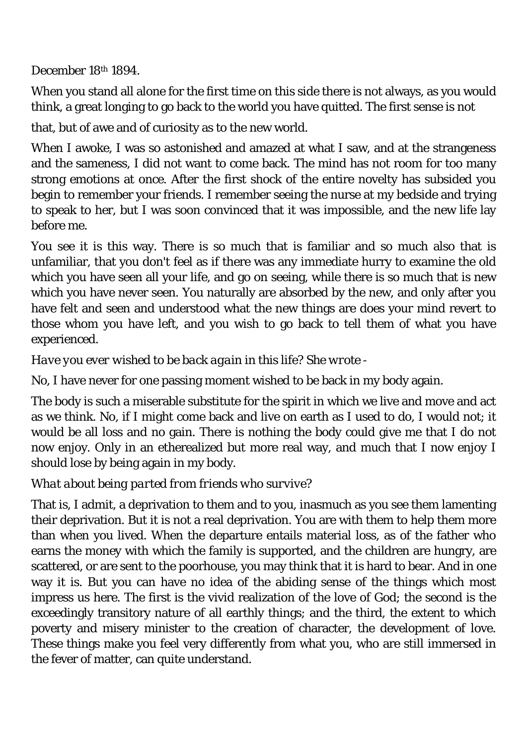December 18th 1894.

When you stand all alone for the first time on this side there is not always, as you would think, a great longing to go back to the world you have quitted. The first sense is not

that, but of awe and of curiosity as to the new world.

When I awoke, I was so astonished and amazed at what I saw, and at the strangeness and the sameness, I did not want to come back. The mind has not room for too many strong emotions at once. After the first shock of the entire novelty has subsided you begin to remember your friends. I remember seeing the nurse at my bedside and trying to speak to her, but I was soon convinced that it was impossible, and the new life lay before me.

You see it is this way. There is so much that is familiar and so much also that is unfamiliar, that you don't feel as if there was any immediate hurry to examine the old which you have seen all your life, and go on seeing, while there is so much that is new which you have never seen. You naturally are absorbed by the new, and only after you have felt and seen and understood what the new things are does your mind revert to those whom you have left, and you wish to go back to tell them of what you have experienced.

## *Have you ever wished to be back again in this life? She wrote -*

No, I have never for one passing moment wished to be back in my body again.

The body is such a miserable substitute for the spirit in which we live and move and act as we think. No, if I might come back and live on earth as I used to do, I would not; it would be all loss and no gain. There is nothing the body could give me that I do not now enjoy. Only in an etherealized but more real way, and much that I now enjoy I should lose by being again in my body.

## *What about being parted from friends who survive?*

That is, I admit, a deprivation to them and to you, inasmuch as you see them lamenting their deprivation. But it is not a real deprivation. You are with them to help them more than when you lived. When the departure entails material loss, as of the father who earns the money with which the family is supported, and the children are hungry, are scattered, or are sent to the poorhouse, you may think that it is hard to bear. And in one way it is. But you can have no idea of the abiding sense of the things which most impress us here. The first is the vivid realization of the love of God; the second is the exceedingly transitory nature of all earthly things; and the third, the extent to which poverty and misery minister to the creation of character, the development of love. These things make you feel very differently from what you, who are still immersed in the fever of matter, can quite understand.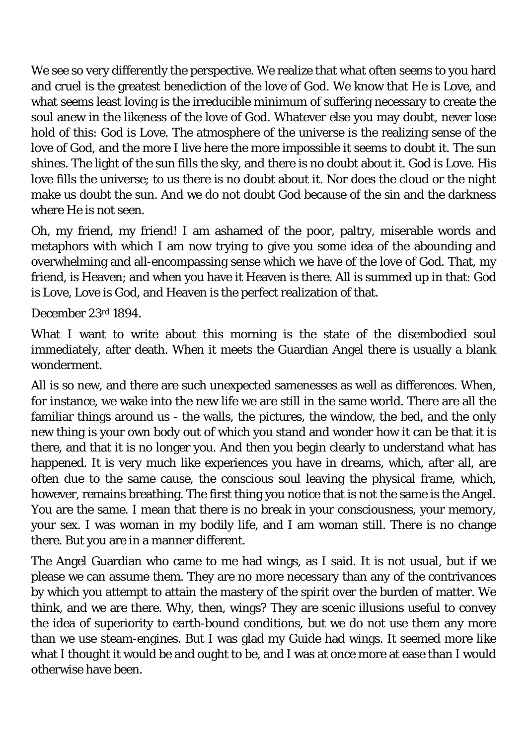We see so very differently the perspective. We realize that what often seems to you hard and cruel is the greatest benediction of the love of God. We know that He is Love, and what seems least loving is the irreducible minimum of suffering necessary to create the soul anew in the likeness of the love of God. Whatever else you may doubt, never lose hold of this: God is Love. The atmosphere of the universe is the realizing sense of the love of God, and the more I live here the more impossible it seems to doubt it. The sun shines. The light of the sun fills the sky, and there is no doubt about it. God is Love. His love fills the universe; to us there is no doubt about it. Nor does the cloud or the night make us doubt the sun. And we do not doubt God because of the sin and the darkness where He is not seen.

Oh, my friend, my friend! I am ashamed of the poor, paltry, miserable words and metaphors with which I am now trying to give you some idea of the abounding and overwhelming and all-encompassing sense which we have of the love of God. That, my friend, is Heaven; and when you have it Heaven is there. All is summed up in that: God is Love, Love is God, and Heaven is the perfect realization of that.

December 23rd 1894.

What I want to write about this morning is the state of the disembodied soul immediately, after death. When it meets the Guardian Angel there is usually a blank wonderment.

All is so new, and there are such unexpected samenesses as well as differences. When, for instance, we wake into the new life we are still in the same world. There are all the familiar things around us - the walls, the pictures, the window, the bed, and the only new thing is your own body out of which you stand and wonder how it can be that it is there, and that it is no longer you. And then you begin clearly to understand what has happened. It is very much like experiences you have in dreams, which, after all, are often due to the same cause, the conscious soul leaving the physical frame, which, however, remains breathing. The first thing you notice that is not the same is the Angel. You are the same. I mean that there is no break in your consciousness, your memory, your sex. I was woman in my bodily life, and I am woman still. There is no change there. But you are in a manner different.

The Angel Guardian who came to me had wings, as I said. It is not usual, but if we please we can assume them. They are no more necessary than any of the contrivances by which you attempt to attain the mastery of the spirit over the burden of matter. We think, and we are there. Why, then, wings? They are scenic illusions useful to convey the idea of superiority to earth-bound conditions, but we do not use them any more than we use steam-engines. But I was glad my Guide had wings. It seemed more like what I thought it would be and ought to be, and I was at once more at ease than I would otherwise have been.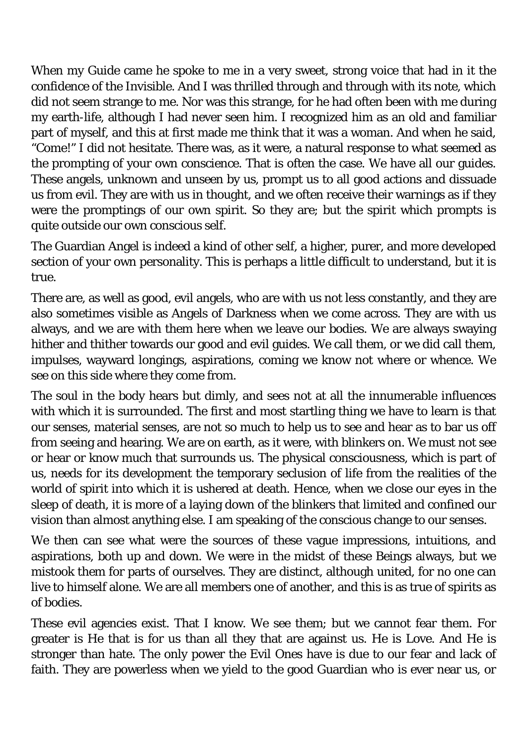When my Guide came he spoke to me in a very sweet, strong voice that had in it the confidence of the Invisible. And I was thrilled through and through with its note, which did not seem strange to me. Nor was this strange, for he had often been with me during my earth-life, although I had never seen him. I recognized him as an old and familiar part of myself, and this at first made me think that it was a woman. And when he said, "Come!" I did not hesitate. There was, as it were, a natural response to what seemed as the prompting of your own conscience. That is often the case. We have all our guides. These angels, unknown and unseen by us, prompt us to all good actions and dissuade us from evil. They are with us in thought, and we often receive their warnings as if they were the promptings of our own spirit. So they are; but the spirit which prompts is quite outside our own conscious self.

The Guardian Angel is indeed a kind of other self, a higher, purer, and more developed section of your own personality. This is perhaps a little difficult to understand, but it is true.

There are, as well as good, evil angels, who are with us not less constantly, and they are also sometimes visible as Angels of Darkness when we come across. They are with us always, and we are with them here when we leave our bodies. We are always swaying hither and thither towards our good and evil guides. We call them, or we did call them, impulses, wayward longings, aspirations, coming we know not where or whence. We see on this side where they come from.

The soul in the body hears but dimly, and sees not at all the innumerable influences with which it is surrounded. The first and most startling thing we have to learn is that our senses, material senses, are not so much to help us to see and hear as to bar us off from seeing and hearing. We are on earth, as it were, with blinkers on. We must not see or hear or know much that surrounds us. The physical consciousness, which is part of us, needs for its development the temporary seclusion of life from the realities of the world of spirit into which it is ushered at death. Hence, when we close our eyes in the sleep of death, it is more of a laying down of the blinkers that limited and confined our vision than almost anything else. I am speaking of the conscious change to our senses.

We then can see what were the sources of these vague impressions, intuitions, and aspirations, both up and down. We were in the midst of these Beings always, but we mistook them for parts of ourselves. They are distinct, although united, for no one can live to himself alone. We are all members one of another, and this is as true of spirits as of bodies.

These evil agencies exist. That I know. We see them; but we cannot fear them. For greater is He that is for us than all they that are against us. He is Love. And He is stronger than hate. The only power the Evil Ones have is due to our fear and lack of faith. They are powerless when we yield to the good Guardian who is ever near us, or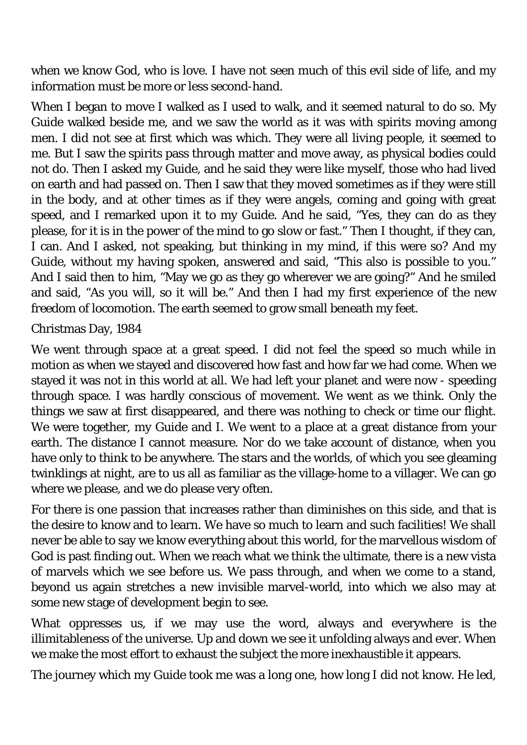when we know God, who is love. I have not seen much of this evil side of life, and my information must be more or less second-hand.

When I began to move I walked as I used to walk, and it seemed natural to do so. My Guide walked beside me, and we saw the world as it was with spirits moving among men. I did not see at first which was which. They were all living people, it seemed to me. But I saw the spirits pass through matter and move away, as physical bodies could not do. Then I asked my Guide, and he said they were like myself, those who had lived on earth and had passed on. Then I saw that they moved sometimes as if they were still in the body, and at other times as if they were angels, coming and going with great speed, and I remarked upon it to my Guide. And he said, "Yes, they can do as they please, for it is in the power of the mind to go slow or fast." Then I thought, if they can, I can. And I asked, not speaking, but thinking in my mind, if this were so? And my Guide, without my having spoken, answered and said, "This also is possible to you." And I said then to him, "May we go as they go wherever we are going?" And he smiled and said, "As you will, so it will be." And then I had my first experience of the new freedom of locomotion. The earth seemed to grow small beneath my feet.

Christmas Day, 1984

We went through space at a great speed. I did not feel the speed so much while in motion as when we stayed and discovered how fast and how far we had come. When we stayed it was not in this world at all. We had left your planet and were now - speeding through space. I was hardly conscious of movement. We went as we think. Only the things we saw at first disappeared, and there was nothing to check or time our flight. We were together, my Guide and I. We went to a place at a great distance from your earth. The distance I cannot measure. Nor do we take account of distance, when you have only to think to be anywhere. The stars and the worlds, of which you see gleaming twinklings at night, are to us all as familiar as the village-home to a villager. We can go where we please, and we do please very often.

For there is one passion that increases rather than diminishes on this side, and that is the desire to know and to learn. We have so much to learn and such facilities! We shall never be able to say we know everything about this world, for the marvellous wisdom of God is past finding out. When we reach what we think the ultimate, there is a new vista of marvels which we see before us. We pass through, and when we come to a stand, beyond us again stretches a new invisible marvel-world, into which we also may at some new stage of development begin to see.

What oppresses us, if we may use the word, always and everywhere is the illimitableness of the universe. Up and down we see it unfolding always and ever. When we make the most effort to exhaust the subject the more inexhaustible it appears.

The journey which my Guide took me was a long one, how long I did not know. He led,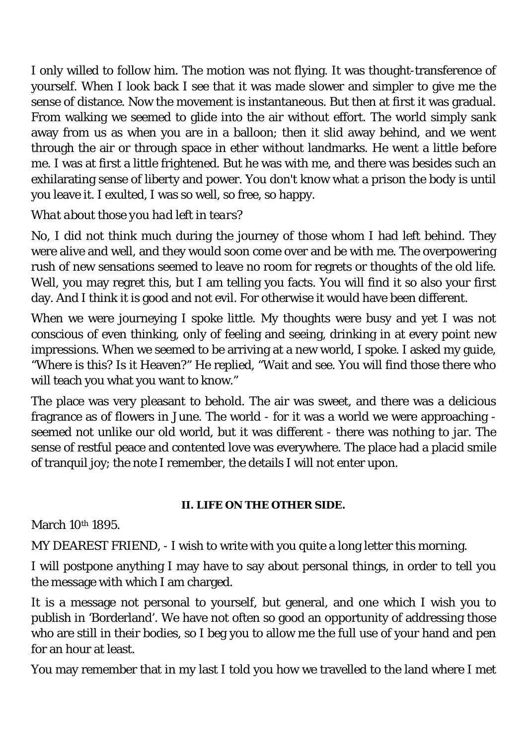I only willed to follow him. The motion was not flying. It was thought-transference of yourself. When I look back I see that it was made slower and simpler to give me the sense of distance. Now the movement is instantaneous. But then at first it was gradual. From walking we seemed to glide into the air without effort. The world simply sank away from us as when you are in a balloon; then it slid away behind, and we went through the air or through space in ether without landmarks. He went a little before me. I was at first a little frightened. But he was with me, and there was besides such an exhilarating sense of liberty and power. You don't know what a prison the body is until you leave it. I exulted, I was so well, so free, so happy.

## *What about those you had left in tears?*

No, I did not think much during the journey of those whom I had left behind. They were alive and well, and they would soon come over and be with me. The overpowering rush of new sensations seemed to leave no room for regrets or thoughts of the old life. Well, you may regret this, but I am telling you facts. You will find it so also your first day. And I think it is good and not evil. For otherwise it would have been different.

When we were journeying I spoke little. My thoughts were busy and yet I was not conscious of even thinking, only of feeling and seeing, drinking in at every point new impressions. When we seemed to be arriving at a new world, I spoke. I asked my guide, "Where is this? Is it Heaven?" He replied, "Wait and see. You will find those there who will teach you what you want to know."

The place was very pleasant to behold. The air was sweet, and there was a delicious fragrance as of flowers in June. The world - for it was a world we were approaching seemed not unlike our old world, but it was different - there was nothing to jar. The sense of restful peace and contented love was everywhere. The place had a placid smile of tranquil joy; the note I remember, the details I will not enter upon.

#### **II. LIFE ON THE OTHER SIDE.**

March 10<sup>th</sup> 1895.

MY DEAREST FRIEND, - I wish to write with you quite a long letter this morning.

I will postpone anything I may have to say about personal things, in order to tell you the message with which I am charged.

It is a message not personal to yourself, but general, and one which I wish you to publish in 'Borderland'. We have not often so good an opportunity of addressing those who are still in their bodies, so I beg you to allow me the full use of your hand and pen for an hour at least.

You may remember that in my last I told you how we travelled to the land where I met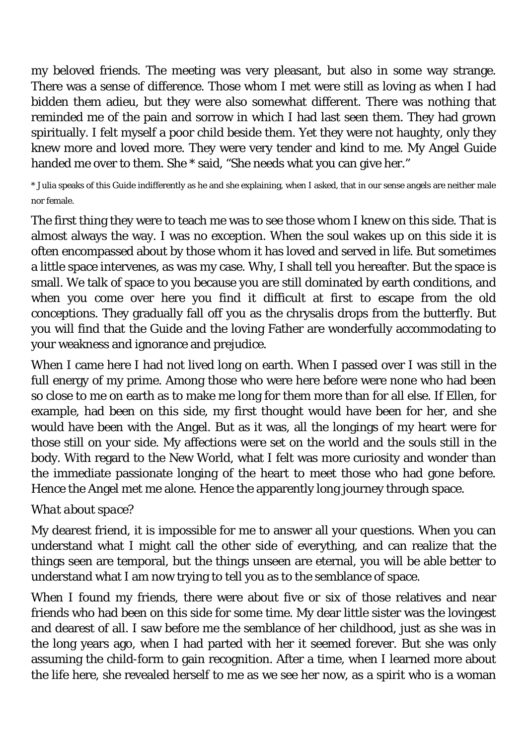my beloved friends. The meeting was very pleasant, but also in some way strange. There was a sense of difference. Those whom I met were still as loving as when I had bidden them adieu, but they were also somewhat different. There was nothing that reminded me of the pain and sorrow in which I had last seen them. They had grown spiritually. I felt myself a poor child beside them. Yet they were not haughty, only they knew more and loved more. They were very tender and kind to me. My Angel Guide handed me over to them. She \* said, "She needs what you can give her."

\* Julia speaks of this Guide indifferently as he and she explaining, when I asked, that in our sense angels are neither male nor female.

The first thing they were to teach me was to see those whom I knew on this side. That is almost always the way. I was no exception. When the soul wakes up on this side it is often encompassed about by those whom it has loved and served in life. But sometimes a little space intervenes, as was my case. Why, I shall tell you hereafter. But the space is small. We talk of space to you because you are still dominated by earth conditions, and when you come over here you find it difficult at first to escape from the old conceptions. They gradually fall off you as the chrysalis drops from the butterfly. But you will find that the Guide and the loving Father are wonderfully accommodating to your weakness and ignorance and prejudice.

When I came here I had not lived long on earth. When I passed over I was still in the full energy of my prime. Among those who were here before were none who had been so close to me on earth as to make me long for them more than for all else. If Ellen, for example, had been on this side, my first thought would have been for her, and she would have been with the Angel. But as it was, all the longings of my heart were for those still on your side. My affections were set on the world and the souls still in the body. With regard to the New World, what I felt was more curiosity and wonder than the immediate passionate longing of the heart to meet those who had gone before. Hence the Angel met me alone. Hence the apparently long journey through space.

## *What about space?*

My dearest friend, it is impossible for me to answer all your questions. When you can understand what I might call the other side of everything, and can realize that the things seen are temporal, but the things unseen are eternal, you will be able better to understand what I am now trying to tell you as to the semblance of space.

When I found my friends, there were about five or six of those relatives and near friends who had been on this side for some time. My dear little sister was the lovingest and dearest of all. I saw before me the semblance of her childhood, just as she was in the long years ago, when I had parted with her it seemed forever. But she was only assuming the child-form to gain recognition. After a time, when I learned more about the life here, she revealed herself to me as we see her now, as a spirit who is a woman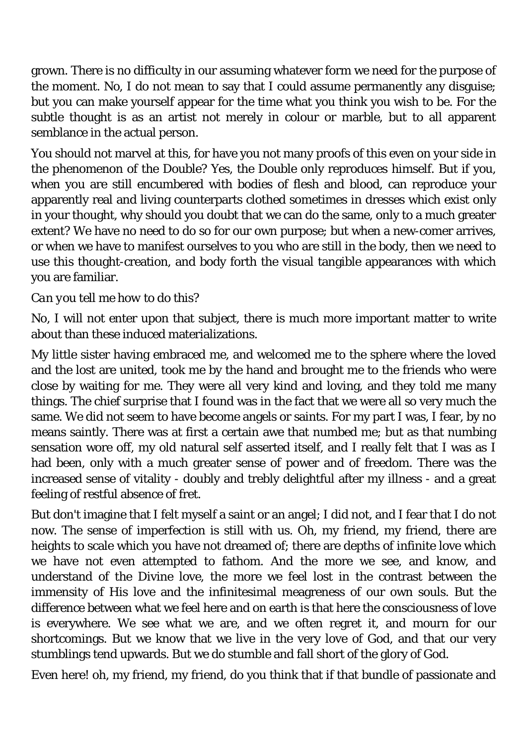grown. There is no difficulty in our assuming whatever form we need for the purpose of the moment. No, I do not mean to say that I could assume permanently any disguise; but you can make yourself appear for the time what you think you wish to be. For the subtle thought is as an artist not merely in colour or marble, but to all apparent semblance in the actual person.

You should not marvel at this, for have you not many proofs of this even on your side in the phenomenon of the Double? Yes, the Double only reproduces himself. But if you, when you are still encumbered with bodies of flesh and blood, can reproduce your apparently real and living counterparts clothed sometimes in dresses which exist only in your thought, why should you doubt that we can do the same, only to a much greater extent? We have no need to do so for our own purpose; but when a new-comer arrives, or when we have to manifest ourselves to you who are still in the body, then we need to use this thought-creation, and body forth the visual tangible appearances with which you are familiar.

#### *Can you tell me how to do this?*

No, I will not enter upon that subject, there is much more important matter to write about than these induced materializations.

My little sister having embraced me, and welcomed me to the sphere where the loved and the lost are united, took me by the hand and brought me to the friends who were close by waiting for me. They were all very kind and loving, and they told me many things. The chief surprise that I found was in the fact that we were all so very much the same. We did not seem to have become angels or saints. For my part I was, I fear, by no means saintly. There was at first a certain awe that numbed me; but as that numbing sensation wore off, my old natural self asserted itself, and I really felt that I was as I had been, only with a much greater sense of power and of freedom. There was the increased sense of vitality - doubly and trebly delightful after my illness - and a great feeling of restful absence of fret.

But don't imagine that I felt myself a saint or an angel; I did not, and I fear that I do not now. The sense of imperfection is still with us. Oh, my friend, my friend, there are heights to scale which you have not dreamed of; there are depths of infinite love which we have not even attempted to fathom. And the more we see, and know, and understand of the Divine love, the more we feel lost in the contrast between the immensity of His love and the infinitesimal meagreness of our own souls. But the difference between what we feel here and on earth is that here the consciousness of love is everywhere. We see what we are, and we often regret it, and mourn for our shortcomings. But we know that we live in the very love of God, and that our very stumblings tend upwards. But we do stumble and fall short of the glory of God.

Even here! oh, my friend, my friend, do you think that if that bundle of passionate and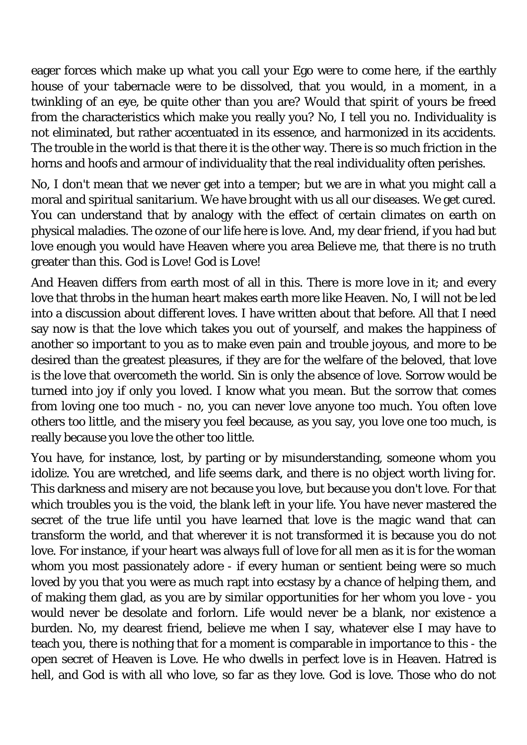eager forces which make up what you call your Ego were to come here, if the earthly house of your tabernacle were to be dissolved, that you would, in a moment, in a twinkling of an eye, be quite other than you are? Would that spirit of yours be freed from the characteristics which make you really you? No, I tell you no. Individuality is not eliminated, but rather accentuated in its essence, and harmonized in its accidents. The trouble in the world is that there it is the other way. There is so much friction in the horns and hoofs and armour of individuality that the real individuality often perishes.

No, I don't mean that we never get into a temper; but we are in what you might call a moral and spiritual sanitarium. We have brought with us all our diseases. We get cured. You can understand that by analogy with the effect of certain climates on earth on physical maladies. The ozone of our life here is love. And, my dear friend, if you had but love enough you would have Heaven where you area Believe me, that there is no truth greater than this. God is Love! God is Love!

And Heaven differs from earth most of all in this. There is more love in it; and every love that throbs in the human heart makes earth more like Heaven. No, I will not be led into a discussion about different loves. I have written about that before. All that I need say now is that the love which takes you out of yourself, and makes the happiness of another so important to you as to make even pain and trouble joyous, and more to be desired than the greatest pleasures, if they are for the welfare of the beloved, that love is the love that overcometh the world. Sin is only the absence of love. Sorrow would be turned into joy if only you loved. I know what you mean. But the sorrow that comes from loving one too much - no, you can never love anyone too much. You often love others too little, and the misery you feel because, as you say, you love one too much, is really because you love the other too little.

You have, for instance, lost, by parting or by misunderstanding, someone whom you idolize. You are wretched, and life seems dark, and there is no object worth living for. This darkness and misery are not because you love, but because you don't love. For that which troubles you is the void, the blank left in your life. You have never mastered the secret of the true life until you have learned that love is the magic wand that can transform the world, and that wherever it is not transformed it is because you do not love. For instance, if your heart was always full of love for all men as it is for the woman whom you most passionately adore - if every human or sentient being were so much loved by you that you were as much rapt into ecstasy by a chance of helping them, and of making them glad, as you are by similar opportunities for her whom you love - you would never be desolate and forlorn. Life would never be a blank, nor existence a burden. No, my dearest friend, believe me when I say, whatever else I may have to teach you, there is nothing that for a moment is comparable in importance to this - the open secret of Heaven is Love. He who dwells in perfect love is in Heaven. Hatred is hell, and God is with all who love, so far as they love. God is love. Those who do not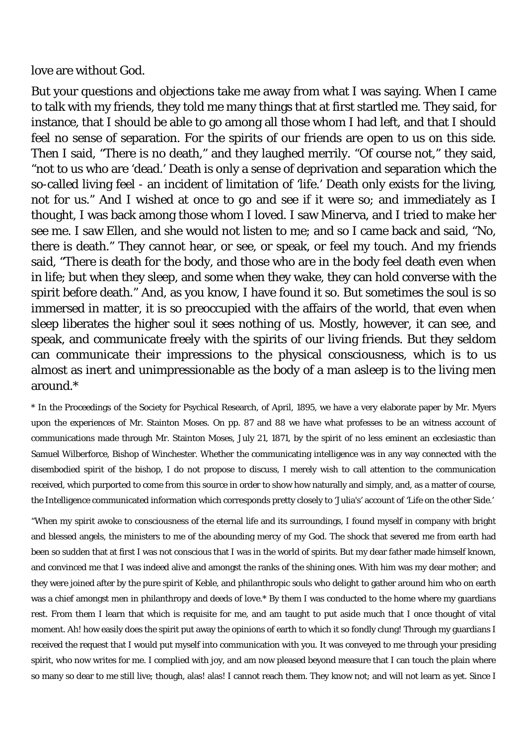love are without God.

But your questions and objections take me away from what I was saying. When I came to talk with my friends, they told me many things that at first startled me. They said, for instance, that I should be able to go among all those whom I had left, and that I should feel no sense of separation. For the spirits of our friends are open to us on this side. Then I said, "There is no death," and they laughed merrily. "Of course not," they said, "not to us who are 'dead.' Death is only a sense of deprivation and separation which the so-called living feel - an incident of limitation of 'life.' Death only exists for the living, not for us." And I wished at once to go and see if it were so; and immediately as I thought, I was back among those whom I loved. I saw Minerva, and I tried to make her see me. I saw Ellen, and she would not listen to me; and so I came back and said, "No, there is death." They cannot hear, or see, or speak, or feel my touch. And my friends said, "There is death for the body, and those who are in the body feel death even when in life; but when they sleep, and some when they wake, they can hold converse with the spirit before death." And, as you know, I have found it so. But sometimes the soul is so immersed in matter, it is so preoccupied with the affairs of the world, that even when sleep liberates the higher soul it sees nothing of us. Mostly, however, it can see, and speak, and communicate freely with the spirits of our living friends. But they seldom can communicate their impressions to the physical consciousness, which is to us almost as inert and unimpressionable as the body of a man asleep is to the living men around.\*

\* In the Proceedings of the Society for Psychical Research, of April, 1895, we have a very elaborate paper by Mr. Myers upon the experiences of Mr. Stainton Moses. On pp. 87 and 88 we have what professes to be an witness account of communications made through Mr. Stainton Moses, July 21, 1871, by the spirit of no less eminent an ecclesiastic than Samuel Wilberforce, Bishop of Winchester. Whether the communicating intelligence was in any way connected with the disembodied spirit of the bishop, I do not propose to discuss, I merely wish to call attention to the communication received, which purported to come from this source in order to show how naturally and simply, and, as a matter of course, the Intelligence communicated information which corresponds pretty closely to 'Julia's' account of 'Life on the other Side.'

"When my spirit awoke to consciousness of the eternal life and its surroundings, I found myself in company with bright and blessed angels, the ministers to me of the abounding mercy of my God. The shock that severed me from earth had been so sudden that at first I was not conscious that I was in the world of spirits. But my dear father made himself known, and convinced me that I was indeed alive and amongst the ranks of the shining ones. With him was my dear mother; and they were joined after by the pure spirit of Keble, and philanthropic souls who delight to gather around him who on earth was a chief amongst men in philanthropy and deeds of love.\* By them I was conducted to the home where my guardians rest. From them I learn that which is requisite for me, and am taught to put aside much that I once thought of vital moment. Ah! how easily does the spirit put away the opinions of earth to which it so fondly clung! Through my guardians I received the request that I would put myself into communication with you. It was conveyed to me through your presiding spirit, who now writes for me. I complied with joy, and am now pleased beyond measure that I can touch the plain where so many so dear to me still live; though, alas! alas! I cannot reach them. They know not; and will not learn as yet. Since I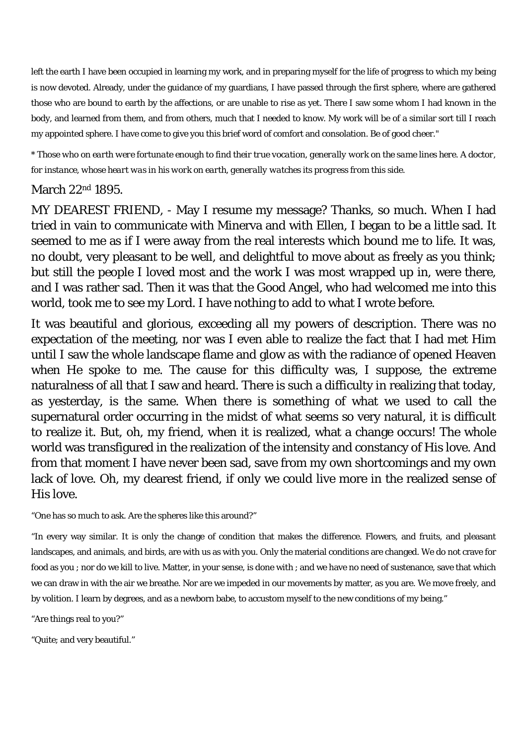left the earth I have been occupied in learning my work, and in preparing myself for the life of progress to which my being is now devoted. Already, under the guidance of my guardians, I have passed through the first sphere, where are gathered those who are bound to earth by the affections, or are unable to rise as yet. There I saw some whom I had known in the body, and learned from them, and from others, much that I needed to know. My work will be of a similar sort till I reach my appointed sphere. I have come to give you this brief word of comfort and consolation. Be of good cheer."

*\* Those who on earth were fortunate enough to find their true vocation, generally work on the same lines here. A doctor, for instance, whose heart was in his work on earth, generally watches its progress from this side.* 

#### March 22nd 1895.

MY DEAREST FRIEND, - May I resume my message? Thanks, so much. When I had tried in vain to communicate with Minerva and with Ellen, I began to be a little sad. It seemed to me as if I were away from the real interests which bound me to life. It was, no doubt, very pleasant to be well, and delightful to move about as freely as you think; but still the people I loved most and the work I was most wrapped up in, were there, and I was rather sad. Then it was that the Good Angel, who had welcomed me into this world, took me to see my Lord. I have nothing to add to what I wrote before.

It was beautiful and glorious, exceeding all my powers of description. There was no expectation of the meeting, nor was I even able to realize the fact that I had met Him until I saw the whole landscape flame and glow as with the radiance of opened Heaven when He spoke to me. The cause for this difficulty was, I suppose, the extreme naturalness of all that I saw and heard. There is such a difficulty in realizing that today, as yesterday, is the same. When there is something of what we used to call the supernatural order occurring in the midst of what seems so very natural, it is difficult to realize it. But, oh, my friend, when it is realized, what a change occurs! The whole world was transfigured in the realization of the intensity and constancy of His love. And from that moment I have never been sad, save from my own shortcomings and my own lack of love. Oh, my dearest friend, if only we could live more in the realized sense of His love.

"One has so much to ask. Are the spheres like this around?"

"In every way similar. It is only the change of condition that makes the difference. Flowers, and fruits, and pleasant landscapes, and animals, and birds, are with us as with you. Only the material conditions are changed. We do not crave for food as you ; nor do we kill to live. Matter, in your sense, is done with ; and we have no need of sustenance, save that which we can draw in with the air we breathe. Nor are we impeded in our movements by matter, as you are. We move freely, and by volition. I learn by degrees, and as a newborn babe, to accustom myself to the new conditions of my being."

"Are things real to you?"

"Quite; and very beautiful."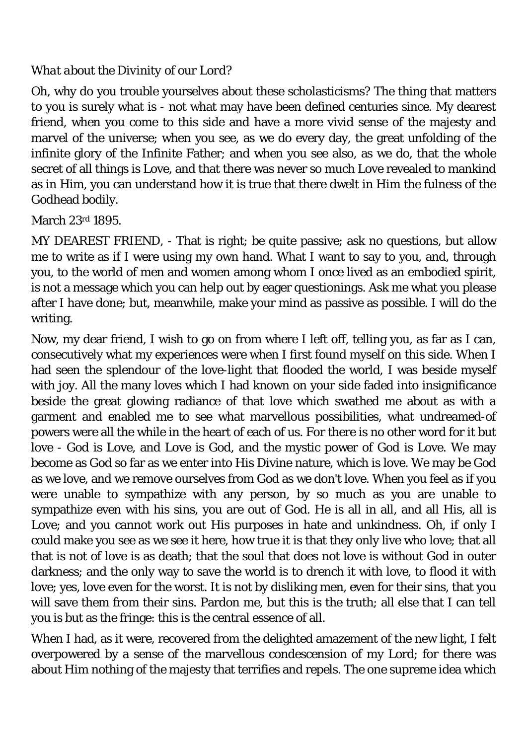#### *What about the Divinity of our Lord?*

Oh, why do you trouble yourselves about these scholasticisms? The thing that matters to you is surely what is - not what may have been defined centuries since. My dearest friend, when you come to this side and have a more vivid sense of the majesty and marvel of the universe; when you see, as we do every day, the great unfolding of the infinite glory of the Infinite Father; and when you see also, as we do, that the whole secret of all things is Love, and that there was never so much Love revealed to mankind as in Him, you can understand how it is true that there dwelt in Him the fulness of the Godhead bodily.

March 23rd 1895.

MY DEAREST FRIEND, - That is right; be quite passive; ask no questions, but allow me to write as if I were using my own hand. What I want to say to you, and, through you, to the world of men and women among whom I once lived as an embodied spirit, is not a message which you can help out by eager questionings. Ask me what you please after I have done; but, meanwhile, make your mind as passive as possible. I will do the writing.

Now, my dear friend, I wish to go on from where I left off, telling you, as far as I can, consecutively what my experiences were when I first found myself on this side. When I had seen the splendour of the love-light that flooded the world, I was beside myself with joy. All the many loves which I had known on your side faded into insignificance beside the great glowing radiance of that love which swathed me about as with a garment and enabled me to see what marvellous possibilities, what undreamed-of powers were all the while in the heart of each of us. For there is no other word for it but love - God is Love, and Love is God, and the mystic power of God is Love. We may become as God so far as we enter into His Divine nature, which is love. We may be God as we love, and we remove ourselves from God as we don't love. When you feel as if you were unable to sympathize with any person, by so much as you are unable to sympathize even with his sins, you are out of God. He is all in all, and all His, all is Love; and you cannot work out His purposes in hate and unkindness. Oh, if only I could make you see as we see it here, how true it is that they only live who love; that all that is not of love is as death; that the soul that does not love is without God in outer darkness; and the only way to save the world is to drench it with love, to flood it with love; yes, love even for the worst. It is not by disliking men, even for their sins, that you will save them from their sins. Pardon me, but this is the truth; all else that I can tell you is but as the fringe: this is the central essence of all.

When I had, as it were, recovered from the delighted amazement of the new light, I felt overpowered by a sense of the marvellous condescension of my Lord; for there was about Him nothing of the majesty that terrifies and repels. The one supreme idea which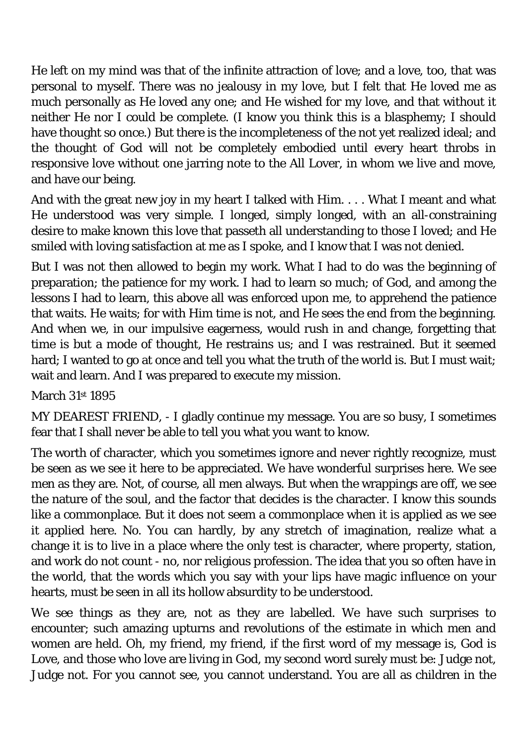He left on my mind was that of the infinite attraction of love; and a love, too, that was personal to myself. There was no jealousy in my love, but I felt that He loved me as much personally as He loved any one; and He wished for my love, and that without it neither He nor I could be complete. (I know you think this is a blasphemy; I should have thought so once.) But there is the incompleteness of the not yet realized ideal; and the thought of God will not be completely embodied until every heart throbs in responsive love without one jarring note to the All Lover, in whom we live and move, and have our being.

And with the great new joy in my heart I talked with Him. . . . What I meant and what He understood was very simple. I longed, simply longed, with an all-constraining desire to make known this love that passeth all understanding to those I loved; and He smiled with loving satisfaction at me as I spoke, and I know that I was not denied.

But I was not then allowed to begin my work. What I had to do was the beginning of preparation; the patience for my work. I had to learn so much; of God, and among the lessons I had to learn, this above all was enforced upon me, to apprehend the patience that waits. He waits; for with Him time is not, and He sees the end from the beginning. And when we, in our impulsive eagerness, would rush in and change, forgetting that time is but a mode of thought, He restrains us; and I was restrained. But it seemed hard; I wanted to go at once and tell you what the truth of the world is. But I must wait; wait and learn. And I was prepared to execute my mission.

## March 31st 1895

MY DEAREST FRIEND, - I gladly continue my message. You are so busy, I sometimes fear that I shall never be able to tell you what you want to know.

The worth of character, which you sometimes ignore and never rightly recognize, must be seen as we see it here to be appreciated. We have wonderful surprises here. We see men as they are. Not, of course, all men always. But when the wrappings are off, we see the nature of the soul, and the factor that decides is the character. I know this sounds like a commonplace. But it does not seem a commonplace when it is applied as we see it applied here. No. You can hardly, by any stretch of imagination, realize what a change it is to live in a place where the only test is character, where property, station, and work do not count - no, nor religious profession. The idea that you so often have in the world, that the words which you say with your lips have magic influence on your hearts, must be seen in all its hollow absurdity to be understood.

We see things as they are, not as they are labelled. We have such surprises to encounter; such amazing upturns and revolutions of the estimate in which men and women are held. Oh, my friend, my friend, if the first word of my message is, God is Love, and those who love are living in God, my second word surely must be: Judge not, Judge not. For you cannot see, you cannot understand. You are all as children in the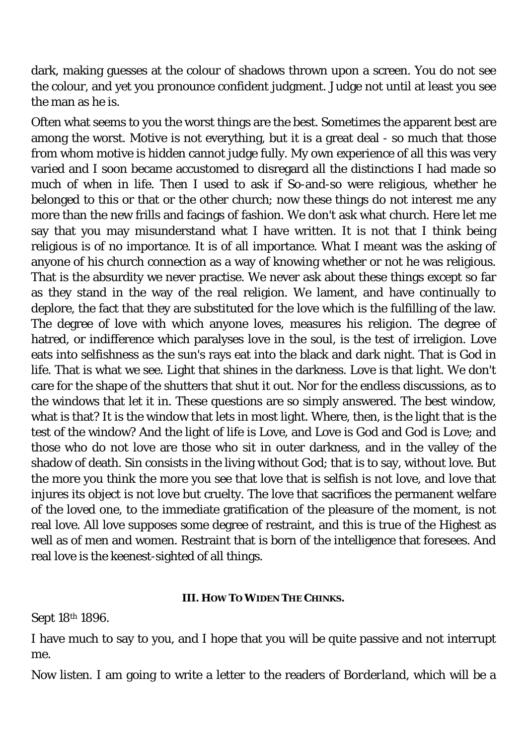dark, making guesses at the colour of shadows thrown upon a screen. You do not see the colour, and yet you pronounce confident judgment. Judge not until at least you see the man as he is.

Often what seems to you the worst things are the best. Sometimes the apparent best are among the worst. Motive is not everything, but it is a great deal - so much that those from whom motive is hidden cannot judge fully. My own experience of all this was very varied and I soon became accustomed to disregard all the distinctions I had made so much of when in life. Then I used to ask if So-and-so were religious, whether he belonged to this or that or the other church; now these things do not interest me any more than the new frills and facings of fashion. We don't ask what church. Here let me say that you may misunderstand what I have written. It is not that I think being religious is of no importance. It is of all importance. What I meant was the asking of anyone of his church connection as a way of knowing whether or not he was religious. That is the absurdity we never practise. We never ask about these things except so far as they stand in the way of the real religion. We lament, and have continually to deplore, the fact that they are substituted for the love which is the fulfilling of the law. The degree of love with which anyone loves, measures his religion. The degree of hatred, or indifference which paralyses love in the soul, is the test of irreligion. Love eats into selfishness as the sun's rays eat into the black and dark night. That is God in life. That is what we see. Light that shines in the darkness. Love is that light. We don't care for the shape of the shutters that shut it out. Nor for the endless discussions, as to the windows that let it in. These questions are so simply answered. The best window, what is that? It is the window that lets in most light. Where, then, is the light that is the test of the window? And the light of life is Love, and Love is God and God is Love; and those who do not love are those who sit in outer darkness, and in the valley of the shadow of death. Sin consists in the living without God; that is to say, without love. But the more you think the more you see that love that is selfish is not love, and love that injures its object is not love but cruelty. The love that sacrifices the permanent welfare of the loved one, to the immediate gratification of the pleasure of the moment, is not real love. All love supposes some degree of restraint, and this is true of the Highest as well as of men and women. Restraint that is born of the intelligence that foresees. And real love is the keenest-sighted of all things.

#### **III. HOW TO WIDEN THE CHINKS.**

Sept 18th 1896.

I have much to say to you, and I hope that you will be quite passive and not interrupt me.

Now listen. I am going to write a letter to the readers of *Borderland*, which will be a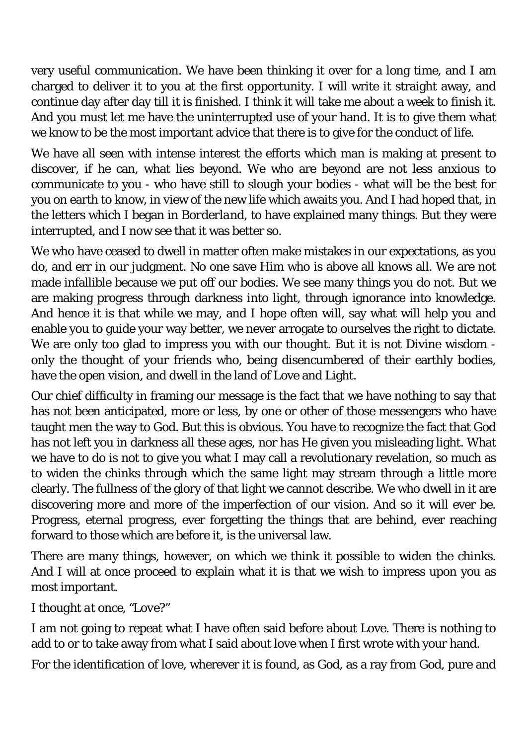very useful communication. We have been thinking it over for a long time, and I am charged to deliver it to you at the first opportunity. I will write it straight away, and continue day after day till it is finished. I think it will take me about a week to finish it. And you must let me have the uninterrupted use of your hand. It is to give them what we know to be the most important advice that there is to give for the conduct of life.

We have all seen with intense interest the efforts which man is making at present to discover, if he can, what lies beyond. We who are beyond are not less anxious to communicate to you - who have still to slough your bodies - what will be the best for you on earth to know, in view of the new life which awaits you. And I had hoped that, in the letters which I began in *Borderland*, to have explained many things. But they were interrupted, and I now see that it was better so.

We who have ceased to dwell in matter often make mistakes in our expectations, as you do, and err in our judgment. No one save Him who is above all knows all. We are not made infallible because we put off our bodies. We see many things you do not. But we are making progress through darkness into light, through ignorance into knowledge. And hence it is that while we may, and I hope often will, say what will help you and enable you to guide your way better, we never arrogate to ourselves the right to dictate. We are only too glad to impress you with our thought. But it is not Divine wisdom only the thought of your friends who, being disencumbered of their earthly bodies, have the open vision, and dwell in the land of Love and Light.

Our chief difficulty in framing our message is the fact that we have nothing to say that has not been anticipated, more or less, by one or other of those messengers who have taught men the way to God. But this is obvious. You have to recognize the fact that God has not left you in darkness all these ages, nor has He given you misleading light. What we have to do is not to give you what I may call a revolutionary revelation, so much as to widen the chinks through which the same light may stream through a little more clearly. The fullness of the glory of that light we cannot describe. We who dwell in it are discovering more and more of the imperfection of our vision. And so it will ever be. Progress, eternal progress, ever forgetting the things that are behind, ever reaching forward to those which are before it, is the universal law.

There are many things, however, on which we think it possible to widen the chinks. And I will at once proceed to explain what it is that we wish to impress upon you as most important.

## *I thought at once, "Love?"*

I am not going to repeat what I have often said before about Love. There is nothing to add to or to take away from what I said about love when I first wrote with your hand.

For the identification of love, wherever it is found, as God, as a ray from God, pure and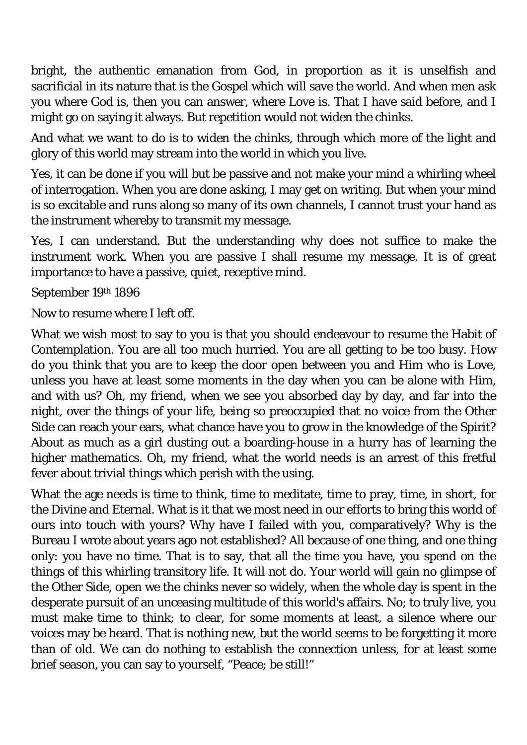bright, the authentic emanation from God, in proportion as it is unselfish and sacrificial in its nature that is the Gospel which will save the world. And when men ask you where God is, then you can answer, where Love is. That I have said before, and I might go on saying it always. But repetition would not widen the chinks.

And what we want to do is to widen the chinks, through which more of the light and glory of this world may stream into the world in which you live.

Yes, it can be done if you will but be passive and not make your mind a whirling wheel of interrogation. When you are done asking, I may get on writing. But when your mind is so excitable and runs along so many of its own channels, I cannot trust your hand as the instrument whereby to transmit my message.

Yes, I can understand. But the understanding why does not suffice to make the instrument work. When you are passive I shall resume my message. It is of great importance to have a passive, quiet, receptive mind.

September 19th 1896

Now to resume where I left off.

What we wish most to say to you is that you should endeavour to resume the Habit of Contemplation. You are all too much hurried. You are all getting to be too busy. How do you think that you are to keep the door open between you and Him who is Love, unless you have at least some moments in the day when you can be alone with Him, and with us? Oh, my friend, when we see you absorbed day by day, and far into the night, over the things of your life, being so preoccupied that no voice from the Other Side can reach your ears, what chance have you to grow in the knowledge of the Spirit? About as much as a girl dusting out a boarding-house in a hurry has of learning the higher mathematics. Oh, my friend, what the world needs is an arrest of this fretful fever about trivial things which perish with the using.

What the age needs is time to think, time to meditate, time to pray, time, in short, for the Divine and Eternal. What is it that we most need in our efforts to bring this world of ours into touch with yours? Why have I failed with you, comparatively? Why is the Bureau I wrote about years ago not established? All because of one thing, and one thing only: you have no time. That is to say, that all the time you have, you spend on the things of this whirling transitory life. It will not do. Your world will gain no glimpse of the Other Side, open we the chinks never so widely, when the whole day is spent in the desperate pursuit of an unceasing multitude of this world's affairs. No; to truly live, you must make time to think; to clear, for some moments at least, a silence where our voices may be heard. That is nothing new, but the world seems to be forgetting it more than of old. We can do nothing to establish the connection unless, for at least some brief season, you can say to yourself, "Peace; be still!"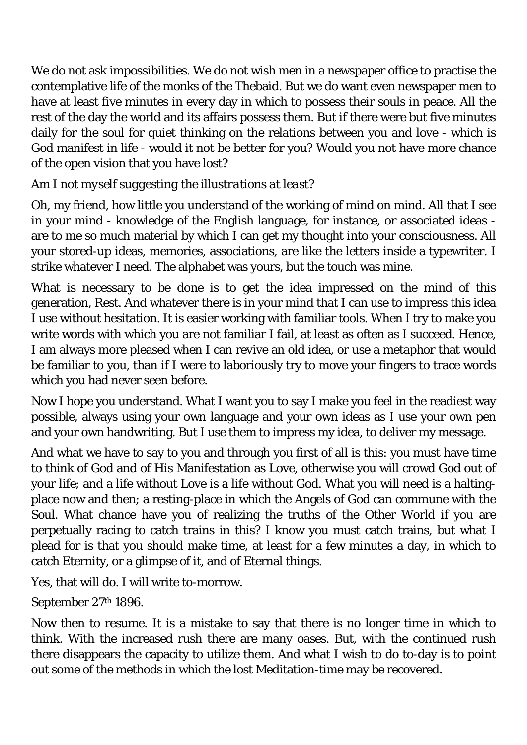We do not ask impossibilities. We do not wish men in a newspaper office to practise the contemplative life of the monks of the Thebaid. But we do want even newspaper men to have at least five minutes in every day in which to possess their souls in peace. All the rest of the day the world and its affairs possess them. But if there were but five minutes daily for the soul for quiet thinking on the relations between you and love - which is God manifest in life - would it not be better for you? Would you not have more chance of the open vision that you have lost?

## *Am I not myself suggesting the illustrations at least?*

Oh, my friend, how little you understand of the working of mind on mind. All that I see in your mind - knowledge of the English language, for instance, or associated ideas are to me so much material by which I can get my thought into your consciousness. All your stored-up ideas, memories, associations, are like the letters inside a typewriter. I strike whatever I need. The alphabet was yours, but the touch was mine.

What is necessary to be done is to get the idea impressed on the mind of this generation, Rest. And whatever there is in your mind that I can use to impress this idea I use without hesitation. It is easier working with familiar tools. When I try to make you write words with which you are not familiar I fail, at least as often as I succeed. Hence, I am always more pleased when I can revive an old idea, or use a metaphor that would be familiar to you, than if I were to laboriously try to move your fingers to trace words which you had never seen before.

Now I hope you understand. What I want you to say I make you feel in the readiest way possible, always using your own language and your own ideas as I use your own pen and your own handwriting. But I use them to impress my idea, to deliver my message.

And what we have to say to you and through you first of all is this: you must have time to think of God and of His Manifestation as Love, otherwise you will crowd God out of your life; and a life without Love is a life without God. What you will need is a haltingplace now and then; a resting-place in which the Angels of God can commune with the Soul. What chance have you of realizing the truths of the Other World if you are perpetually racing to catch trains in this? I know you must catch trains, but what I plead for is that you should make time, at least for a few minutes a day, in which to catch Eternity, or a glimpse of it, and of Eternal things.

Yes, that will do. I will write to-morrow.

September 27th 1896.

Now then to resume. It is a mistake to say that there is no longer time in which to think. With the increased rush there are many oases. But, with the continued rush there disappears the capacity to utilize them. And what I wish to do to-day is to point out some of the methods in which the lost Meditation-time may be recovered.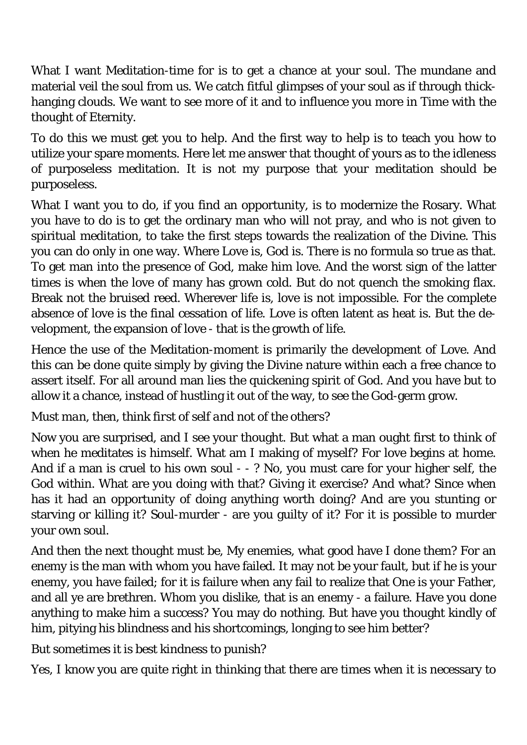What I want Meditation-time for is to get a chance at your soul. The mundane and material veil the soul from us. We catch fitful glimpses of your soul as if through thickhanging clouds. We want to see more of it and to influence you more in Time with the thought of Eternity.

To do this we must get you to help. And the first way to help is to teach you how to utilize your spare moments. Here let me answer that thought of yours as to the idleness of purposeless meditation. It is not my purpose that your meditation should be purposeless.

What I want you to do, if you find an opportunity, is to modernize the Rosary. What you have to do is to get the ordinary man who will not pray, and who is not given to spiritual meditation, to take the first steps towards the realization of the Divine. This you can do only in one way. Where Love is, God is. There is no formula so true as that. To get man into the presence of God, make him love. And the worst sign of the latter times is when the love of many has grown cold. But do not quench the smoking flax. Break not the bruised reed. Wherever life is, love is not impossible. For the complete absence of love is the final cessation of life. Love is often latent as heat is. But the development, the expansion of love - that is the growth of life.

Hence the use of the Meditation-moment is primarily the development of Love. And this can be done quite simply by giving the Divine nature within each a free chance to assert itself. For all around man lies the quickening spirit of God. And you have but to allow it a chance, instead of hustling it out of the way, to see the God-germ grow.

## *Must man, then, think first of self and not of the others?*

Now you are surprised, and I see your thought. But what a man ought first to think of when he meditates is himself. What am I making of myself? For love begins at home. And if a man is cruel to his own soul - - ? No, you must care for your higher self, the God within. What are you doing with that? Giving it exercise? And what? Since when has it had an opportunity of doing anything worth doing? And are you stunting or starving or killing it? Soul-murder - are you guilty of it? For it is possible to murder your own soul.

And then the next thought must be, My enemies, what good have I done them? For an enemy is the man with whom you have failed. It may not be your fault, but if he is your enemy, you have failed; for it is failure when any fail to realize that One is your Father, and all ye are brethren. Whom you dislike, that is an enemy - a failure. Have you done anything to make him a success? You may do nothing. But have you thought kindly of him, pitying his blindness and his shortcomings, longing to see him better?

## *But sometimes it is best kindness to punish?*

Yes, I know you are quite right in thinking that there are times when it is necessary to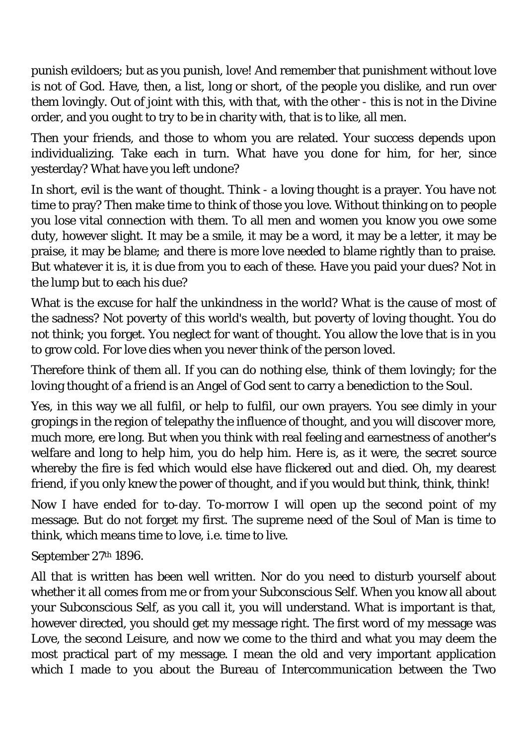punish evildoers; but as you punish, love! And remember that punishment without love is not of God. Have, then, a list, long or short, of the people you dislike, and run over them lovingly. Out of joint with this, with that, with the other - this is not in the Divine order, and you ought to try to be in charity with, that is to like, all men.

Then your friends, and those to whom you are related. Your success depends upon individualizing. Take each in turn. What have you done for him, for her, since yesterday? What have you left undone?

In short, evil is the want of thought. Think - a loving thought is a prayer. You have not time to pray? Then make time to think of those you love. Without thinking on to people you lose vital connection with them. To all men and women you know you owe some duty, however slight. It may be a smile, it may be a word, it may be a letter, it may be praise, it may be blame; and there is more love needed to blame rightly than to praise. But whatever it is, it is due from you to each of these. Have you paid your dues? Not in the lump but to each his due?

What is the excuse for half the unkindness in the world? What is the cause of most of the sadness? Not poverty of this world's wealth, but poverty of loving thought. You do not think; you forget. You neglect for want of thought. You allow the love that is in you to grow cold. For love dies when you never think of the person loved.

Therefore think of them all. If you can do nothing else, think of them lovingly; for the loving thought of a friend is an Angel of God sent to carry a benediction to the Soul.

Yes, in this way we all fulfil, or help to fulfil, our own prayers. You see dimly in your gropings in the region of telepathy the influence of thought, and you will discover more, much more, ere long. But when you think with real feeling and earnestness of another's welfare and long to help him, you do help him. Here is, as it were, the secret source whereby the fire is fed which would else have flickered out and died. Oh, my dearest friend, if you only knew the power of thought, and if you would but think, think, think!

Now I have ended for to-day. To-morrow I will open up the second point of my message. But do not forget my first. The supreme need of the Soul of Man is time to think, which means time to love, i.e. time to live.

September 27th 1896.

All that is written has been well written. Nor do you need to disturb yourself about whether it all comes from me or from your Subconscious Self. When you know all about your Subconscious Self, as you call it, you will understand. What is important is that, however directed, you should get my message right. The first word of my message was Love, the second Leisure, and now we come to the third and what you may deem the most practical part of my message. I mean the old and very important application which I made to you about the Bureau of Intercommunication between the Two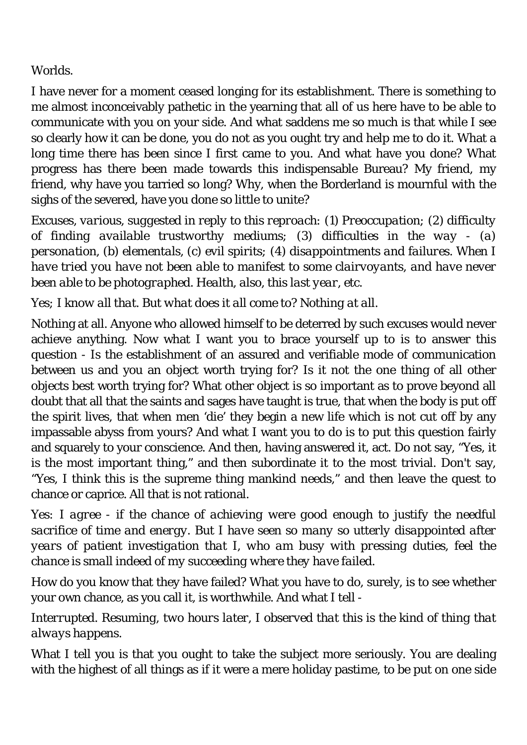#### Worlds.

I have never for a moment ceased longing for its establishment. There is something to me almost inconceivably pathetic in the yearning that all of us here have to be able to communicate with you on your side. And what saddens me so much is that while I see so clearly how it can be done, you do not as you ought try and help me to do it. What a long time there has been since I first came to you. And what have you done? What progress has there been made towards this indispensable Bureau? My friend, my friend, why have you tarried so long? Why, when the Borderland is mournful with the sighs of the severed, have you done so little to unite?

*Excuses, various, suggested in reply to this reproach: (1) Preoccupation; (2) difficulty of finding available trustworthy mediums; (3) difficulties in the way - (a) personation, (b) elementals, (c) evil spirits; (4) disappointments and failures. When I have tried you have not been able to manifest to some clairvoyants, and have never been able to be photographed. Health, also, this last year, etc.* 

*Yes; I know all that. But what does it all come to? Nothing at all.* 

Nothing at all. Anyone who allowed himself to be deterred by such excuses would never achieve anything. Now what I want you to brace yourself up to is to answer this question - Is the establishment of an assured and verifiable mode of communication between us and you an object worth trying for? Is it not the one thing of all other objects best worth trying for? What other object is so important as to prove beyond all doubt that all that the saints and sages have taught is true, that when the body is put off the spirit lives, that when men 'die' they begin a new life which is not cut off by any impassable abyss from yours? And what I want you to do is to put this question fairly and squarely to your conscience. And then, having answered it, act. Do not say, "Yes, it is the most important thing," and then subordinate it to the most trivial. Don't say, "Yes, I think this is the supreme thing mankind needs," and then leave the quest to chance or caprice. All that is not rational.

*Yes: I agree - if the chance of achieving were good enough to justify the needful sacrifice of time and energy. But I have seen so many so utterly disappointed after years of patient investigation that I, who am busy with pressing duties, feel the chance is small indeed of my succeeding where they have failed.* 

How do you know that they have failed? What you have to do, surely, is to see whether your own chance, as you call it, is worthwhile. And what I tell -

*Interrupted. Resuming, two hours later, I observed that this is the kind of thing that always happens.* 

What I tell you is that you ought to take the subject more seriously. You are dealing with the highest of all things as if it were a mere holiday pastime, to be put on one side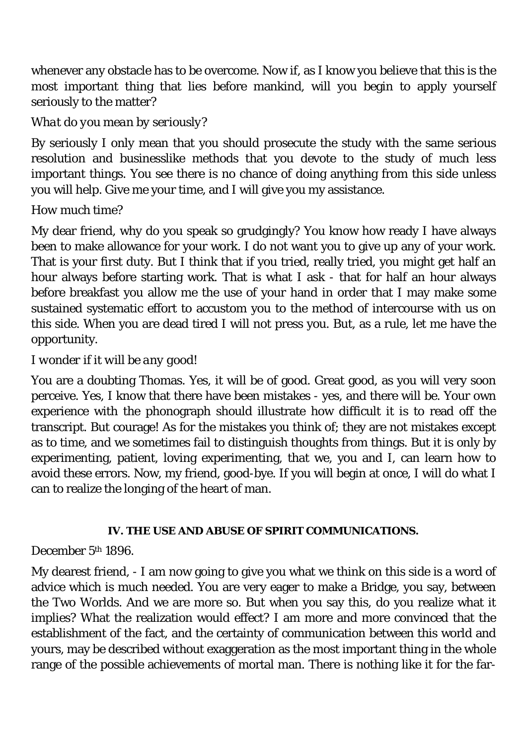whenever any obstacle has to be overcome. Now if, as I know you believe that this is the most important thing that lies before mankind, will you begin to apply yourself seriously to the matter?

## *What do you mean by seriously?*

By seriously I only mean that you should prosecute the study with the same serious resolution and businesslike methods that you devote to the study of much less important things. You see there is no chance of doing anything from this side unless you will help. Give me your time, and I will give you my assistance.

## *How much time?*

My dear friend, why do you speak so grudgingly? You know how ready I have always been to make allowance for your work. I do not want you to give up any of your work. That is your first duty. But I think that if you tried, really tried, you might get half an hour always before starting work. That is what I ask - that for half an hour always before breakfast you allow me the use of your hand in order that I may make some sustained systematic effort to accustom you to the method of intercourse with us on this side. When you are dead tired I will not press you. But, as a rule, let me have the opportunity.

## *I wonder if it will be any good!*

You are a doubting Thomas. Yes, it will be of good. Great good, as you will very soon perceive. Yes, I know that there have been mistakes - yes, and there will be. Your own experience with the phonograph should illustrate how difficult it is to read off the transcript. But courage! As for the mistakes you think of; they are not mistakes except as to time, and we sometimes fail to distinguish thoughts from things. But it is only by experimenting, patient, loving experimenting, that we, you and I, can learn how to avoid these errors. Now, my friend, good-bye. If you will begin at once, I will do what I can to realize the longing of the heart of man.

#### **IV. THE USE AND ABUSE OF SPIRIT COMMUNICATIONS.**

## December 5<sup>th</sup> 1896.

My dearest friend, - I am now going to give you what we think on this side is a word of advice which is much needed. You are very eager to make a Bridge, you say, between the Two Worlds. And we are more so. But when you say this, do you realize what it implies? What the realization would effect? I am more and more convinced that the establishment of the fact, and the certainty of communication between this world and yours, may be described without exaggeration as the most important thing in the whole range of the possible achievements of mortal man. There is nothing like it for the far-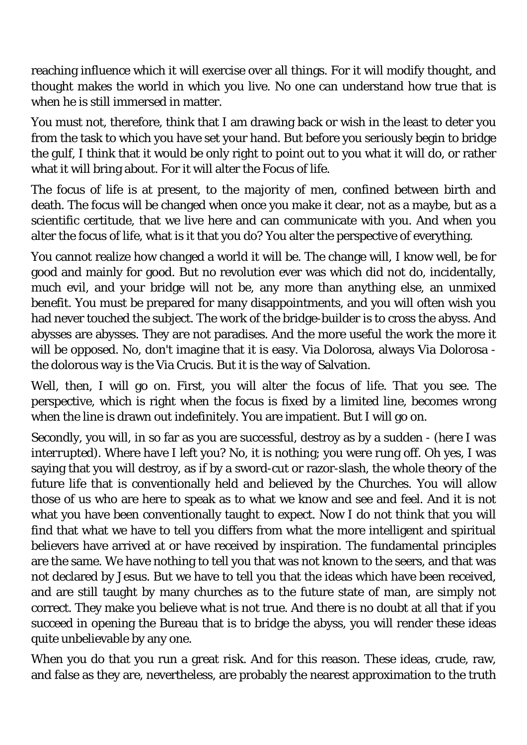reaching influence which it will exercise over all things. For it will modify thought, and thought makes the world in which you live. No one can understand how true that is when he is still immersed in matter.

You must not, therefore, think that I am drawing back or wish in the least to deter you from the task to which you have set your hand. But before you seriously begin to bridge the gulf, I think that it would be only right to point out to you what it will do, or rather what it will bring about. For it will alter the Focus of life.

The focus of life is at present, to the majority of men, confined between birth and death. The focus will be changed when once you make it clear, not as a maybe, but as a scientific certitude, that we live here and can communicate with you. And when you alter the focus of life, what is it that you do? You alter the perspective of everything.

You cannot realize how changed a world it will be. The change will, I know well, be for good and mainly for good. But no revolution ever was which did not do, incidentally, much evil, and your bridge will not be, any more than anything else, an unmixed benefit. You must be prepared for many disappointments, and you will often wish you had never touched the subject. The work of the bridge-builder is to cross the abyss. And abysses are abysses. They are not paradises. And the more useful the work the more it will be opposed. No, don't imagine that it is easy. Via Dolorosa, always Via Dolorosa the dolorous way is the Via Crucis. But it is the way of Salvation.

Well, then, I will go on. First, you will alter the focus of life. That you see. The perspective, which is right when the focus is fixed by a limited line, becomes wrong when the line is drawn out indefinitely. You are impatient. But I will go on.

Secondly, you will, in so far as you are successful, destroy as by a sudden - *(here I was interrupted)*. Where have I left you? No, it is nothing; you were rung off. Oh yes, I was saying that you will destroy, as if by a sword-cut or razor-slash, the whole theory of the future life that is conventionally held and believed by the Churches. You will allow those of us who are here to speak as to what we know and see and feel. And it is not what you have been conventionally taught to expect. Now I do not think that you will find that what we have to tell you differs from what the more intelligent and spiritual believers have arrived at or have received by inspiration. The fundamental principles are the same. We have nothing to tell you that was not known to the seers, and that was not declared by Jesus. But we have to tell you that the ideas which have been received, and are still taught by many churches as to the future state of man, are simply not correct. They make you believe what is not true. And there is no doubt at all that if you succeed in opening the Bureau that is to bridge the abyss, you will render these ideas quite unbelievable by any one.

When you do that you run a great risk. And for this reason. These ideas, crude, raw, and false as they are, nevertheless, are probably the nearest approximation to the truth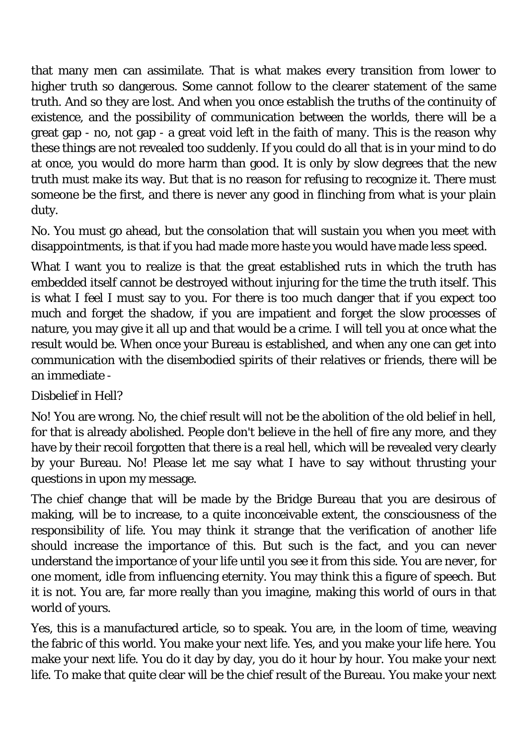that many men can assimilate. That is what makes every transition from lower to higher truth so dangerous. Some cannot follow to the clearer statement of the same truth. And so they are lost. And when you once establish the truths of the continuity of existence, and the possibility of communication between the worlds, there will be a great gap - no, not gap - a great void left in the faith of many. This is the reason why these things are not revealed too suddenly. If you could do all that is in your mind to do at once, you would do more harm than good. It is only by slow degrees that the new truth must make its way. But that is no reason for refusing to recognize it. There must someone be the first, and there is never any good in flinching from what is your plain duty.

No. You must go ahead, but the consolation that will sustain you when you meet with disappointments, is that if you had made more haste you would have made less speed.

What I want you to realize is that the great established ruts in which the truth has embedded itself cannot be destroyed without injuring for the time the truth itself. This is what I feel I must say to you. For there is too much danger that if you expect too much and forget the shadow, if you are impatient and forget the slow processes of nature, you may give it all up and that would be a crime. I will tell you at once what the result would be. When once your Bureau is established, and when any one can get into communication with the disembodied spirits of their relatives or friends, there will be an immediate -

# *Disbelief in Hell?*

No! You are wrong. No, the chief result will not be the abolition of the old belief in hell, for that is already abolished. People don't believe in the hell of fire any more, and they have by their recoil forgotten that there is a real hell, which will be revealed very clearly by your Bureau. No! Please let me say what I have to say without thrusting your questions in upon my message.

The chief change that will be made by the Bridge Bureau that you are desirous of making, will be to increase, to a quite inconceivable extent, the consciousness of the responsibility of life. You may think it strange that the verification of another life should increase the importance of this. But such is the fact, and you can never understand the importance of your life until you see it from this side. You are never, for one moment, idle from influencing eternity. You may think this a figure of speech. But it is not. You are, far more really than you imagine, making this world of ours in that world of yours.

Yes, this is a manufactured article, so to speak. You are, in the loom of time, weaving the fabric of this world. You make your next life. Yes, and you make your life here. You make your next life. You do it day by day, you do it hour by hour. You make your next life. To make that quite clear will be the chief result of the Bureau. You make your next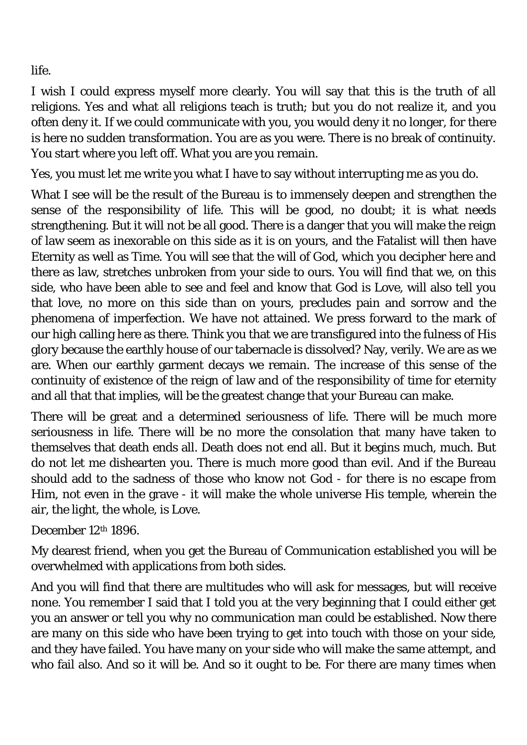life.

I wish I could express myself more clearly. You will say that this is the truth of all religions. Yes and what all religions teach is truth; but you do not realize it, and you often deny it. If we could communicate with you, you would deny it no longer, for there is here no sudden transformation. You are as you were. There is no break of continuity. You start where you left off. What you are you remain.

Yes, you must let me write you what I have to say without interrupting me as you do.

What I see will be the result of the Bureau is to immensely deepen and strengthen the sense of the responsibility of life. This will be good, no doubt; it is what needs strengthening. But it will not be all good. There is a danger that you will make the reign of law seem as inexorable on this side as it is on yours, and the Fatalist will then have Eternity as well as Time. You will see that the will of God, which you decipher here and there as law, stretches unbroken from your side to ours. You will find that we, on this side, who have been able to see and feel and know that God is Love, will also tell you that love, no more on this side than on yours, precludes pain and sorrow and the phenomena of imperfection. We have not attained. We press forward to the mark of our high calling here as there. Think you that we are transfigured into the fulness of His glory because the earthly house of our tabernacle is dissolved? Nay, verily. We are as we are. When our earthly garment decays we remain. The increase of this sense of the continuity of existence of the reign of law and of the responsibility of time for eternity and all that that implies, will be the greatest change that your Bureau can make.

There will be great and a determined seriousness of life. There will be much more seriousness in life. There will be no more the consolation that many have taken to themselves that death ends all. Death does not end all. But it begins much, much. But do not let me dishearten you. There is much more good than evil. And if the Bureau should add to the sadness of those who know not God - for there is no escape from Him, not even in the grave - it will make the whole universe His temple, wherein the air, the light, the whole, is Love.

December 12th 1896.

My dearest friend, when you get the Bureau of Communication established you will be overwhelmed with applications from both sides.

And you will find that there are multitudes who will ask for messages, but will receive none. You remember I said that I told you at the very beginning that I could either get you an answer or tell you why no communication man could be established. Now there are many on this side who have been trying to get into touch with those on your side, and they have failed. You have many on your side who will make the same attempt, and who fail also. And so it will be. And so it ought to be. For there are many times when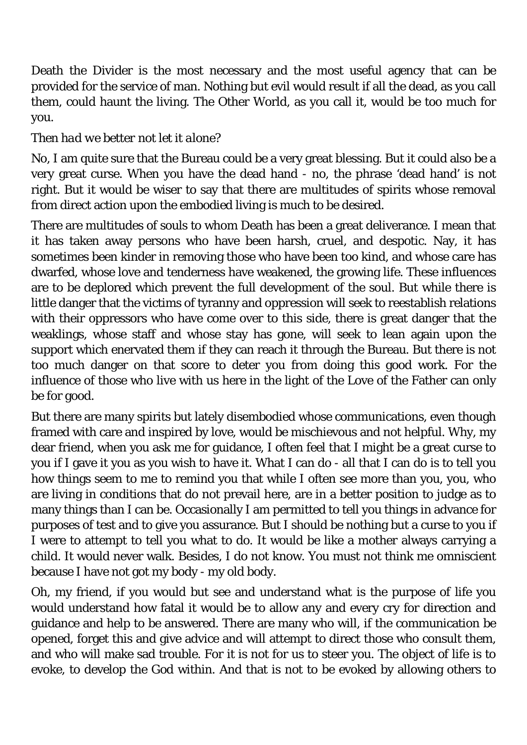Death the Divider is the most necessary and the most useful agency that can be provided for the service of man. Nothing but evil would result if all the dead, as you call them, could haunt the living. The Other World, as you call it, would be too much for you.

# *Then had we better not let it alone?*

No, I am quite sure that the Bureau could be a very great blessing. But it could also be a very great curse. When you have the dead hand - no, the phrase 'dead hand' is not right. But it would be wiser to say that there are multitudes of spirits whose removal from direct action upon the embodied living is much to be desired.

There are multitudes of souls to whom Death has been a great deliverance. I mean that it has taken away persons who have been harsh, cruel, and despotic. Nay, it has sometimes been kinder in removing those who have been too kind, and whose care has dwarfed, whose love and tenderness have weakened, the growing life. These influences are to be deplored which prevent the full development of the soul. But while there is little danger that the victims of tyranny and oppression will seek to reestablish relations with their oppressors who have come over to this side, there is great danger that the weaklings, whose staff and whose stay has gone, will seek to lean again upon the support which enervated them if they can reach it through the Bureau. But there is not too much danger on that score to deter you from doing this good work. For the influence of those who live with us here in the light of the Love of the Father can only be for good.

But there are many spirits but lately disembodied whose communications, even though framed with care and inspired by love, would be mischievous and not helpful. Why, my dear friend, when you ask me for guidance, I often feel that I might be a great curse to you if I gave it you as you wish to have it. What I can do - all that I can do is to tell you how things seem to me to remind you that while I often see more than you, you, who are living in conditions that do not prevail here, are in a better position to judge as to many things than I can be. Occasionally I am permitted to tell you things in advance for purposes of test and to give you assurance. But I should be nothing but a curse to you if I were to attempt to tell you what to do. It would be like a mother always carrying a child. It would never walk. Besides, I do not know. You must not think me omniscient because I have not got my body - my old body.

Oh, my friend, if you would but see and understand what is the purpose of life you would understand how fatal it would be to allow any and every cry for direction and guidance and help to be answered. There are many who will, if the communication be opened, forget this and give advice and will attempt to direct those who consult them, and who will make sad trouble. For it is not for us to steer you. The object of life is to evoke, to develop the God within. And that is not to be evoked by allowing others to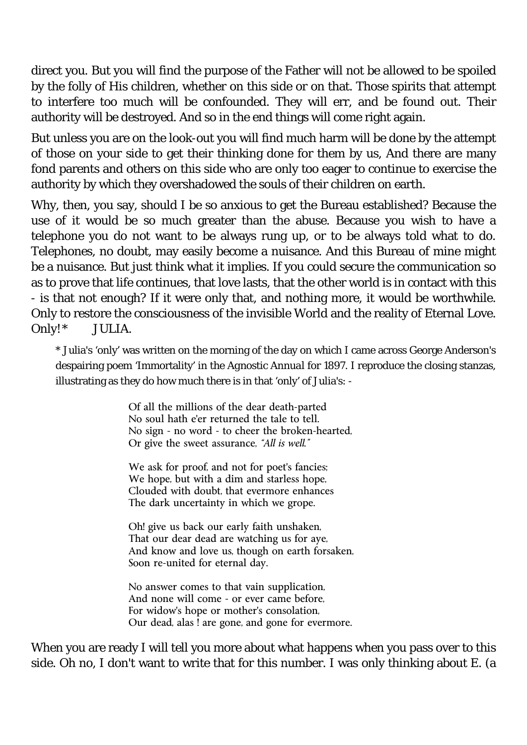direct you. But you will find the purpose of the Father will not be allowed to be spoiled by the folly of His children, whether on this side or on that. Those spirits that attempt to interfere too much will be confounded. They will err, and be found out. Their authority will be destroyed. And so in the end things will come right again.

But unless you are on the look-out you will find much harm will be done by the attempt of those on your side to get their thinking done for them by us, And there are many fond parents and others on this side who are only too eager to continue to exercise the authority by which they overshadowed the souls of their children on earth.

Why, then, you say, should I be so anxious to get the Bureau established? Because the use of it would be so much greater than the abuse. Because you wish to have a telephone you do not want to be always rung up, or to be always told what to do. Telephones, no doubt, may easily become a nuisance. And this Bureau of mine might be a nuisance. But just think what it implies. If you could secure the communication so as to prove that life continues, that love lasts, that the other world is in contact with this - is that not enough? If it were only that, and nothing more, it would be worthwhile. Only to restore the consciousness of the invisible World and the reality of Eternal Love. Only!\* JULIA.

\* Julia's 'only' was written on the morning of the day on which I came across George Anderson's despairing poem 'Immortality' in the *Agnostic Annual* for 1897. I reproduce the closing stanzas, illustrating as they do how much there is in that 'only' of Julia's: -

> Of all the millions of the dear death-parted No soul hath e'er returned the tale to tell. No sign - no word - to cheer the broken-hearted, Or give the sweet assurance, *"All is well."*

We ask for proof, and not for poet's fancies; We hope, but with a dim and starless hope, Clouded with doubt, that evermore enhances The dark uncertainty in which we grope.

Oh! give us back our early faith unshaken, That our dear dead are watching us for aye, And know and love us, though on earth forsaken, Soon re-united for eternal day.

No answer comes to that vain supplication, And none will come - or ever came before, For widow's hope or mother's consolation, Our dead, alas ! are gone, and gone for evermore.

When you are ready I will tell you more about what happens when you pass over to this side. Oh no, I don't want to write that for this number. I was only thinking about E. (a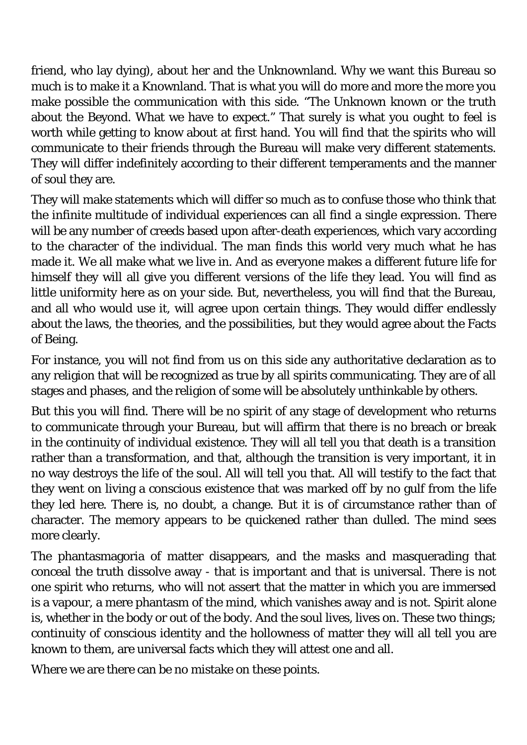friend, who lay dying), about her and the Unknownland. Why we want this Bureau so much is to make it a Knownland. That is what you will do more and more the more you make possible the communication with this side. "The Unknown known or the truth about the Beyond. What we have to expect." That surely is what you ought to feel is worth while getting to know about at first hand. You will find that the spirits who will communicate to their friends through the Bureau will make very different statements. They will differ indefinitely according to their different temperaments and the manner of soul they are.

They will make statements which will differ so much as to confuse those who think that the infinite multitude of individual experiences can all find a single expression. There will be any number of creeds based upon after-death experiences, which vary according to the character of the individual. The man finds this world very much what he has made it. We all make what we live in. And as everyone makes a different future life for himself they will all give you different versions of the life they lead. You will find as little uniformity here as on your side. But, nevertheless, you will find that the Bureau, and all who would use it, will agree upon certain things. They would differ endlessly about the laws, the theories, and the possibilities, but they would agree about the Facts of Being.

For instance, you will not find from us on this side any authoritative declaration as to any religion that will be recognized as true by all spirits communicating. They are of all stages and phases, and the religion of some will be absolutely unthinkable by others.

But this you will find. There will be no spirit of any stage of development who returns to communicate through your Bureau, but will affirm that there is no breach or break in the continuity of individual existence. They will all tell you that death is a transition rather than a transformation, and that, although the transition is very important, it in no way destroys the life of the soul. All will tell you that. All will testify to the fact that they went on living a conscious existence that was marked off by no gulf from the life they led here. There is, no doubt, a change. But it is of circumstance rather than of character. The memory appears to be quickened rather than dulled. The mind sees more clearly.

The phantasmagoria of matter disappears, and the masks and masquerading that conceal the truth dissolve away - that is important and that is universal. There is not one spirit who returns, who will not assert that the matter in which you are immersed is a vapour, a mere phantasm of the mind, which vanishes away and is not. Spirit alone is, whether in the body or out of the body. And the soul lives, lives on. These two things; continuity of conscious identity and the hollowness of matter they will all tell you are known to them, are universal facts which they will attest one and all.

Where we are there can be no mistake on these points.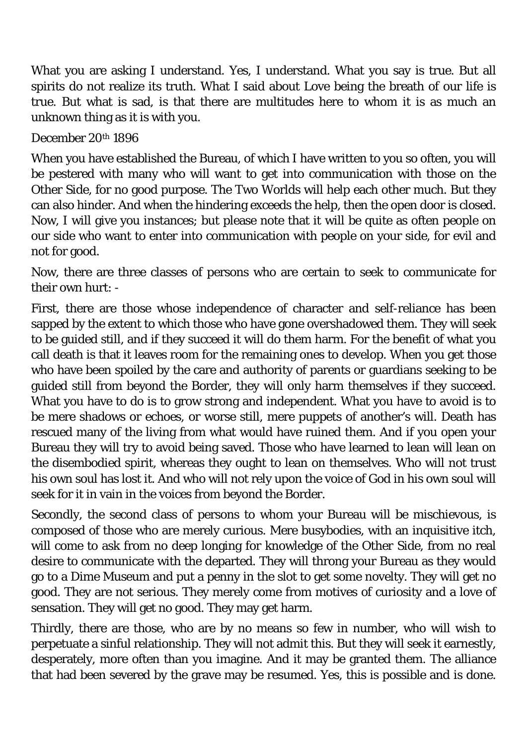What you are asking I understand. Yes, I understand. What you say is true. But all spirits do not realize its truth. What I said about Love being the breath of our life is true. But what is sad, is that there are multitudes here to whom it is as much an unknown thing as it is with you.

December 20th 1896

When you have established the Bureau, of which I have written to you so often, you will be pestered with many who will want to get into communication with those on the Other Side, for no good purpose. The Two Worlds will help each other much. But they can also hinder. And when the hindering exceeds the help, then the open door is closed. Now, I will give you instances; but please note that it will be quite as often people on our side who want to enter into communication with people on your side, for evil and not for good.

Now, there are three classes of persons who are certain to seek to communicate for their own hurt: -

First, there are those whose independence of character and self-reliance has been sapped by the extent to which those who have gone overshadowed them. They will seek to be guided still, and if they succeed it will do them harm. For the benefit of what you call death is that it leaves room for the remaining ones to develop. When you get those who have been spoiled by the care and authority of parents or guardians seeking to be guided still from beyond the Border, they will only harm themselves if they succeed. What you have to do is to grow strong and independent. What you have to avoid is to be mere shadows or echoes, or worse still, mere puppets of another's will. Death has rescued many of the living from what would have ruined them. And if you open your Bureau they will try to avoid being saved. Those who have learned to lean will lean on the disembodied spirit, whereas they ought to lean on themselves. Who will not trust his own soul has lost it. And who will not rely upon the voice of God in his own soul will seek for it in vain in the voices from beyond the Border.

Secondly, the second class of persons to whom your Bureau will be mischievous, is composed of those who are merely curious. Mere busybodies, with an inquisitive itch, will come to ask from no deep longing for knowledge of the Other Side, from no real desire to communicate with the departed. They will throng your Bureau as they would go to a Dime Museum and put a penny in the slot to get some novelty. They will get no good. They are not serious. They merely come from motives of curiosity and a love of sensation. They will get no good. They may get harm.

Thirdly, there are those, who are by no means so few in number, who will wish to perpetuate a sinful relationship. They will not admit this. But they will seek it earnestly, desperately, more often than you imagine. And it may be granted them. The alliance that had been severed by the grave may be resumed. Yes, this is possible and is done.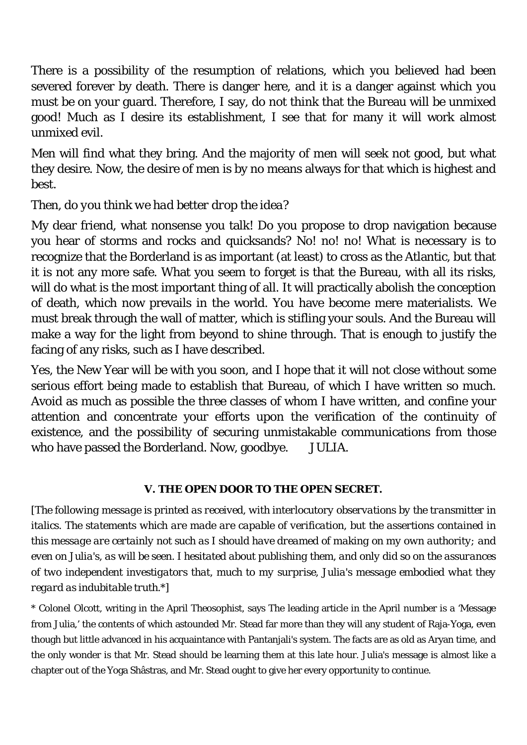There is a possibility of the resumption of relations, which you believed had been severed forever by death. There is danger here, and it is a danger against which you must be on your guard. Therefore, I say, do not think that the Bureau will be unmixed good! Much as I desire its establishment, I see that for many it will work almost unmixed evil.

Men will find what they bring. And the majority of men will seek not good, but what they desire. Now, the desire of men is by no means always for that which is highest and best.

## *Then, do you think we had better drop the idea?*

My dear friend, what nonsense you talk! Do you propose to drop navigation because you hear of storms and rocks and quicksands? No! no! no! What is necessary is to recognize that the Borderland is as important (at least) to cross as the Atlantic, but that it is not any more safe. What you seem to forget is that the Bureau, with all its risks, will do what is the most important thing of all. It will practically abolish the conception of death, which now prevails in the world. You have become mere materialists. We must break through the wall of matter, which is stifling your souls. And the Bureau will make a way for the light from beyond to shine through. That is enough to justify the facing of any risks, such as I have described.

Yes, the New Year will be with you soon, and I hope that it will not close without some serious effort being made to establish that Bureau, of which I have written so much. Avoid as much as possible the three classes of whom I have written, and confine your attention and concentrate your efforts upon the verification of the continuity of existence, and the possibility of securing unmistakable communications from those who have passed the Borderland. Now, goodbye. JULIA.

### **V. THE OPEN DOOR TO THE OPEN SECRET.**

*[The following message is printed as received, with interlocutory observations by the transmitter in italics. The statements which are made are capable of verification, but the assertions contained in this message are certainly not such as I should have dreamed of making on my own authority; and even on Julia's, as will be seen. I hesitated about publishing them, and only did so on the assurances of two independent investigators that, much to my surprise, Julia's message embodied what they regard as indubitable truth.\*]* 

\* Colonel Olcott, writing in the April *Theosophist*, says The leading article in the April number is a 'Message from Julia,' the contents of which astounded Mr. Stead far more than they will any student of Raja-Yoga, even though but little advanced in his acquaintance with Pantanjali's system. The facts are as old as Aryan time, and the only wonder is that Mr. Stead should be learning them at this late hour. Julia's message is almost like a chapter out of the Yoga Shâstras, and Mr. Stead ought to give her every opportunity to continue.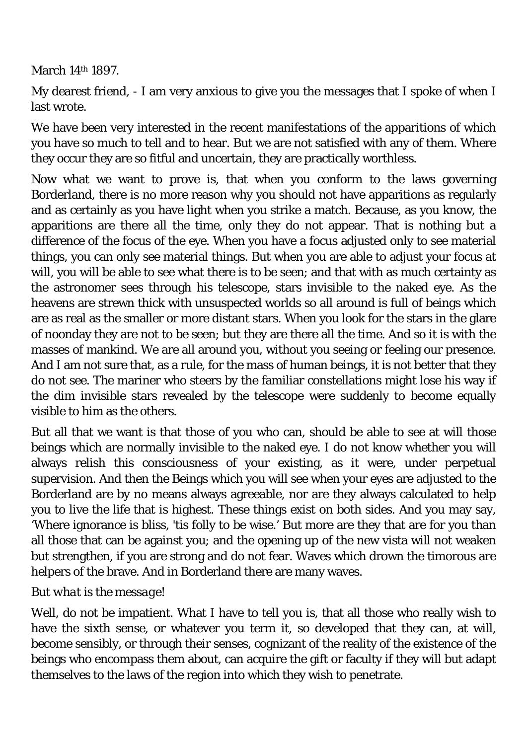March 14th 1897.

My dearest friend, - I am very anxious to give you the messages that I spoke of when I last wrote.

We have been very interested in the recent manifestations of the apparitions of which you have so much to tell and to hear. But we are not satisfied with any of them. Where they occur they are so fitful and uncertain, they are practically worthless.

Now what we want to prove is, that when you conform to the laws governing Borderland, there is no more reason why you should not have apparitions as regularly and as certainly as you have light when you strike a match. Because, as you know, the apparitions are there all the time, only they do not appear. That is nothing but a difference of the focus of the eye. When you have a focus adjusted only to see material things, you can only see material things. But when you are able to adjust your focus at will, you will be able to see what there is to be seen; and that with as much certainty as the astronomer sees through his telescope, stars invisible to the naked eye. As the heavens are strewn thick with unsuspected worlds so all around is full of beings which are as real as the smaller or more distant stars. When you look for the stars in the glare of noonday they are not to be seen; but they are there all the time. And so it is with the masses of mankind. We are all around you, without you seeing or feeling our presence. And I am not sure that, as a rule, for the mass of human beings, it is not better that they do not see. The mariner who steers by the familiar constellations might lose his way if the dim invisible stars revealed by the telescope were suddenly to become equally visible to him as the others.

But all that we want is that those of you who can, should be able to see at will those beings which are normally invisible to the naked eye. I do not know whether you will always relish this consciousness of your existing, as it were, under perpetual supervision. And then the Beings which you will see when your eyes are adjusted to the Borderland are by no means always agreeable, nor are they always calculated to help you to live the life that is highest. These things exist on both sides. And you may say, 'Where ignorance is bliss, 'tis folly to be wise.' But more are they that are for you than all those that can be against you; and the opening up of the new vista will not weaken but strengthen, if you are strong and do not fear. Waves which drown the timorous are helpers of the brave. And in Borderland there are many waves.

## *But what is the message!*

Well, do not be impatient. What I have to tell you is, that all those who really wish to have the sixth sense, or whatever you term it, so developed that they can, at will, become sensibly, or through their senses, cognizant of the reality of the existence of the beings who encompass them about, can acquire the gift or faculty if they will but adapt themselves to the laws of the region into which they wish to penetrate.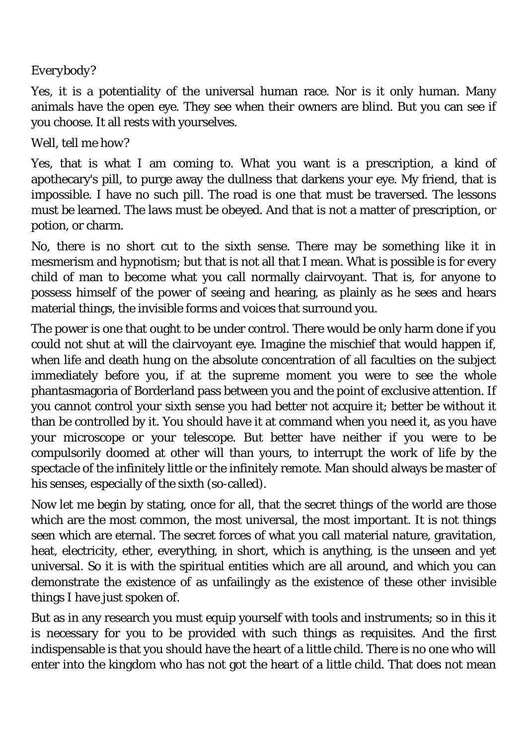## *Everybody?*

Yes, it is a potentiality of the universal human race. Nor is it only human. Many animals have the open eye. They see when their owners are blind. But you can see if you choose. It all rests with yourselves.

## *Well, tell me how?*

Yes, that is what I am coming to. What you want is a prescription, a kind of apothecary's pill, to purge away the dullness that darkens your eye. My friend, that is impossible. I have no such pill. The road is one that must be traversed. The lessons must be learned. The laws must be obeyed. And that is not a matter of prescription, or potion, or charm.

No, there is no short cut to the sixth sense. There may be something like it in mesmerism and hypnotism; but that is not all that I mean. What is possible is for every child of man to become what you call normally clairvoyant. That is, for anyone to possess himself of the power of seeing and hearing, as plainly as he sees and hears material things, the invisible forms and voices that surround you.

The power is one that ought to be under control. There would be only harm done if you could not shut at will the clairvoyant eye. Imagine the mischief that would happen if, when life and death hung on the absolute concentration of all faculties on the subject immediately before you, if at the supreme moment you were to see the whole phantasmagoria of Borderland pass between you and the point of exclusive attention. If you cannot control your sixth sense you had better not acquire it; better be without it than be controlled by it. You should have it at command when you need it, as you have your microscope or your telescope. But better have neither if you were to be compulsorily doomed at other will than yours, to interrupt the work of life by the spectacle of the infinitely little or the infinitely remote. Man should always be master of his senses, especially of the sixth (so-called).

Now let me begin by stating, once for all, that the secret things of the world are those which are the most common, the most universal, the most important. It is not things seen which are eternal. The secret forces of what you call material nature, gravitation, heat, electricity, ether, everything, in short, which is anything, is the unseen and yet universal. So it is with the spiritual entities which are all around, and which you can demonstrate the existence of as unfailingly as the existence of these other invisible things I have just spoken of.

But as in any research you must equip yourself with tools and instruments; so in this it is necessary for you to be provided with such things as requisites. And the first indispensable is that you should have the heart of a little child. There is no one who will enter into the kingdom who has not got the heart of a little child. That does not mean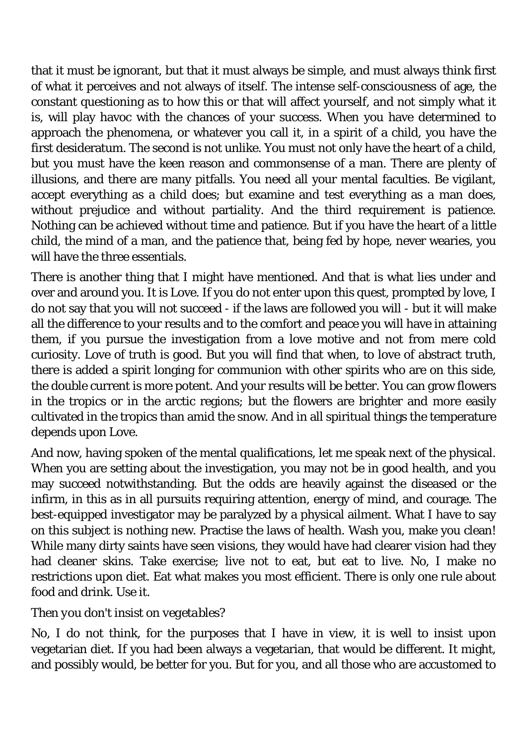that it must be ignorant, but that it must always be simple, and must always think first of what it perceives and not always of itself. The intense self-consciousness of age, the constant questioning as to how this or that will affect yourself, and not simply what it is, will play havoc with the chances of your success. When you have determined to approach the phenomena, or whatever you call it, in a spirit of a child, you have the first desideratum. The second is not unlike. You must not only have the heart of a child, but you must have the keen reason and commonsense of a man. There are plenty of illusions, and there are many pitfalls. You need all your mental faculties. Be vigilant, accept everything as a child does; but examine and test everything as a man does, without prejudice and without partiality. And the third requirement is patience. Nothing can be achieved without time and patience. But if you have the heart of a little child, the mind of a man, and the patience that, being fed by hope, never wearies, you will have the three essentials.

There is another thing that I might have mentioned. And that is what lies under and over and around you. It is Love. If you do not enter upon this quest, prompted by love, I do not say that you will not succeed - if the laws are followed you will - but it will make all the difference to your results and to the comfort and peace you will have in attaining them, if you pursue the investigation from a love motive and not from mere cold curiosity. Love of truth is good. But you will find that when, to love of abstract truth, there is added a spirit longing for communion with other spirits who are on this side, the double current is more potent. And your results will be better. You can grow flowers in the tropics or in the arctic regions; but the flowers are brighter and more easily cultivated in the tropics than amid the snow. And in all spiritual things the temperature depends upon Love.

And now, having spoken of the mental qualifications, let me speak next of the physical. When you are setting about the investigation, you may not be in good health, and you may succeed notwithstanding. But the odds are heavily against the diseased or the infirm, in this as in all pursuits requiring attention, energy of mind, and courage. The best-equipped investigator may be paralyzed by a physical ailment. What I have to say on this subject is nothing new. Practise the laws of health. Wash you, make you clean! While many dirty saints have seen visions, they would have had clearer vision had they had cleaner skins. Take exercise; live not to eat, but eat to live. No, I make no restrictions upon diet. Eat what makes you most efficient. There is only one rule about food and drink. Use it.

## *Then you don't insist on vegetables?*

No, I do not think, for the purposes that I have in view, it is well to insist upon vegetarian diet. If you had been always a vegetarian, that would be different. It might, and possibly would, be better for you. But for you, and all those who are accustomed to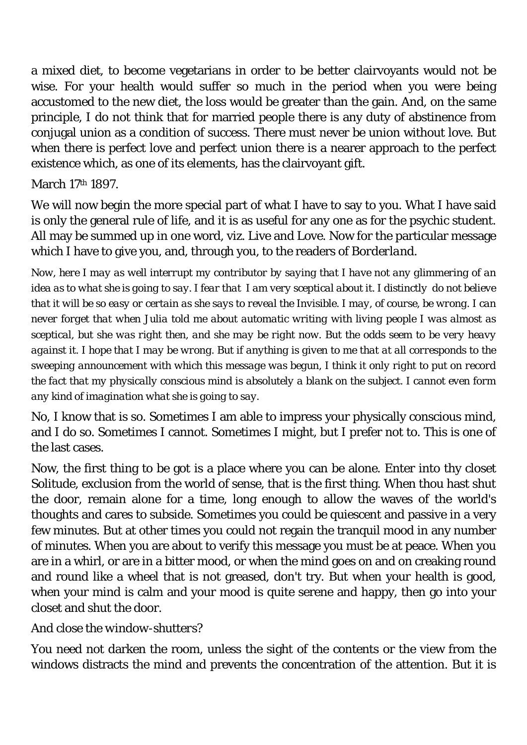a mixed diet, to become vegetarians in order to be better clairvoyants would not be wise. For your health would suffer so much in the period when you were being accustomed to the new diet, the loss would be greater than the gain. And, on the same principle, I do not think that for married people there is any duty of abstinence from conjugal union as a condition of success. There must never be union without love. But when there is perfect love and perfect union there is a nearer approach to the perfect existence which, as one of its elements, has the clairvoyant gift.

### March 17th 1897.

We will now begin the more special part of what I have to say to you. What I have said is only the general rule of life, and it is as useful for any one as for the psychic student. All may be summed up in one word, viz. Live and Love. Now for the particular message which I have to give you, and, through you, to the readers of *Borderland*.

*Now, here I may as well interrupt my contributor by saying that I have not any glimmering of an idea as to what she is going to say. I fear that I am very sceptical about it. I distinctly do not believe that it will be so easy or certain as she says to reveal the Invisible. I may, of course, be wrong. I can never forget that when Julia told me about automatic writing with living people I was almost as sceptical, but she was right then, and she may be right now. But the odds seem to be very heavy against it. I hope that I may be wrong. But if anything is given to me that at all corresponds to the sweeping announcement with which this message was begun, I think it only right to put on record the fact that my physically conscious mind is absolutely a blank on the subject. I cannot even form any kind of imagination what she is going to say.* 

No, I know that is so. Sometimes I am able to impress your physically conscious mind, and I do so. Sometimes I cannot. Sometimes I might, but I prefer not to. This is one of the last cases.

Now, the first thing to be got is a place where you can be alone. Enter into thy closet Solitude, exclusion from the world of sense, that is the first thing. When thou hast shut the door, remain alone for a time, long enough to allow the waves of the world's thoughts and cares to subside. Sometimes you could be quiescent and passive in a very few minutes. But at other times you could not regain the tranquil mood in any number of minutes. When you are about to verify this message you must be at peace. When you are in a whirl, or are in a bitter mood, or when the mind goes on and on creaking round and round like a wheel that is not greased, don't try. But when your health is good, when your mind is calm and your mood is quite serene and happy, then go into your closet and shut the door.

## *And close the window-shutters?*

You need not darken the room, unless the sight of the contents or the view from the windows distracts the mind and prevents the concentration of the attention. But it is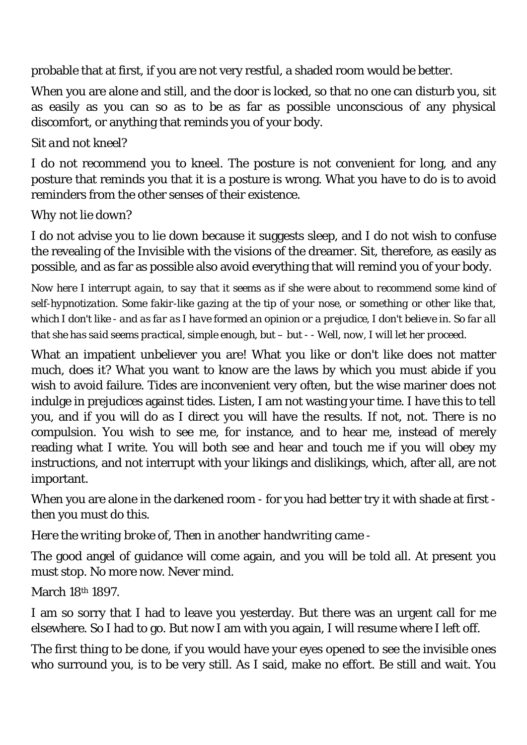probable that at first, if you are not very restful, a shaded room would be better.

When you are alone and still, and the door is locked, so that no one can disturb you, sit as easily as you can so as to be as far as possible unconscious of any physical discomfort, or anything that reminds you of your body.

# *Sit and not kneel?*

I do not recommend you to kneel. The posture is not convenient for long, and any posture that reminds you that it is a posture is wrong. What you have to do is to avoid reminders from the other senses of their existence.

## *Why not lie down?*

I do not advise you to lie down because it suggests sleep, and I do not wish to confuse the revealing of the Invisible with the visions of the dreamer. Sit, therefore, as easily as possible, and as far as possible also avoid everything that will remind you of your body.

*Now here I interrupt again, to say that it seems as if she were about to recommend some kind of self-hypnotization. Some fakir-like gazing at the tip of your nose, or something or other like that, which I don't like - and as far as I have formed an opinion or a prejudice, I don't believe in. So far all that she has said seems practical, simple enough, but – but - - Well, now, I will let her proceed.* 

What an impatient unbeliever you are! What you like or don't like does not matter much, does it? What you want to know are the laws by which you must abide if you wish to avoid failure. Tides are inconvenient very often, but the wise mariner does not indulge in prejudices against tides. Listen, I am not wasting your time. I have this to tell you, and if you will do as I direct you will have the results. If not, not. There is no compulsion. You wish to see me, for instance, and to hear me, instead of merely reading what I write. You will both see and hear and touch me if you will obey my instructions, and not interrupt with your likings and dislikings, which, after all, are not important.

When you are alone in the darkened room - for you had better try it with shade at first then you must do this.

*Here the writing broke of, Then in another handwriting came -* 

The good angel of guidance will come again, and you will be told all. At present you must stop. No more now. Never mind.

March 18th 1897.

I am so sorry that I had to leave you yesterday. But there was an urgent call for me elsewhere. So I had to go. But now I am with you again, I will resume where I left off.

The first thing to be done, if you would have your eyes opened to see the invisible ones who surround you, is to be very still. As I said, make no effort. Be still and wait. You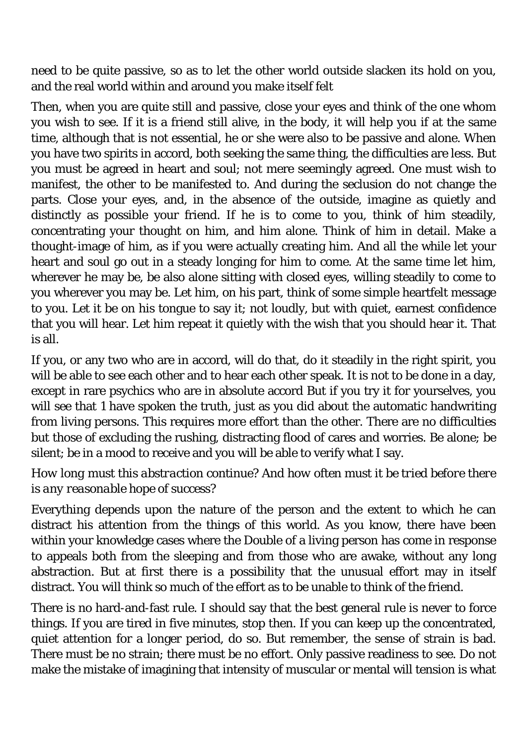need to be quite passive, so as to let the other world outside slacken its hold on you, and the real world within and around you make itself felt

Then, when you are quite still and passive, close your eyes and think of the one whom you wish to see. If it is a friend still alive, in the body, it will help you if at the same time, although that is not essential, he or she were also to be passive and alone. When you have two spirits in accord, both seeking the same thing, the difficulties are less. But you must be agreed in heart and soul; not mere seemingly agreed. One must wish to manifest, the other to be manifested to. And during the seclusion do not change the parts. Close your eyes, and, in the absence of the outside, imagine as quietly and distinctly as possible your friend. If he is to come to you, think of him steadily, concentrating your thought on him, and him alone. Think of him in detail. Make a thought-image of him, as if you were actually creating him. And all the while let your heart and soul go out in a steady longing for him to come. At the same time let him, wherever he may be, be also alone sitting with closed eyes, willing steadily to come to you wherever you may be. Let him, on his part, think of some simple heartfelt message to you. Let it be on his tongue to say it; not loudly, but with quiet, earnest confidence that you will hear. Let him repeat it quietly with the wish that you should hear it. That is all.

If you, or any two who are in accord, will do that, do it steadily in the right spirit, you will be able to see each other and to hear each other speak. It is not to be done in a day, except in rare psychics who are in absolute accord But if you try it for yourselves, you will see that 1 have spoken the truth, just as you did about the automatic handwriting from living persons. This requires more effort than the other. There are no difficulties but those of excluding the rushing, distracting flood of cares and worries. Be alone; be silent; be in a mood to receive and you will be able to verify what I say.

## *How long must this abstraction continue? And how often must it be tried before there is any reasonable hope of success?*

Everything depends upon the nature of the person and the extent to which he can distract his attention from the things of this world. As you know, there have been within your knowledge cases where the Double of a living person has come in response to appeals both from the sleeping and from those who are awake, without any long abstraction. But at first there is a possibility that the unusual effort may in itself distract. You will think so much of the effort as to be unable to think of the friend.

There is no hard-and-fast rule. I should say that the best general rule is never to force things. If you are tired in five minutes, stop then. If you can keep up the concentrated, quiet attention for a longer period, do so. But remember, the sense of strain is bad. There must be no strain; there must be no effort. Only passive readiness to see. Do not make the mistake of imagining that intensity of muscular or mental will tension is what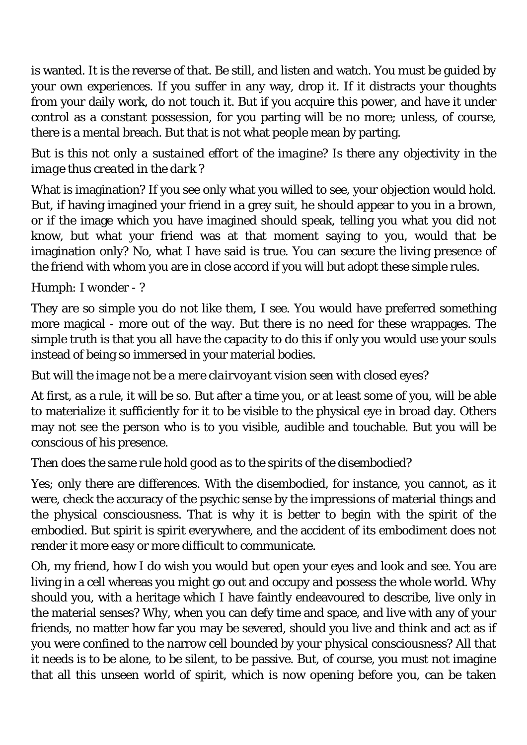is wanted. It is the reverse of that. Be still, and listen and watch. You must be guided by your own experiences. If you suffer in any way, drop it. If it distracts your thoughts from your daily work, do not touch it. But if you acquire this power, and have it under control as a constant possession, for you parting will be no more; unless, of course, there is a mental breach. But that is not what people mean by parting.

# *But is this not only a sustained effort of the imagine? Is there any objectivity in the image thus created in the dark ?*

What is imagination? If you see only what you willed to see, your objection would hold. But, if having imagined your friend in a grey suit, he should appear to you in a brown, or if the image which you have imagined should speak, telling you what you did not know, but what your friend was at that moment saying to you, would that be imagination only? No, what I have said is true. You can secure the living presence of the friend with whom you are in close accord if you will but adopt these simple rules.

# *Humph: I wonder - ?*

They are so simple you do not like them, I see. You would have preferred something more magical - more out of the way. But there is no need for these wrappages. The simple truth is that you all have the capacity to do this if only you would use your souls instead of being so immersed in your material bodies.

## *But will the image not be a mere clairvoyant vision seen with closed eyes?*

At first, as a rule, it will be so. But after a time you, or at least some of you, will be able to materialize it sufficiently for it to be visible to the physical eye in broad day. Others may not see the person who is to you visible, audible and touchable. But you will be conscious of his presence.

## *Then does the same rule hold good as to the spirits of the disembodied?*

Yes; only there are differences. With the disembodied, for instance, you cannot, as it were, check the accuracy of the psychic sense by the impressions of material things and the physical consciousness. That is why it is better to begin with the spirit of the embodied. But spirit is spirit everywhere, and the accident of its embodiment does not render it more easy or more difficult to communicate.

Oh, my friend, how I do wish you would but open your eyes and look and see. You are living in a cell whereas you might go out and occupy and possess the whole world. Why should you, with a heritage which I have faintly endeavoured to describe, live only in the material senses? Why, when you can defy time and space, and live with any of your friends, no matter how far you may be severed, should you live and think and act as if you were confined to the narrow cell bounded by your physical consciousness? All that it needs is to be alone, to be silent, to be passive. But, of course, you must not imagine that all this unseen world of spirit, which is now opening before you, can be taken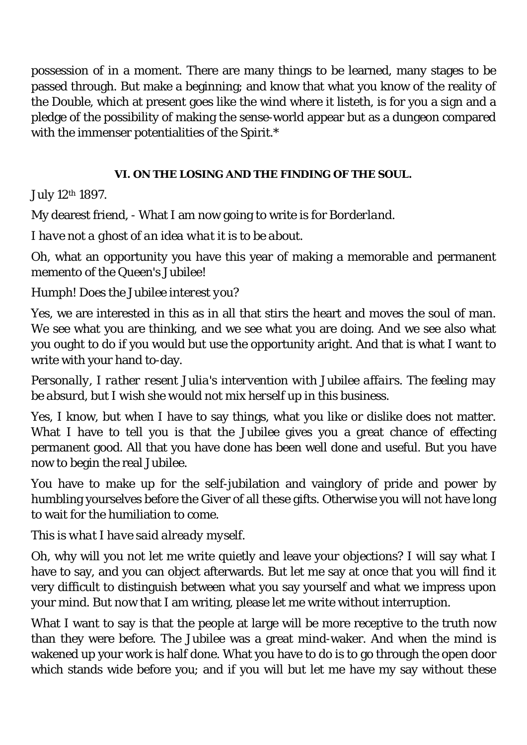possession of in a moment. There are many things to be learned, many stages to be passed through. But make a beginning; and know that what you know of the reality of the Double, which at present goes like the wind where it listeth, is for you a sign and a pledge of the possibility of making the sense-world appear but as a dungeon compared with the immenser potentialities of the Spirit.\*

## **VI. ON THE LOSING AND THE FINDING OF THE SOUL.**

# July 12th 1897.

My dearest friend, - What I am now going to write is for *Borderland*.

*I have not a ghost of an idea what it is to be about.* 

Oh, what an opportunity you have this year of making a memorable and permanent memento of the Queen's Jubilee!

*Humph! Does the Jubilee interest you?* 

Yes, we are interested in this as in all that stirs the heart and moves the soul of man. We see what you are thinking, and we see what you are doing. And we see also what you ought to do if you would but use the opportunity aright. And that is what I want to write with your hand to-day.

*Personally, I rather resent Julia's intervention with Jubilee affairs. The feeling may be absurd, but I wish she would not mix herself up in this business.* 

Yes, I know, but when I have to say things, what you like or dislike does not matter. What I have to tell you is that the Jubilee gives you a great chance of effecting permanent good. All that you have done has been well done and useful. But you have now to begin the real Jubilee.

You have to make up for the self-jubilation and vainglory of pride and power by humbling yourselves before the Giver of all these gifts. Otherwise you will not have long to wait for the humiliation to come.

# *This is what I have said already myself.*

Oh, why will you not let me write quietly and leave your objections? I will say what I have to say, and you can object afterwards. But let me say at once that you will find it very difficult to distinguish between what you say yourself and what we impress upon your mind. But now that I am writing, please let me write without interruption.

What I want to say is that the people at large will be more receptive to the truth now than they were before. The Jubilee was a great mind-waker. And when the mind is wakened up your work is half done. What you have to do is to go through the open door which stands wide before you; and if you will but let me have my say without these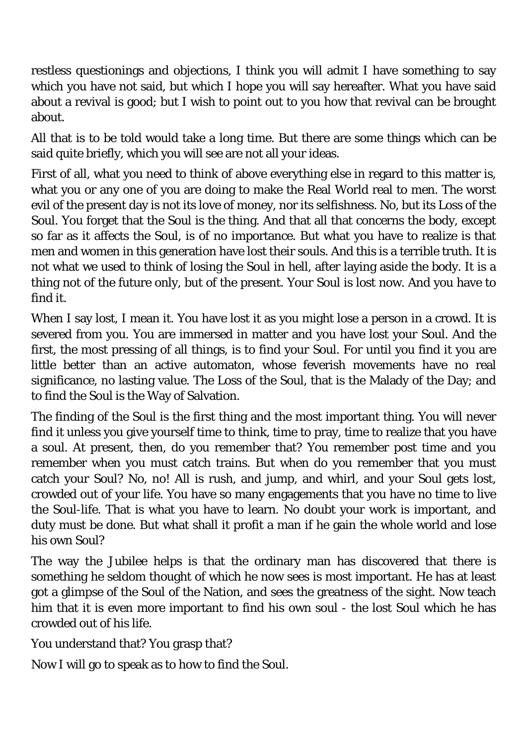restless questionings and objections, I think you will admit I have something to say which you have not said, but which I hope you will say hereafter. What you have said about a revival is good; but I wish to point out to you how that revival can be brought about.

All that is to be told would take a long time. But there are some things which can be said quite briefly, which you will see are not all your ideas.

First of all, what you need to think of above everything else in regard to this matter is, what you or any one of you are doing to make the Real World real to men. The worst evil of the present day is not its love of money, nor its selfishness. No, but its Loss of the Soul. You forget that the Soul is *the* thing. And that all that concerns the body, except so far as it affects the Soul, is of no importance. But what you have to realize is that men and women in this generation have lost their souls. And this is a terrible truth. It is not what we used to think of losing the Soul in hell, after laying aside the body. It is a thing not of the future only, but of the present. Your Soul is lost now. And you have to find it.

When I say lost, I mean it. You have lost it as you might lose a person in a crowd. It is severed from you. You are immersed in matter and you have lost your Soul. And the first, the most pressing of all things, is to find your Soul. For until you find it you are little better than an active automaton, whose feverish movements have no real significance, no lasting value. The Loss of the Soul, that is the Malady of the Day; and to find the Soul is the Way of Salvation.

The finding of the Soul is the first thing and the most important thing. You will never find it unless you give yourself time to think, time to pray, time to realize that you have a soul. At present, then, do you remember that? You remember post time and you remember when you must catch trains. But when do you remember that you must catch your Soul? No, no! All is rush, and jump, and whirl, and your Soul gets lost, crowded out of your life. You have so many engagements that you have no time to live the Soul-life. That is what you have to learn. No doubt your work is important, and duty must be done. But what shall it profit a man if he gain the whole world and lose his own Soul?

The way the Jubilee helps is that the ordinary man has discovered that there is something he seldom thought of which he now sees is most important. He has at least got a glimpse of the Soul of the Nation, and sees the greatness of the sight. Now teach him that it is even more important to find his own soul - the lost Soul which he has crowded out of his life.

You understand that? You grasp that?

Now I will go to speak as to how to find the Soul.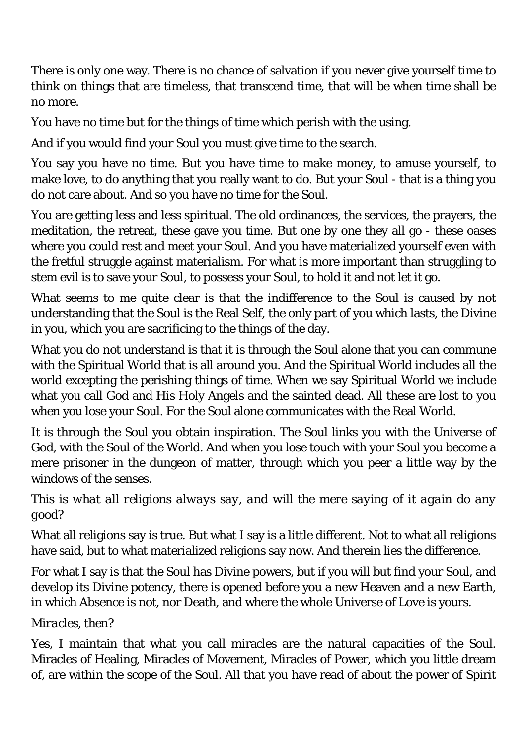There is only one way. There is no chance of salvation if you never give yourself time to think on things that are timeless, that transcend time, that will be when time shall be no more.

You have no time but for the things of time which perish with the using.

And if you would find your Soul you must give time to the search.

You say you have no time. But you have time to make money, to amuse yourself, to make love, to do anything that you really want to do. But your Soul - that is a thing you do not care about. And so you have no time for the Soul.

You are getting less and less spiritual. The old ordinances, the services, the prayers, the meditation, the retreat, these gave you time. But one by one they all go - these oases where you could rest and meet your Soul. And you have materialized yourself even with the fretful struggle against materialism. For what is more important than struggling to stem evil is to save your Soul, to possess your Soul, to hold it and not let it go.

What seems to me quite clear is that the indifference to the Soul is caused by not understanding that the Soul is the Real Self, the only part of you which lasts, the Divine in you, which you are sacrificing to the things of the day.

What you do not understand is that it is through the Soul alone that you can commune with the Spiritual World that is all around you. And the Spiritual World includes all the world excepting the perishing things of time. When we say Spiritual World we include what you call God and His Holy Angels and the sainted dead. All these are lost to you when you lose your Soul. For the Soul alone communicates with the Real World.

It is through the Soul you obtain inspiration. The Soul links you with the Universe of God, with the Soul of the World. And when you lose touch with your Soul you become a mere prisoner in the dungeon of matter, through which you peer a little way by the windows of the senses.

*This is what all religions always say, and will the mere saying of it again do any good?* 

What all religions say is true. But what I say is a little different. Not to what all religions have said, but to what materialized religions say now. And therein lies the difference.

For what I say is that the Soul has Divine powers, but if you will but find your Soul, and develop its Divine potency, there is opened before you a new Heaven and a new Earth, in which Absence is not, nor Death, and where the whole Universe of Love is yours.

## *Miracles, then?*

Yes, I maintain that what you call miracles are the natural capacities of the Soul. Miracles of Healing, Miracles of Movement, Miracles of Power, which you little dream of, are within the scope of the Soul. All that you have read of about the power of Spirit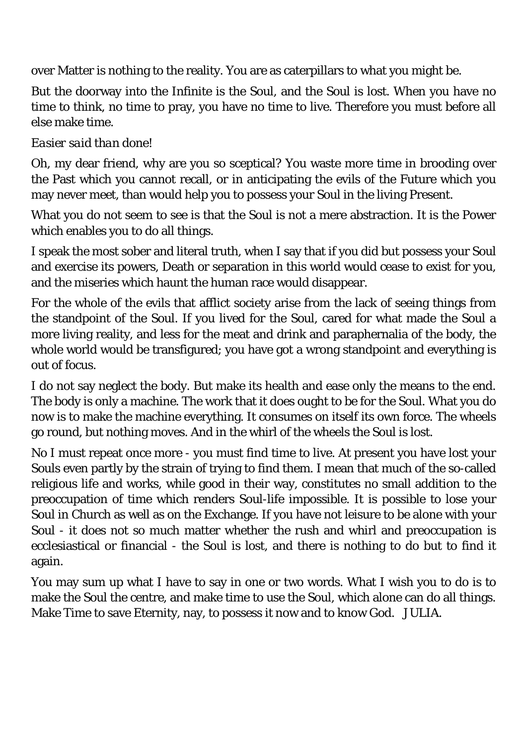over Matter is nothing to the reality. You are as caterpillars to what you might be.

But the doorway into the Infinite is the Soul, and the Soul is lost. When you have no time to think, no time to pray, you have no time to live. Therefore you must before all else make time.

## *Easier said than done!*

Oh, my dear friend, why are you so sceptical? You waste more time in brooding over the Past which you cannot recall, or in anticipating the evils of the Future which you may never meet, than would help you to possess your Soul in the living Present.

What you do not seem to see is that the Soul is not a mere abstraction. It is the Power which enables you to do all things.

I speak the most sober and literal truth, when I say that if you did but possess your Soul and exercise its powers, Death or separation in this world would cease to exist for you, and the miseries which haunt the human race would disappear.

For the whole of the evils that afflict society arise from the lack of seeing things from the standpoint of the Soul. If you lived for the Soul, cared for what made the Soul a more living reality, and less for the meat and drink and paraphernalia of the body, the whole world would be transfigured; you have got a wrong standpoint and everything is out of focus.

I do not say neglect the body. But make its health and ease only the means to the end. The body is only a machine. The work that it does ought to be for the Soul. What you do now is to make the machine everything. It consumes on itself its own force. The wheels go round, but nothing moves. And in the whirl of the wheels the Soul is lost.

No I must repeat once more - you must find time to live. At present you have lost your Souls even partly by the strain of trying to find them. I mean that much of the so-called religious life and works, while good in their way, constitutes no small addition to the preoccupation of time which renders Soul-life impossible. It is possible to lose your Soul in Church as well as on the Exchange. If you have not leisure to be alone with your Soul - it does not so much matter whether the rush and whirl and preoccupation is ecclesiastical or financial - the Soul is lost, and there is nothing to do but to find it again.

You may sum up what I have to say in one or two words. What I wish you to do is to make the Soul the centre, and make time to use the Soul, which alone can do all things. Make Time to save Eternity, nay, to possess it now and to know God. JULIA.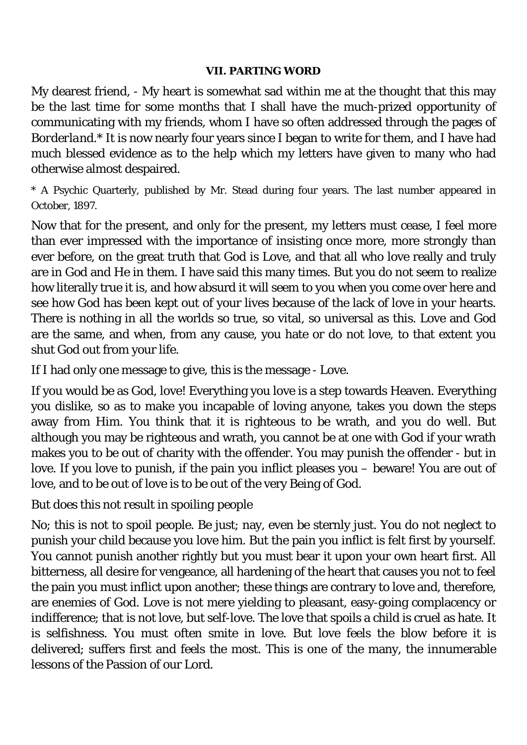#### **VII. PARTING WORD**

My dearest friend, - My heart is somewhat sad within me at the thought that this may be the last time for some months that I shall have the much-prized opportunity of communicating with my friends, whom I have so often addressed through the pages of *Borderland*.\* It is now nearly four years since I began to write for them, and I have had much blessed evidence as to the help which my letters have given to many who had otherwise almost despaired.

\* A Psychic Quarterly, published by Mr. Stead during four years. The last number appeared in October, 1897.

Now that for the present, and only for the present, my letters must cease, I feel more than ever impressed with the importance of insisting once more, more strongly than ever before, on the great truth that God is Love, and that all who love really and truly are in God and He in them. I have said this many times. But you do not seem to realize how literally true it is, and how absurd it will seem to you when you come over here and see how God has been kept out of your lives because of the lack of love in your hearts. There is nothing in all the worlds so true, so vital, so universal as this. Love and God are the same, and when, from any cause, you hate or do not love, to that extent you shut God out from your life.

If I had only one message to give, this is the message - Love.

If you would be as God, love! Everything you love is a step towards Heaven. Everything you dislike, so as to make you incapable of loving anyone, takes you down the steps away from Him. You think that it is righteous to be wrath, and you do well. But although you may be righteous and wrath, you cannot be at one with God if your wrath makes you to be out of charity with the offender. You may punish the offender - but in love. If you love to punish, if the pain you inflict pleases you – beware! You are out of love, and to be out of love is to be out of the very Being of God.

## *But does this not result in spoiling people*

No; this is not to spoil people. Be just; nay, even be sternly just. You do not neglect to punish your child because you love him. But the pain you inflict is felt first by yourself. You cannot punish another rightly but you must bear it upon your own heart first. All bitterness, all desire for vengeance, all hardening of the heart that causes you not to feel the pain you must inflict upon another; these things are contrary to love and, therefore, are enemies of God. Love is not mere yielding to pleasant, easy-going complacency or indifference; that is not love, but self-love. The love that spoils a child is cruel as hate. It is selfishness. You must often smite in love. But love feels the blow before it is delivered; suffers first and feels the most. This is one of the many, the innumerable lessons of the Passion of our Lord.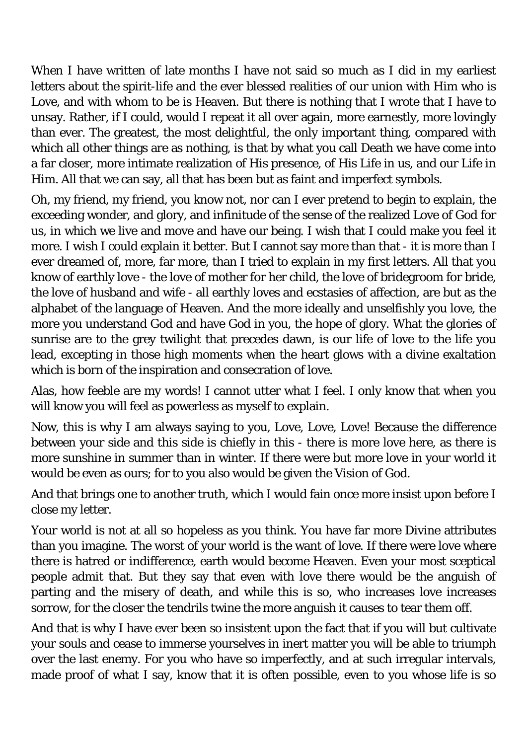When I have written of late months I have not said so much as I did in my earliest letters about the spirit-life and the ever blessed realities of our union with Him who is Love, and with whom to be is Heaven. But there is nothing that I wrote that I have to unsay. Rather, if I could, would I repeat it all over again, more earnestly, more lovingly than ever. The greatest, the most delightful, the only important thing, compared with which all other things are as nothing, is that by what you call Death we have come into a far closer, more intimate realization of His presence, of His Life in us, and our Life in Him. All that we can say, all that has been but as faint and imperfect symbols.

Oh, my friend, my friend, you know not, nor can I ever pretend to begin to explain, the exceeding wonder, and glory, and infinitude of the sense of the realized Love of God for us, in which we live and move and have our being. I wish that I could make you feel it more. I wish I could explain it better. But I cannot say more than that - it is more than I ever dreamed of, more, far more, than I tried to explain in my first letters. All that you know of earthly love - the love of mother for her child, the love of bridegroom for bride, the love of husband and wife - all earthly loves and ecstasies of affection, are but as the alphabet of the language of Heaven. And the more ideally and unselfishly you love, the more you understand God and have God in you, the hope of glory. What the glories of sunrise are to the grey twilight that precedes dawn, is our life of love to the life you lead, excepting in those high moments when the heart glows with a divine exaltation which is born of the inspiration and consecration of love.

Alas, how feeble are my words! I cannot utter what I feel. I only know that when you will know you will feel as powerless as myself to explain.

Now, this is why I am always saying to you, Love, Love, Love! Because the difference between your side and this side is chiefly in this - there is more love here, as there is more sunshine in summer than in winter. If there were but more love in your world it would be even as ours; for to you also would be given the Vision of God.

And that brings one to another truth, which I would fain once more insist upon before I close my letter.

Your world is not at all so hopeless as you think. You have far more Divine attributes than you imagine. The worst of your world is the want of love. If there were love where there is hatred or indifference, earth would become Heaven. Even your most sceptical people admit that. But they say that even with love there would be the anguish of parting and the misery of death, and while this is so, who increases love increases sorrow, for the closer the tendrils twine the more anguish it causes to tear them off.

And that is why I have ever been so insistent upon the fact that if you will but cultivate your souls and cease to immerse yourselves in inert matter you will be able to triumph over the last enemy. For you who have so imperfectly, and at such irregular intervals, made proof of what I say, know that it is often possible, even to you whose life is so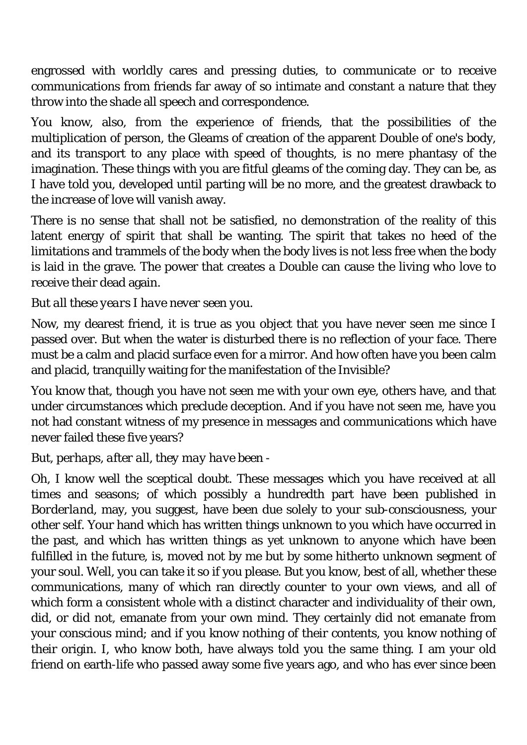engrossed with worldly cares and pressing duties, to communicate or to receive communications from friends far away of so intimate and constant a nature that they throw into the shade all speech and correspondence.

You know, also, from the experience of friends, that the possibilities of the multiplication of person, the Gleams of creation of the apparent Double of one's body, and its transport to any place with speed of thoughts, is no mere phantasy of the imagination. These things with you are fitful gleams of the coming day. They can be, as I have told you, developed until parting will be no more, and the greatest drawback to the increase of love will vanish away.

There is no sense that shall not be satisfied, no demonstration of the reality of this latent energy of spirit that shall be wanting. The spirit that takes no heed of the limitations and trammels of the body when the body lives is not less free when the body is laid in the grave. The power that creates a Double can cause the living who love to receive their dead again.

## *But all these years I have never seen you.*

Now, my dearest friend, it is true as you object that you have never seen me since I passed over. But when the water is disturbed there is no reflection of your face. There must be a calm and placid surface even for a mirror. And how often have you been calm and placid, tranquilly waiting for the manifestation of the Invisible?

You know that, though you have not seen me with your own eye, others have, and that under circumstances which preclude deception. And if you have not seen me, have you not had constant witness of my presence in messages and communications which have never failed these five years?

## *But, perhaps, after all, they may have been -*

Oh, I know well the sceptical doubt. These messages which you have received at all times and seasons; of which possibly a hundredth part have been published in *Borderland*, may, you suggest, have been due solely to your sub-consciousness, your other self. Your hand which has written things unknown to you which have occurred in the past, and which has written things as yet unknown to anyone which have been fulfilled in the future, is, moved not by me but by some hitherto unknown segment of your soul. Well, you can take it so if you please. But you know, best of all, whether these communications, many of which ran directly counter to your own views, and all of which form a consistent whole with a distinct character and individuality of their own, did, or did not, emanate from your own mind. They certainly did not emanate from your conscious mind; and if you know nothing of their contents, you know nothing of their origin. I, who know both, have always told you the same thing. I am your old friend on earth-life who passed away some five years ago, and who has ever since been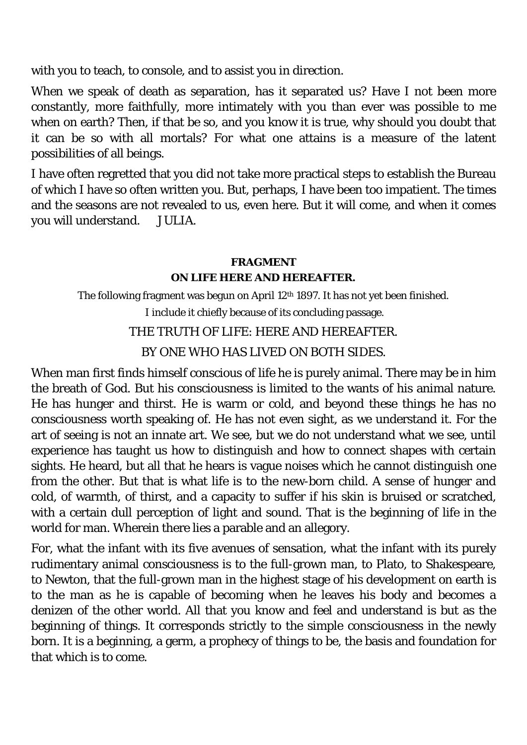with you to teach, to console, and to assist you in direction.

When we speak of death as separation, has it separated us? Have I not been more constantly, more faithfully, more intimately with you than ever was possible to me when on earth? Then, if that be so, and you know it is true, why should you doubt that it can be so with all mortals? For what one attains is a measure of the latent possibilities of all beings.

I have often regretted that you did not take more practical steps to establish the Bureau of which I have so often written you. But, perhaps, I have been too impatient. The times and the seasons are not revealed to us, even here. But it will come, and when it comes you will understand. JULIA.

### *FRAGMENT*  **ON LIFE HERE AND HEREAFTER.**

The following fragment was begun on April 12<sup>th</sup> 1897. It has not yet been finished.

I include it chiefly because of its concluding passage.

# THE TRUTH OF LIFE: HERE AND HEREAFTER.

BY ONE WHO HAS LIVED ON BOTH SIDES.

When man first finds himself conscious of life he is purely animal. There may be in him the breath of God. But his consciousness is limited to the wants of his animal nature. He has hunger and thirst. He is warm or cold, and beyond these things he has no consciousness worth speaking of. He has not even sight, as we understand it. For the art of seeing is not an innate art. We see, but we do not understand what we see, until experience has taught us how to distinguish and how to connect shapes with certain sights. He heard, but all that he hears is vague noises which he cannot distinguish one from the other. But that is what life is to the new-born child. A sense of hunger and cold, of warmth, of thirst, and a capacity to suffer if his skin is bruised or scratched, with a certain dull perception of light and sound. That is the beginning of life in the world for man. Wherein there lies a parable and an allegory.

For, what the infant with its five avenues of sensation, what the infant with its purely rudimentary animal consciousness is to the full-grown man, to Plato, to Shakespeare, to Newton, that the full-grown man in the highest stage of his development on earth is to the man as he is capable of becoming when he leaves his body and becomes a denizen of the other world. All that you know and feel and understand is but as the beginning of things. It corresponds strictly to the simple consciousness in the newly born. It is a beginning, a germ, a prophecy of things to be, the basis and foundation for that which is to come.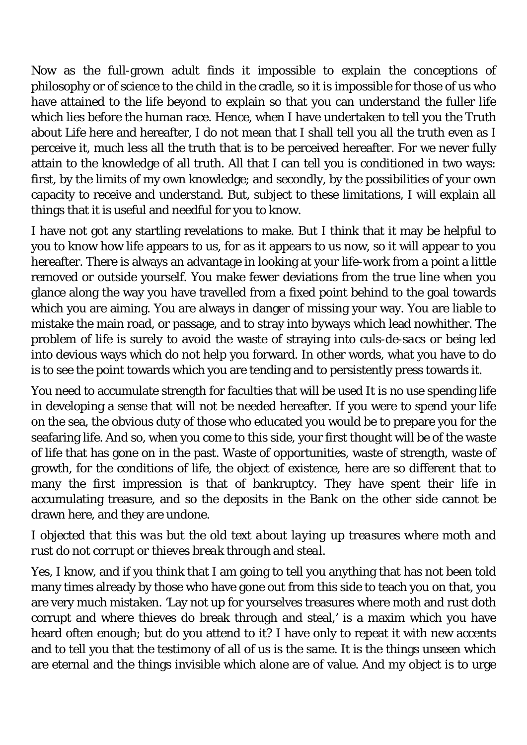Now as the full-grown adult finds it impossible to explain the conceptions of philosophy or of science to the child in the cradle, so it is impossible for those of us who have attained to the life beyond to explain so that you can understand the fuller life which lies before the human race. Hence, when I have undertaken to tell you the Truth about Life here and hereafter, I do not mean that I shall tell you all the truth even as I perceive it, much less all the truth that is to be perceived hereafter. For we never fully attain to the knowledge of all truth. All that I can tell you is conditioned in two ways: first, by the limits of my own knowledge; and secondly, by the possibilities of your own capacity to receive and understand. But, subject to these limitations, I will explain all things that it is useful and needful for you to know.

I have not got any startling revelations to make. But I think that it may be helpful to you to know how life appears to us, for as it appears to us now, so it will appear to you hereafter. There is always an advantage in looking at your life-work from a point a little removed or outside yourself. You make fewer deviations from the true line when you glance along the way you have travelled from a fixed point behind to the goal towards which you are aiming. You are always in danger of missing your way. You are liable to mistake the main road, or passage, and to stray into byways which lead nowhither. The problem of life is surely to avoid the waste of straying into *culs-de-sacs* or being led into devious ways which do not help you forward. In other words, what you have to do is to see the point towards which you are tending and to persistently press towards it.

You need to accumulate strength for faculties that will be used It is no use spending life in developing a sense that will not be needed hereafter. If you were to spend your life on the sea, the obvious duty of those who educated you would be to prepare you for the seafaring life. And so, when you come to this side, your first thought will be of the waste of life that has gone on in the past. Waste of opportunities, waste of strength, waste of growth, for the conditions of life, the object of existence, here are so different that to many the first impression is that of bankruptcy. They have spent their life in accumulating treasure, and so the deposits in the Bank on the other side cannot be drawn here, and they are undone.

## *I objected that this was but the old text about laying up treasures where moth and rust do not corrupt or thieves break through and steal.*

Yes, I know, and if you think that I am going to tell you anything that has not been told many times already by those who have gone out from this side to teach you on that, you are very much mistaken. 'Lay not up for yourselves treasures where moth and rust doth corrupt and where thieves do break through and steal,' is a maxim which you have heard often enough; but do you attend to it? I have only to repeat it with new accents and to tell you that the testimony of all of us is the same. It is the things unseen which are eternal and the things invisible which alone are of value. And my object is to urge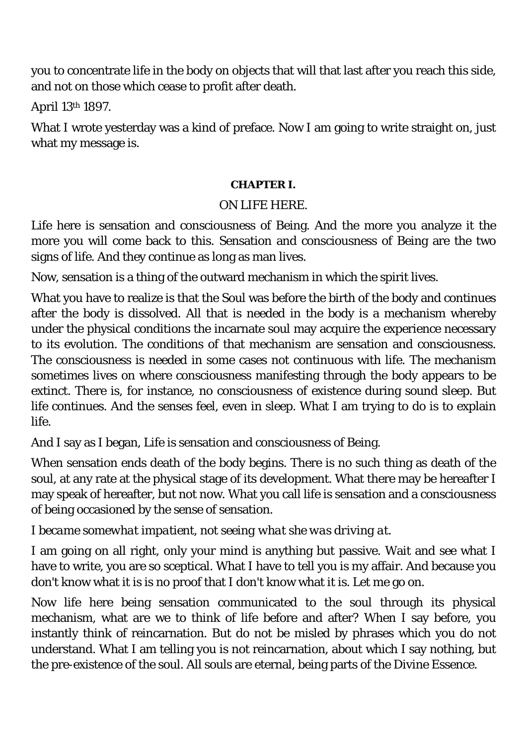you to concentrate life in the body on objects that will that last after you reach this side, and not on those which cease to profit after death.

April 13th 1897.

What I wrote yesterday was a kind of preface. Now I am going to write straight on, just what my message is.

### **CHAPTER I.**

## ON LIFE HERE.

Life here is sensation and consciousness of Being. And the more you analyze it the more you will come back to this. Sensation and consciousness of Being are the two signs of life. And they continue as long as man lives.

Now, sensation is a thing of the outward mechanism in which the spirit lives.

What you have to realize is that the Soul was before the birth of the body and continues after the body is dissolved. All that is needed in the body is a mechanism whereby under the physical conditions the incarnate soul may acquire the experience necessary to its evolution. The conditions of that mechanism are sensation and consciousness. The consciousness is needed in some cases not continuous with life. The mechanism sometimes lives on where consciousness manifesting through the body appears to be extinct. There is, for instance, no consciousness of existence during sound sleep. But life continues. And the senses feel, even in sleep. What I am trying to do is to explain life.

And I say as I began, Life is sensation and consciousness of Being.

When sensation ends death of the body begins. There is no such thing as death of the soul, at any rate at the physical stage of its development. What there may be hereafter I may speak of hereafter, but not now. What you call life is sensation and a consciousness of being occasioned by the sense of sensation.

*I became somewhat impatient, not seeing what she was driving at.* 

I am going on all right, only your mind is anything but passive. Wait and see what I have to write, you are so sceptical. What I have to tell you is my affair. And because you don't know what it is is no proof that I don't know what it is. Let me go on.

Now life here being sensation communicated to the soul through its physical mechanism, what are we to think of life before and after? When I say before, you instantly think of reincarnation. But do not be misled by phrases which you do not understand. What I am telling you is not reincarnation, about which I say nothing, but the pre-existence of the soul. All souls are eternal, being parts of the Divine Essence.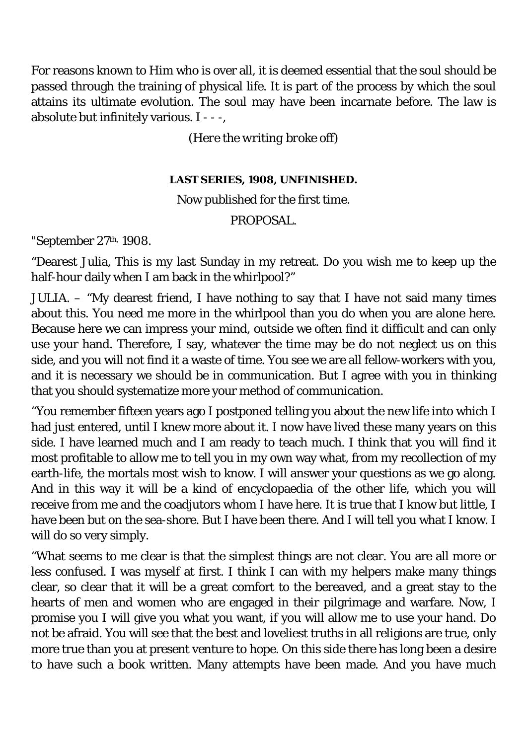For reasons known to Him who is over all, it is deemed essential that the soul should be passed through the training of physical life. It is part of the process by which the soul attains its ultimate evolution. The soul may have been incarnate before. The law is absolute but infinitely various. I - - -,

*(Here the writing broke off)* 

#### **LAST SERIES, 1908, UNFINISHED.**

### Now published for the first time.

### PROPOSAL.

"September 27th, 1908.

"Dearest Julia, This is my last Sunday in my retreat. Do you wish me to keep up the half-hour daily when I am back in the whirlpool?"

JULIA. – "My dearest friend, I have nothing to say that I have not said many times about this. You need me more in the whirlpool than you do when you are alone here. Because here we can impress your mind, outside we often find it difficult and can only use your hand. Therefore, I say, whatever the time may be do not neglect us on this side, and you will not find it a waste of time. You see we are all fellow-workers with you, and it is necessary we should be in communication. But I agree with you in thinking that you should systematize more your method of communication.

"You remember fifteen years ago I postponed telling you about the new life into which I had just entered, until I knew more about it. I now have lived these many years on this side. I have learned much and I am ready to teach much. I think that you will find it most profitable to allow me to tell you in my own way what, from my recollection of my earth-life, the mortals most wish to know. I will answer your questions as we go along. And in this way it will be a kind of encyclopaedia of the other life, which you will receive from me and the coadjutors whom I have here. It is true that I know but little, I have been but on the sea-shore. But I have been there. And I will tell you what I know. I will do so very simply.

"What seems to me clear is that the simplest things are not clear. You are all more or less confused. I was myself at first. I think I can with my helpers make many things clear, so clear that it will be a great comfort to the bereaved, and a great stay to the hearts of men and women who are engaged in their pilgrimage and warfare. Now, I promise you I will give you what you want, if you will allow me to use your hand. Do not be afraid. You will see that the best and loveliest truths in all religions are true, only more true than you at present venture to hope. On this side there has long been a desire to have such a book written. Many attempts have been made. And you have much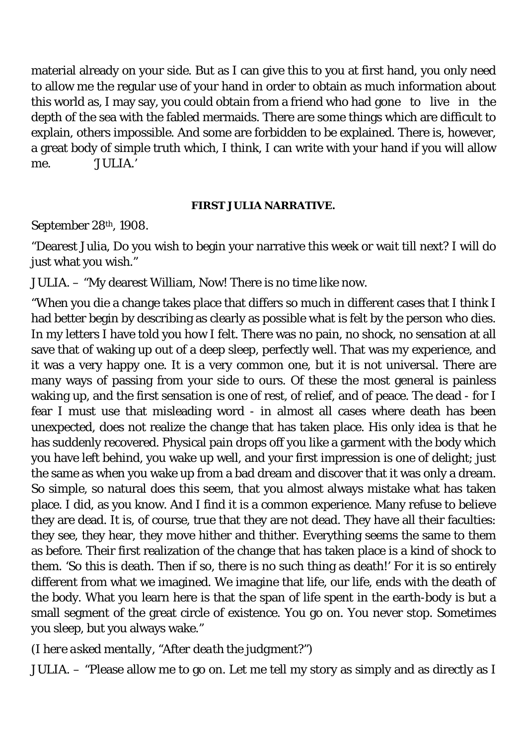material already on your side. But as I can give this to you at first hand, you only need to allow me the regular use of your hand in order to obtain as much information about this world as, I may say, you could obtain from a friend who had gone to live in the depth of the sea with the fabled mermaids. There are some things which are difficult to explain, others impossible. And some are forbidden to be explained. There is, however, a great body of simple truth which, I think, I can write with your hand if you will allow me. 'JULIA.'

#### **FIRST JULIA NARRATIVE.**

September 28th, 1908.

"Dearest Julia, Do you wish to begin your narrative this week or wait till next? I will do just what you wish."

JULIA. – "My dearest William, Now! There is no time like now.

"When you die a change takes place that differs so much in different cases that I think I had better begin by describing as clearly as possible what is felt by the person who dies. In my letters I have told you how I felt. There was no pain, no shock, no sensation at all save that of waking up out of a deep sleep, perfectly well. That was my experience, and it was a very happy one. It is a very common one, but it is not universal. There are many ways of passing from your side to ours. Of these the most general is painless waking up, and the first sensation is one of rest, of relief, and of peace. The dead - for I fear I must use that misleading word - in almost all cases where death has been unexpected, does not realize the change that has taken place. His only idea is that he has suddenly recovered. Physical pain drops off you like a garment with the body which you have left behind, you wake up well, and your first impression is one of delight; just the same as when you wake up from a bad dream and discover that it was only a dream. So simple, so natural does this seem, that you almost always mistake what has taken place. I did, as you know. And I find it is a common experience. Many refuse to believe they are dead. It is, of course, true that they are not dead. They have all their faculties: they see, they hear, they move hither and thither. Everything seems the same to them as before. Their first realization of the change that has taken place is a kind of shock to them. 'So this is death. Then if so, there is no such thing as death!' For it is so entirely different from what we imagined. We imagine that life, our life, ends with the death of the body. What you learn here is that the span of life spent in the earth-body is but a small segment of the great circle of existence. You go on. You never stop. Sometimes you sleep, but you always wake."

## *(I here asked mentally, "After death the judgment?")*

JULIA. – "Please allow me to go on. Let me tell my story as simply and as directly as I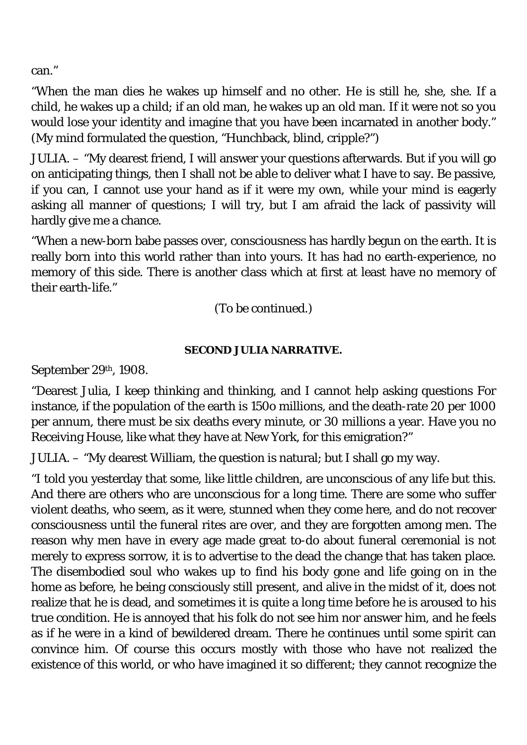can."

"When the man dies he wakes up himself and no other. He is still he, she, she. If a child, he wakes up a child; if an old man, he wakes up an old man. If it were not so you would lose your identity and imagine that you have been incarnated in another body." (My mind formulated the question, "Hunchback, blind, cripple?")

JULIA. – "My dearest friend, I will answer your questions afterwards. But if you will go on anticipating things, then I shall not be able to deliver what I have to say. Be passive, if you can, I cannot use your hand as if it were my own, while your mind is eagerly asking all manner of questions; I will try, but I am afraid the lack of passivity will hardly give me a chance.

"When a new-born babe passes over, consciousness has hardly begun on the earth. It is really born into this world rather than into yours. It has had no earth-experience, no memory of this side. There is another class which at first at least have no memory of their earth-life."

(To be continued.)

### **SECOND JULIA NARRATIVE.**

September 29th, 1908.

"Dearest Julia, I keep thinking and thinking, and I cannot help asking questions For instance, if the population of the earth is 150o millions, and the death-rate 20 per 1000 per annum, there must be six deaths every minute, or 30 millions a year. Have you no Receiving House, like what they have at New York, for this emigration?"

JULIA. – "My dearest William, the question is natural; but I shall go my way.

"I told you yesterday that some, like little children, are unconscious of any life but this. And there are others who are unconscious for a long time. There are some who suffer violent deaths, who seem, as it were, stunned when they come here, and do not recover consciousness until the funeral rites are over, and they are forgotten among men. The reason why men have in every age made great to-do about funeral ceremonial is not merely to express sorrow, it is to advertise to the dead the change that has taken place. The disembodied soul who wakes up to find his body gone and life going on in the home as before, he being consciously still present, and alive in the midst of it, does not realize that he is dead, and sometimes it is quite a long time before he is aroused to his true condition. He is annoyed that his folk do not see him nor answer him, and he feels as if he were in a kind of bewildered dream. There he continues until some spirit can convince him. Of course this occurs mostly with those who have not realized the existence of this world, or who have imagined it so different; they cannot recognize the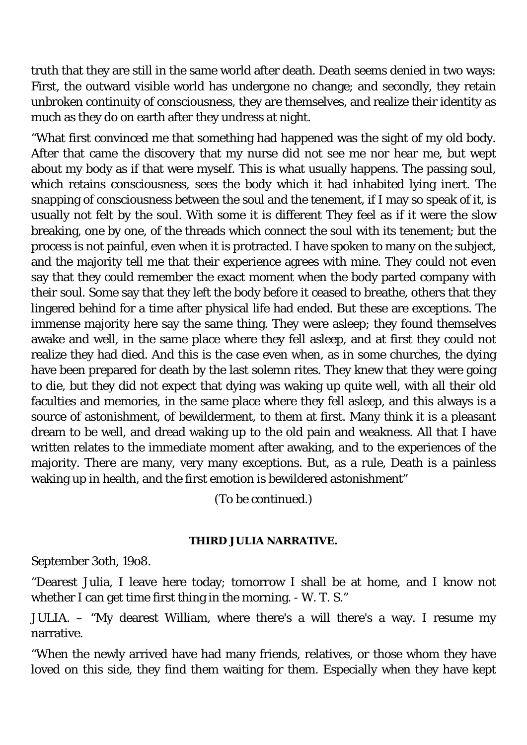truth that they are still in the same world after death. Death seems denied in two ways: First, the outward visible world has undergone no change; and secondly, they retain unbroken continuity of consciousness, they are themselves, and realize their identity as much as they do on earth after they undress at night.

"What first convinced me that something had happened was the sight of my old body. After that came the discovery that my nurse did not see me nor hear me, but wept about my body as if that were myself. This is what usually happens. The passing soul, which retains consciousness, sees the body which it had inhabited lying inert. The snapping of consciousness between the soul and the tenement, if I may so speak of it, is usually not felt by the soul. With some it is different They feel as if it were the slow breaking, one by one, of the threads which connect the soul with its tenement; but the process is not painful, even when it is protracted. I have spoken to many on the subject, and the majority tell me that their experience agrees with mine. They could not even say that they could remember the exact moment when the body parted company with their soul. Some say that they left the body before it ceased to breathe, others that they lingered behind for a time after physical life had ended. But these are exceptions. The immense majority here say the same thing. They were asleep; they found themselves awake and well, in the same place where they fell asleep, and at first they could not realize they had died. And this is the case even when, as in some churches, the dying have been prepared for death by the last solemn rites. They knew that they were going to die, but they did not expect that dying was waking up quite well, with all their old faculties and memories, in the same place where they fell asleep, and this always is a source of astonishment, of bewilderment, to them at first. Many think it is a pleasant dream to be well, and dread waking up to the old pain and weakness. All that I have written relates to the immediate moment after awaking, and to the experiences of the majority. There are many, very many exceptions. But, as a rule, Death is a painless waking up in health, and the first emotion is bewildered astonishment"

(To be continued.)

#### **THIRD JULIA NARRATIVE.**

September 3oth, 19o8.

"Dearest Julia, I leave here today; tomorrow I shall be at home, and I know not whether I can get time first thing in the morning. - W. T. S."

JULIA. – "My dearest William, where there's a will there's a way. I resume my narrative.

"When the newly arrived have had many friends, relatives, or those whom they have loved on this side, they find them waiting for them. Especially when they have kept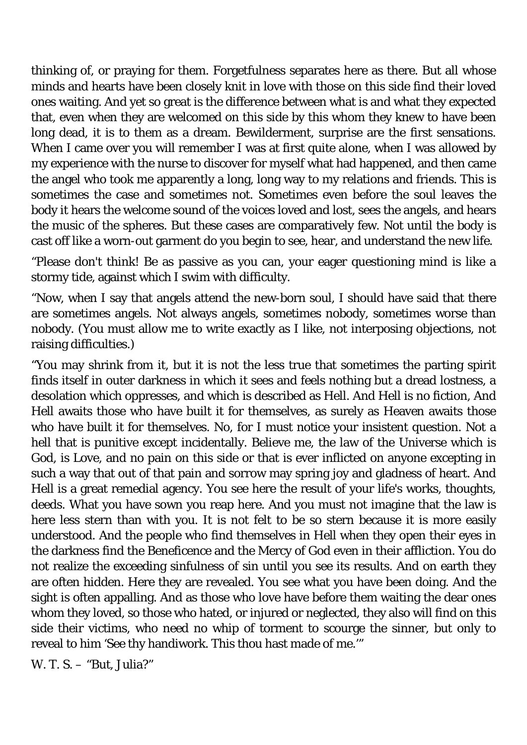thinking of, or praying for them. Forgetfulness separates here as there. But all whose minds and hearts have been closely knit in love with those on this side find their loved ones waiting. And yet so great is the difference between what is and what they expected that, even when they are welcomed on this side by this whom they knew to have been long dead, it is to them as a dream. Bewilderment, surprise are the first sensations. When I came over you will remember I was at first quite alone, when I was allowed by my experience with the nurse to discover for myself what had happened, and then came the angel who took me apparently a long, long way to my relations and friends. This is sometimes the case and sometimes not. Sometimes even before the soul leaves the body it hears the welcome sound of the voices loved and lost, sees the angels, and hears the music of the spheres. But these cases are comparatively few. Not until the body is cast off like a worn-out garment do you begin to see, hear, and understand the new life.

"Please don't think! Be as passive as you can, your eager questioning mind is like a stormy tide, against which I swim with difficulty.

"Now, when I say that angels attend the new-born soul, I should have said that there are sometimes angels. Not always angels, sometimes nobody, sometimes worse than nobody. (You must allow me to write exactly as I like, not interposing objections, not raising difficulties.)

"You may shrink from it, but it is not the less true that sometimes the parting spirit finds itself in outer darkness in which it sees and feels nothing but a dread lostness, a desolation which oppresses, and which is described as Hell. And Hell is no fiction, And Hell awaits those who have built it for themselves, as surely as Heaven awaits those who have built it for themselves. No, for I must notice your insistent question. Not a hell that is punitive except incidentally. Believe me, the law of the Universe which is God, is Love, and no pain on this side or that is ever inflicted on anyone excepting in such a way that out of that pain and sorrow may spring joy and gladness of heart. And Hell is a great remedial agency. You see here the result of your life's works, thoughts, deeds. What you have sown you reap here. And you must not imagine that the law is here less stern than with you. It is not felt to be so stern because it is more easily understood. And the people who find themselves in Hell when they open their eyes in the darkness find the Beneficence and the Mercy of God even in their affliction. You do not realize the exceeding sinfulness of sin until you see its results. And on earth they are often hidden. Here they are revealed. You see what you have been doing. And the sight is often appalling. And as those who love have before them waiting the dear ones whom they loved, so those who hated, or injured or neglected, they also will find on this side their victims, who need no whip of torment to scourge the sinner, but only to reveal to him 'See thy handiwork. This thou hast made of me.'"

W. T. S. – "But, Julia?"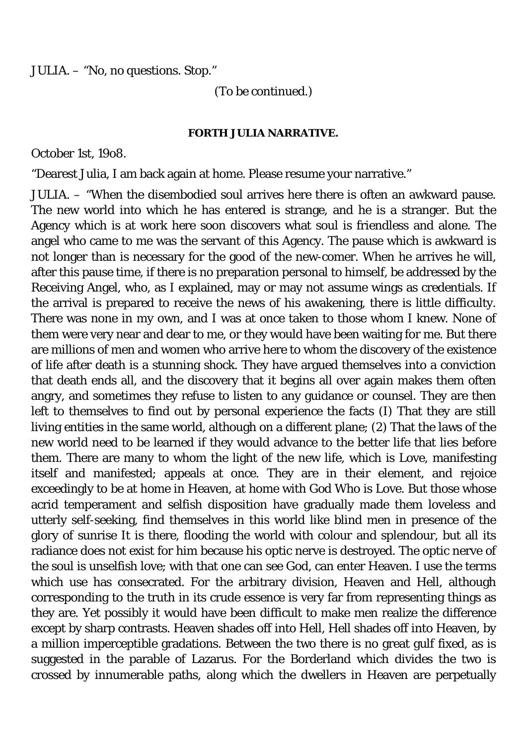JULIA. – "No, no questions. Stop."

(To be continued.)

#### **FORTH JULIA NARRATIVE.**

October 1st, 19o8.

"Dearest Julia, I am back again at home. Please resume your narrative."

JULIA. – "When the disembodied soul arrives here there is often an awkward pause. The new world into which he has entered is strange, and he is a stranger. But the Agency which is at work here soon discovers what soul is friendless and alone. The angel who came to me was the servant of this Agency. The pause which is awkward is not longer than is necessary for the good of the new-comer. When he arrives he will, after this pause time, if there is no preparation personal to himself, be addressed by the Receiving Angel, who, as I explained, may or may not assume wings as credentials. If the arrival is prepared to receive the news of his awakening, there is little difficulty. There was none in my own, and I was at once taken to those whom I knew. None of them were very near and dear to me, or they would have been waiting for me. But there are millions of men and women who arrive here to whom the discovery of the existence of life after death is a stunning shock. They have argued themselves into a conviction that death ends all, and the discovery that it begins all over again makes them often angry, and sometimes they refuse to listen to any guidance or counsel. They are then left to themselves to find out by personal experience the facts (I) That they are still living entities in the same world, although on a different plane; (2) That the laws of the new world need to be learned if they would advance to the better life that lies before them. There are many to whom the light of the new life, which is Love, manifesting itself and manifested; appeals at once. They are in their element, and rejoice exceedingly to be at home in Heaven, at home with God Who is Love. But those whose acrid temperament and selfish disposition have gradually made them loveless and utterly self-seeking, find themselves in this world like blind men in presence of the glory of sunrise It is there, flooding the world with colour and splendour, but all its radiance does not exist for him because his optic nerve is destroyed. The optic nerve of the soul is unselfish love; with that one can see God, can enter Heaven. I use the terms which use has consecrated. For the arbitrary division, Heaven and Hell, although corresponding to the truth in its crude essence is very far from representing things as they are. Yet possibly it would have been difficult to make men realize the difference except by sharp contrasts. Heaven shades off into Hell, Hell shades off into Heaven, by a million imperceptible gradations. Between the two there is no great gulf fixed, as is suggested in the parable of Lazarus. For the Borderland which divides the two is crossed by innumerable paths, along which the dwellers in Heaven are perpetually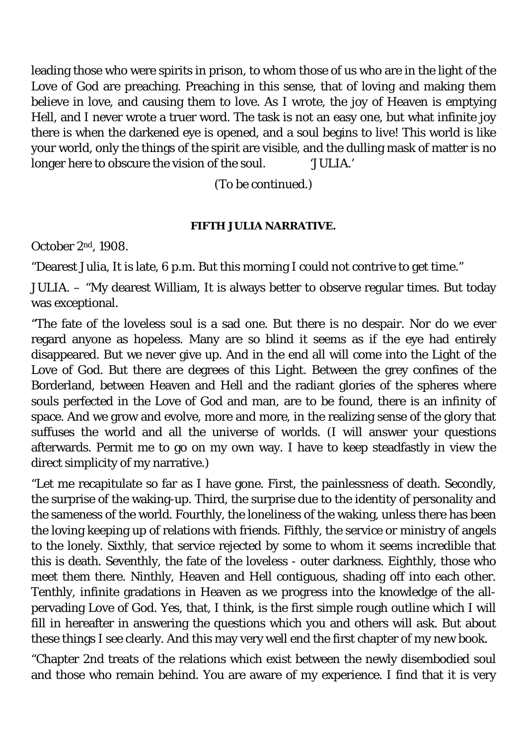leading those who were spirits in prison, to whom those of us who are in the light of the Love of God are preaching. Preaching in this sense, that of loving and making them believe in love, and causing them to love. As I wrote, the joy of Heaven is emptying Hell, and I never wrote a truer word. The task is not an easy one, but what infinite joy there is when the darkened eye is opened, and a soul begins to live! This world is like your world, only the things of the spirit are visible, and the dulling mask of matter is no longer here to obscure the vision of the soul. 'JULIA.'

(To be continued.)

#### **FIFTH JULIA NARRATIVE.**

October 2nd, 1908.

"Dearest Julia, It is late, 6 p.m. But this morning I could not contrive to get time."

JULIA. – "My dearest William, It is always better to observe regular times. But today was exceptional.

"The fate of the loveless soul is a sad one. But there is no despair. Nor do we ever regard anyone as hopeless. Many are so blind it seems as if the eye had entirely disappeared. But we never give up. And in the end all will come into the Light of the Love of God. But there are degrees of this Light. Between the grey confines of the Borderland, between Heaven and Hell and the radiant glories of the spheres where souls perfected in the Love of God and man, are to be found, there is an infinity of space. And we grow and evolve, more and more, in the realizing sense of the glory that suffuses the world and all the universe of worlds. (I will answer your questions afterwards. Permit me to go on my own way. I have to keep steadfastly in view the direct simplicity of my narrative.)

"Let me recapitulate so far as I have gone. First, the painlessness of death. Secondly, the surprise of the waking-up. Third, the surprise due to the identity of personality and the sameness of the world. Fourthly, the loneliness of the waking, unless there has been the loving keeping up of relations with friends. Fifthly, the service or ministry of angels to the lonely. Sixthly, that service rejected by some to whom it seems incredible that this is death. Seventhly, the fate of the loveless - outer darkness. Eighthly, those who meet them there. Ninthly, Heaven and Hell contiguous, shading off into each other. Tenthly, infinite gradations in Heaven as we progress into the knowledge of the allpervading Love of God. Yes, that, I think, is the first simple rough outline which I will fill in hereafter in answering the questions which you and others will ask. But about these things I see clearly. And this may very well end the first chapter of my new book.

"Chapter 2nd treats of the relations which exist between the newly disembodied soul and those who remain behind. You are aware of my experience. I find that it is very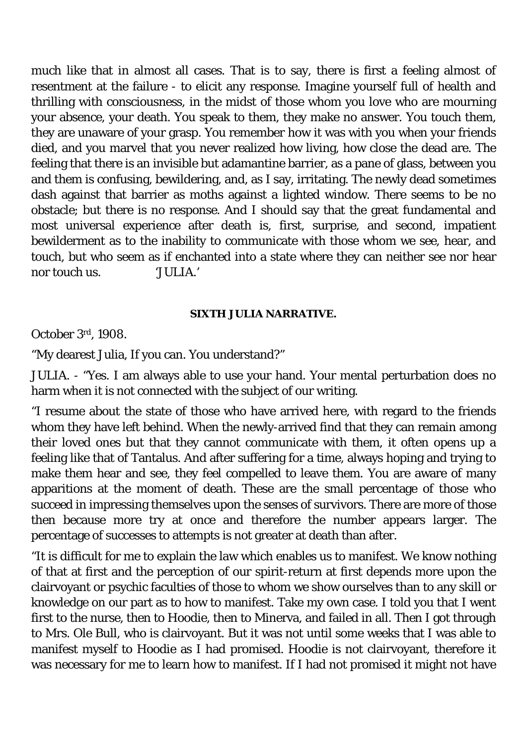much like that in almost all cases. That is to say, there is first a feeling almost of resentment at the failure - to elicit any response. Imagine yourself full of health and thrilling with consciousness, in the midst of those whom you love who are mourning your absence, your death. You speak to them, they make no answer. You touch them, they are unaware of your grasp. You remember how it was with you when your friends died, and you marvel that you never realized how living, how close the dead are. The feeling that there is an invisible but adamantine barrier, as a pane of glass, between you and them is confusing, bewildering, and, as I say, irritating. The newly dead sometimes dash against that barrier as moths against a lighted window. There seems to be no obstacle; but there is no response. And I should say that the great fundamental and most universal experience after death is, first, surprise, and second, impatient bewilderment as to the inability to communicate with those whom we see, hear, and touch, but who seem as if enchanted into a state where they can neither see nor hear nor touch us. 'JULIA.'

#### **SIXTH JULIA NARRATIVE.**

October 3rd, 1908.

"My dearest Julia, If you can. You understand?"

JULIA. - "Yes. I am always able to use your hand. Your mental perturbation does no harm when it is not connected with the subject of our writing.

"I resume about the state of those who have arrived here, with regard to the friends whom they have left behind. When the newly-arrived find that they can remain among their loved ones but that they cannot communicate with them, it often opens up a feeling like that of Tantalus. And after suffering for a time, always hoping and trying to make them hear and see, they feel compelled to leave them. You are aware of many apparitions at the moment of death. These are the small percentage of those who succeed in impressing themselves upon the senses of survivors. There are more of those then because more try at once and therefore the number appears larger. The percentage of successes to attempts is not greater at death than after.

"It is difficult for me to explain the law which enables us to manifest. We know nothing of that at first and the perception of our spirit-return at first depends more upon the clairvoyant or psychic faculties of those to whom we show ourselves than to any skill or knowledge on our part as to how to manifest. Take my own case. I told you that I went first to the nurse, then to Hoodie, then to Minerva, and failed in all. Then I got through to Mrs. Ole Bull, who is clairvoyant. But it was not until some weeks that I was able to manifest myself to Hoodie as I had promised. Hoodie is not clairvoyant, therefore it was necessary for me to learn how to manifest. If I had not promised it might not have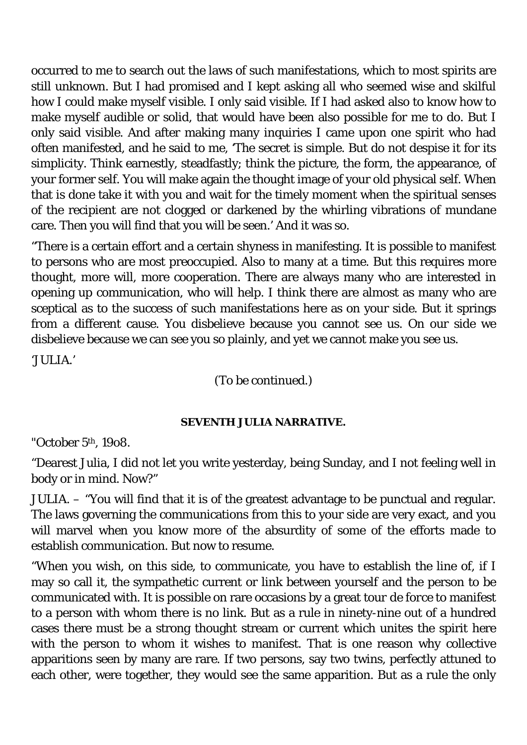occurred to me to search out the laws of such manifestations, which to most spirits are still unknown. But I had promised and I kept asking all who seemed wise and skilful how I could make myself visible. I only said visible. If I had asked also to know how to make myself audible or solid, that would have been also possible for me to do. But I only said visible. And after making many inquiries I came upon one spirit who had often manifested, and he said to me, 'The secret is simple. But do not despise it for its simplicity. Think earnestly, steadfastly; think the picture, the form, the appearance, of your former self. You will make again the thought image of your old physical self. When that is done take it with you and wait for the timely moment when the spiritual senses of the recipient are not clogged or darkened by the whirling vibrations of mundane care. Then you will find that you will be seen.' And it was so.

"There is a certain effort and a certain shyness in manifesting. It is possible to manifest to persons who are most preoccupied. Also to many at a time. But this requires more thought, more will, more cooperation. There are always many who are interested in opening up communication, who will help. I think there are almost as many who are sceptical as to the success of such manifestations here as on your side. But it springs from a different cause. You disbelieve because you cannot see us. On our side we disbelieve because we can see you so plainly, and yet we cannot make you see us.

'JULIA.'

(To be continued.)

#### **SEVENTH JULIA NARRATIVE.**

"October 5th, 19o8.

"Dearest Julia, I did not let you write yesterday, being Sunday, and I not feeling well in body or in mind. Now?"

JULIA. – "You will find that it is of the greatest advantage to be punctual and regular. The laws governing the communications from this to your side are very exact, and you will marvel when you know more of the absurdity of some of the efforts made to establish communication. But now to resume.

"When you wish, on this side, to communicate, you have to establish the line of, if I may so call it, the sympathetic current or link between yourself and the person to be communicated with. It is possible on rare occasions by a great *tour de force* to manifest to a person with whom there is no link. But as a rule in ninety-nine out of a hundred cases there must be a strong thought stream or current which unites the spirit here with the person to whom it wishes to manifest. That is one reason why collective apparitions seen by many are rare. If two persons, say two twins, perfectly attuned to each other, were together, they would see the same apparition. But as a rule the only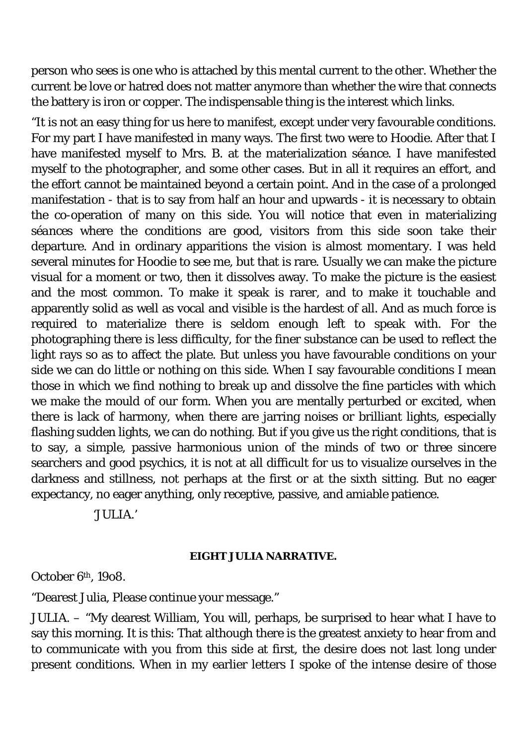person who sees is one who is attached by this mental current to the other. Whether the current be love or hatred does not matter anymore than whether the wire that connects the battery is iron or copper. The indispensable thing is the interest which links.

"It is not an easy thing for us here to manifest, except under very favourable conditions. For my part I have manifested in many ways. The first two were to Hoodie. After that I have manifested myself to Mrs. B. at the materialization *séance*. I have manifested myself to the photographer, and some other cases. But in all it requires an effort, and the effort cannot be maintained beyond a certain point. And in the case of a prolonged manifestation - that is to say from half an hour and upwards - it is necessary to obtain the co-operation of many on this side. You will notice that even in materializing *séances* where the conditions are good, visitors from this side soon take their departure. And in ordinary apparitions the vision is almost momentary. I was held several minutes for Hoodie to see me, but that is rare. Usually we can make the picture visual for a moment or two, then it dissolves away. To make the picture is the easiest and the most common. To make it speak is rarer, and to make it touchable and apparently solid as well as vocal and visible is the hardest of all. And as much force is required to materialize there is seldom enough left to speak with. For the photographing there is less difficulty, for the finer substance can be used to reflect the light rays so as to affect the plate. But unless you have favourable conditions on your side we can do little or nothing on this side. When I say favourable conditions I mean those in which we find nothing to break up and dissolve the fine particles with which we make the mould of our form. When you are mentally perturbed or excited, when there is lack of harmony, when there are jarring noises or brilliant lights, especially flashing sudden lights, we can do nothing. But if you give us the right conditions, that is to say, a simple, passive harmonious union of the minds of two or three sincere searchers and good psychics, it is not at all difficult for us to visualize ourselves in the darkness and stillness, not perhaps at the first or at the sixth sitting. But no eager expectancy, no eager anything, only receptive, passive, and amiable patience.

'JULIA.'

#### **EIGHT JULIA NARRATIVE.**

October 6th, 19o8.

"Dearest Julia, Please continue your message."

JULIA. – "My dearest William, You will, perhaps, be surprised to hear what I have to say this morning. It is this: That although there is the greatest anxiety to hear from and to communicate with you from this side at first, the desire does not last long under present conditions. When in my earlier letters I spoke of the intense desire of those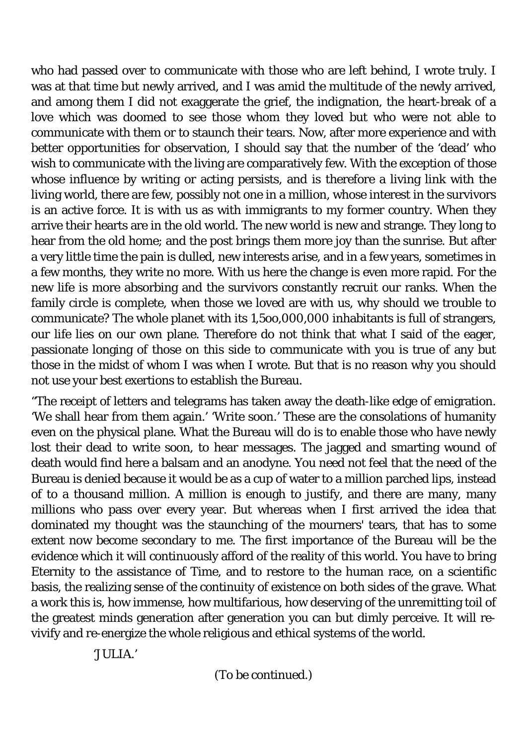who had passed over to communicate with those who are left behind, I wrote truly. I was at that time but newly arrived, and I was amid the multitude of the newly arrived, and among them I did not exaggerate the grief, the indignation, the heart-break of a love which was doomed to see those whom they loved but who were not able to communicate with them or to staunch their tears. Now, after more experience and with better opportunities for observation, I should say that the number of the 'dead' who wish to communicate with the living are comparatively few. With the exception of those whose influence by writing or acting persists, and is therefore a living link with the living world, there are few, possibly not one in a million, whose interest in the survivors is an active force. It is with us as with immigrants to my former country. When they arrive their hearts are in the old world. The new world is new and strange. They long to hear from the old home; and the post brings them more joy than the sunrise. But after a very little time the pain is dulled, new interests arise, and in a few years, sometimes in a few months, they write no more. With us here the change is even more rapid. For the new life is more absorbing and the survivors constantly recruit our ranks. When the family circle is complete, when those we loved are with us, why should we trouble to communicate? The whole planet with its 1,5oo,000,000 inhabitants is full of strangers, our life lies on our own plane. Therefore do not think that what I said of the eager, passionate longing of those on this side to communicate with you is true of any but those in the midst of whom I was when I wrote. But that is no reason why you should not use your best exertions to establish the Bureau.

"The receipt of letters and telegrams has taken away the death-like edge of emigration. 'We shall hear from them again.' 'Write soon.' These are the consolations of humanity even on the physical plane. What the Bureau will do is to enable those who have newly lost their dead to write soon, to hear messages. The jagged and smarting wound of death would find here a balsam and an anodyne. You need not feel that the need of the Bureau is denied because it would be as a cup of water to a million parched lips, instead of to a thousand million. A million is enough to justify, and there are many, many millions who pass over every year. But whereas when I first arrived the idea that dominated my thought was the staunching of the mourners' tears, that has to some extent now become secondary to me. The first importance of the Bureau will be the evidence which it will continuously afford of the reality of this world. You have to bring Eternity to the assistance of Time, and to restore to the human race, on a scientific basis, the realizing sense of the continuity of existence on both sides of the grave. What a work this is, how immense, how multifarious, how deserving of the unremitting toil of the greatest minds generation after generation you can but dimly perceive. It will revivify and re-energize the whole religious and ethical systems of the world.

'JULIA.'

(To be continued.)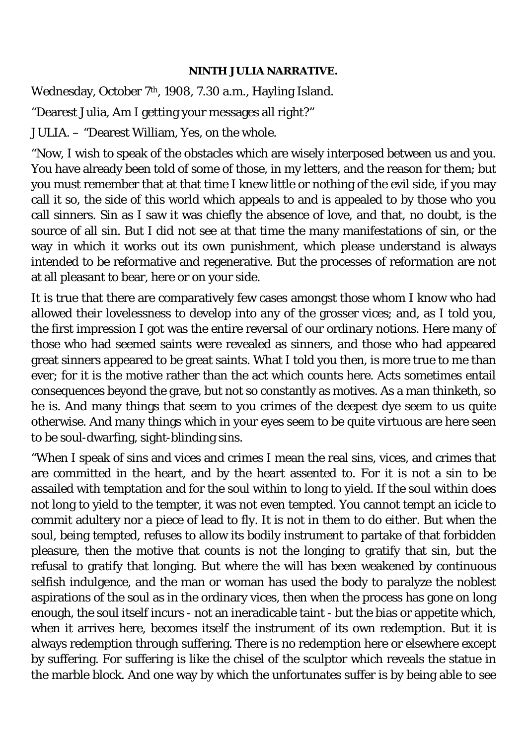### **NINTH JULIA NARRATIVE.**

Wednesday, October 7<sup>th</sup>, 1908, 7.30 a.m., Hayling Island.

"Dearest Julia, Am I getting your messages all right?"

JULIA. – "Dearest William, Yes, on the whole.

"Now, I wish to speak of the obstacles which are wisely interposed between us and you. You have already been told of some of those, in my letters, and the reason for them; but you must remember that at that time I knew little or nothing of the evil side, if you may call it so, the side of this world which appeals to and is appealed to by those who you call sinners. Sin as I saw it was chiefly the absence of love, and that, no doubt, is the source of all sin. But I did not see at that time the many manifestations of sin, or the way in which it works out its own punishment, which please understand is always intended to be reformative and regenerative. But the processes of reformation are not at all pleasant to bear, here or on your side.

It is true that there are comparatively few cases amongst those whom I know who had allowed their lovelessness to develop into any of the grosser vices; and, as I told you, the first impression I got was the entire reversal of our ordinary notions. Here many of those who had seemed saints were revealed as sinners, and those who had appeared great sinners appeared to be great saints. What I told you then, is more true to me than ever; for it is the motive rather than the act which counts here. Acts sometimes entail consequences beyond the grave, but not so constantly as motives. As a man thinketh, so he is. And many things that seem to you crimes of the deepest dye seem to us quite otherwise. And many things which in your eyes seem to be quite virtuous are here seen to be soul-dwarfing, sight-blinding sins.

"When I speak of sins and vices and crimes I mean the real sins, vices, and crimes that are committed in the heart, and by the heart assented to. For it is not a sin to be assailed with temptation and for the soul within to long to yield. If the soul within does not long to yield to the tempter, it was not even tempted. You cannot tempt an icicle to commit adultery nor a piece of lead to fly. It is not in them to do either. But when the soul, being tempted, refuses to allow its bodily instrument to partake of that forbidden pleasure, then the motive that counts is not the longing to gratify that sin, but the refusal to gratify that longing. But where the will has been weakened by continuous selfish indulgence, and the man or woman has used the body to paralyze the noblest aspirations of the soul as in the ordinary vices, then when the process has gone on long enough, the soul itself incurs - not an ineradicable taint - but the bias or appetite which, when it arrives here, becomes itself the instrument of its own redemption. But it is always redemption through suffering. There is no redemption here or elsewhere except by suffering. For suffering is like the chisel of the sculptor which reveals the statue in the marble block. And one way by which the unfortunates suffer is by being able to see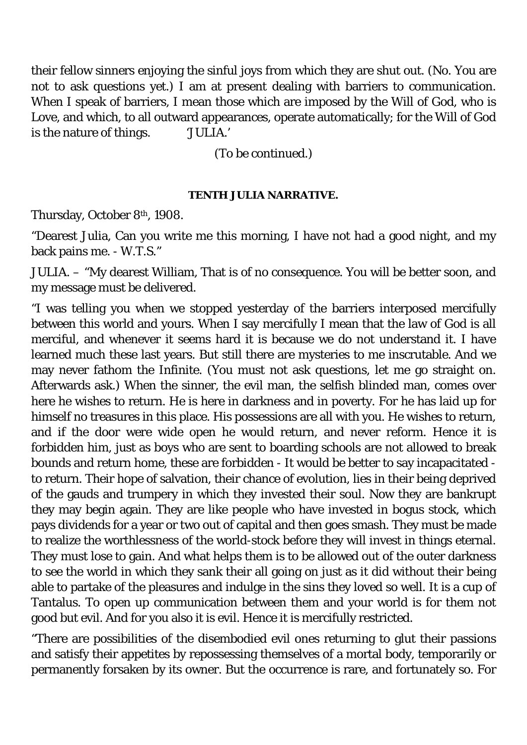their fellow sinners enjoying the sinful joys from which they are shut out. (No. You are not to ask questions yet.) I am at present dealing with barriers to communication. When I speak of barriers, I mean those which are imposed by the Will of God, who is Love, and which, to all outward appearances, operate automatically; for the Will of God is the nature of things. 'JULIA.'

(To be continued.)

## **TENTH JULIA NARRATIVE.**

Thursday, October 8th, 1908.

"Dearest Julia, Can you write me this morning, I have not had a good night, and my back pains me. - W.T.S."

JULIA. – "My dearest William, That is of no consequence. You will be better soon, and my message must be delivered.

"I was telling you when we stopped yesterday of the barriers interposed mercifully between this world and yours. When I say mercifully I mean that the law of God is all merciful, and whenever it seems hard it is because we do not understand it. I have learned much these last years. But still there are mysteries to me inscrutable. And we may never fathom the Infinite. (You must not ask questions, let me go straight on. Afterwards ask.) When the sinner, the evil man, the selfish blinded man, comes over here he wishes to return. He is here in darkness and in poverty. For he has laid up for himself no treasures in this place. His possessions are all with you. He wishes to return, and if the door were wide open he would return, and never reform. Hence it is forbidden him, just as boys who are sent to boarding schools are not allowed to break bounds and return home, these are forbidden - It would be better to say incapacitated to return. Their hope of salvation, their chance of evolution, lies in their being deprived of the gauds and trumpery in which they invested their soul. Now they are bankrupt they may begin again. They are like people who have invested in bogus stock, which pays dividends for a year or two out of capital and then goes smash. They must be made to realize the worthlessness of the world-stock before they will invest in things eternal. They must lose to gain. And what helps them is to be allowed out of the outer darkness to see the world in which they sank their all going on just as it did without their being able to partake of the pleasures and indulge in the sins they loved so well. It is a cup of Tantalus. To open up communication between them and your world is for them not good but evil. And for you also it is evil. Hence it is mercifully restricted.

"There are possibilities of the disembodied evil ones returning to glut their passions and satisfy their appetites by repossessing themselves of a mortal body, temporarily or permanently forsaken by its owner. But the occurrence is rare, and fortunately so. For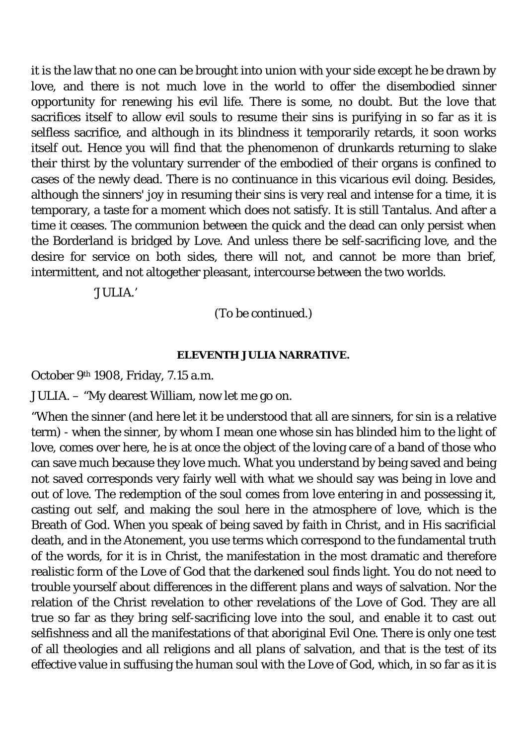it is the law that no one can be brought into union with your side except he be drawn by love, and there is not much love in the world to offer the disembodied sinner opportunity for renewing his evil life. There is some, no doubt. But the love that sacrifices itself to allow evil souls to resume their sins is purifying in so far as it is selfless sacrifice, and although in its blindness it temporarily retards, it soon works itself out. Hence you will find that the phenomenon of drunkards returning to slake their thirst by the voluntary surrender of the embodied of their organs is confined to cases of the newly dead. There is no continuance in this vicarious evil doing. Besides, although the sinners' joy in resuming their sins is very real and intense for a time, it is temporary, a taste for a moment which does not satisfy. It is still Tantalus. And after a time it ceases. The communion between the quick and the dead can only persist when the Borderland is bridged by Love. And unless there be self-sacrificing love, and the desire for service on both sides, there will not, and cannot be more than brief, intermittent, and not altogether pleasant, intercourse between the two worlds.

'JULIA.'

(To be continued.)

### **ELEVENTH JULIA NARRATIVE.**

October 9th 1908, Friday, 7.15 a.m.

JULIA. – "My dearest William, now let me go on.

"When the sinner (and here let it be understood that all are sinners, for sin is a relative term) - when the sinner, by whom I mean one whose sin has blinded him to the light of love, comes over here, he is at once the object of the loving care of a band of those who can save much because they love much. What you understand by being saved and being not saved corresponds very fairly well with what we should say was being in love and out of love. The redemption of the soul comes from love entering in and possessing it, casting out self, and making the soul here in the atmosphere of love, which is the Breath of God. When you speak of being saved by faith in Christ, and in His sacrificial death, and in the Atonement, you use terms which correspond to the fundamental truth of the words, for it is in Christ, the manifestation in the most dramatic and therefore realistic form of the Love of God that the darkened soul finds light. You do not need to trouble yourself about differences in the different plans and ways of salvation. Nor the relation of the Christ revelation to other revelations of the Love of God. They are all true so far as they bring self-sacrificing love into the soul, and enable it to cast out selfishness and all the manifestations of that aboriginal Evil One. There is only one test of all theologies and all religions and all plans of salvation, and that is the test of its effective value in suffusing the human soul with the Love of God, which, in so far as it is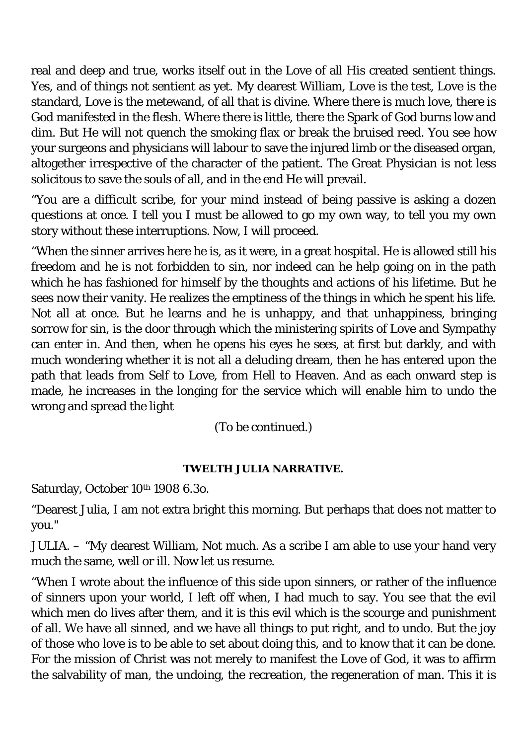real and deep and true, works itself out in the Love of all His created sentient things. Yes, and of things not sentient as yet. My dearest William, Love is the test, Love is the standard, Love is the metewand, of all that is divine. Where there is much love, there is God manifested in the flesh. Where there is little, there the Spark of God burns low and dim. But He will not quench the smoking flax or break the bruised reed. You see how your surgeons and physicians will labour to save the injured limb or the diseased organ, altogether irrespective of the character of the patient. The Great Physician is not less solicitous to save the souls of all, and in the end He will prevail.

"You are a difficult scribe, for your mind instead of being passive is asking a dozen questions at once. I tell you I must be allowed to go my own way, to tell you my own story without these interruptions. Now, I will proceed.

"When the sinner arrives here he is, as it were, in a great hospital. He is allowed still his freedom and he is not forbidden to sin, nor indeed can he help going on in the path which he has fashioned for himself by the thoughts and actions of his lifetime. But he sees now their vanity. He realizes the emptiness of the things in which he spent his life. Not all at once. But he learns and he is unhappy, and that unhappiness, bringing sorrow for sin, is the door through which the ministering spirits of Love and Sympathy can enter in. And then, when he opens his eyes he sees, at first but darkly, and with much wondering whether it is not all a deluding dream, then he has entered upon the path that leads from Self to Love, from Hell to Heaven. And as each onward step is made, he increases in the longing for the service which will enable him to undo the wrong and spread the light

(To be continued.)

# **TWELTH JULIA NARRATIVE.**

Saturday, October 10th 1908 6.3o.

"Dearest Julia, I am not extra bright this morning. But perhaps that does not matter to you."

JULIA. – "My dearest William, Not much. As a scribe I am able to use your hand very much the same, well or ill. Now let us resume.

"When I wrote about the influence of this side upon sinners, or rather of the influence of sinners upon your world, I left off when, I had much to say. You see that the evil which men do lives after them, and it is this evil which is the scourge and punishment of all. We have all sinned, and we have all things to put right, and to undo. But the joy of those who love is to be able to set about doing this, and to know that it can be done. For the mission of Christ was not merely to manifest the Love of God, it was to affirm the salvability of man, the undoing, the recreation, the regeneration of man. This it is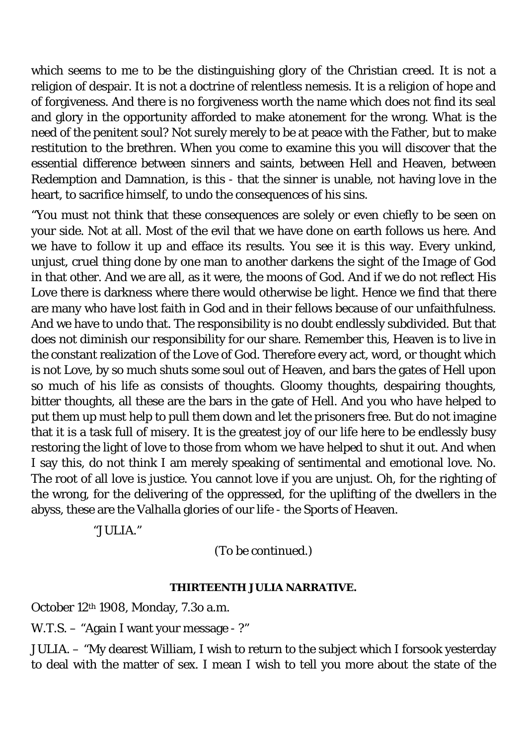which seems to me to be the distinguishing glory of the Christian creed. It is not a religion of despair. It is not a doctrine of relentless nemesis. It is a religion of hope and of forgiveness. And there is no forgiveness worth the name which does not find its seal and glory in the opportunity afforded to make atonement for the wrong. What is the need of the penitent soul? Not surely merely to be at peace with the Father, but to make restitution to the brethren. When you come to examine this you will discover that the essential difference between sinners and saints, between Hell and Heaven, between Redemption and Damnation, is this - that the sinner is unable, not having love in the heart, to sacrifice himself, to undo the consequences of his sins.

"You must not think that these consequences are solely or even chiefly to be seen on your side. Not at all. Most of the evil that we have done on earth follows us here. And we have to follow it up and efface its results. You see it is this way. Every unkind, unjust, cruel thing done by one man to another darkens the sight of the Image of God in that other. And we are all, as it were, the moons of God. And if we do not reflect His Love there is darkness where there would otherwise be light. Hence we find that there are many who have lost faith in God and in their fellows because of our unfaithfulness. And we have to undo that. The responsibility is no doubt endlessly subdivided. But that does not diminish our responsibility for our share. Remember this, Heaven is to live in the constant realization of the Love of God. Therefore every act, word, or thought which is not Love, by so much shuts some soul out of Heaven, and bars the gates of Hell upon so much of his life as consists of thoughts. Gloomy thoughts, despairing thoughts, bitter thoughts, all these are the bars in the gate of Hell. And you who have helped to put them up must help to pull them down and let the prisoners free. But do not imagine that it is a task full of misery. It is the greatest joy of our life here to be endlessly busy restoring the light of love to those from whom we have helped to shut it out. And when I say this, do not think I am merely speaking of sentimental and emotional love. No. The root of all love is justice. You cannot love if you are unjust. Oh, for the righting of the wrong, for the delivering of the oppressed, for the uplifting of the dwellers in the abyss, these are the Valhalla glories of our life - the Sports of Heaven.

"JULIA."

(To be continued.)

### **THIRTEENTH JULIA NARRATIVE.**

October 12th 1908, Monday, 7.3o a.m.

W.T.S. – "Again I want your message - ?"

JULIA. – "My dearest William, I wish to return to the subject which I forsook yesterday to deal with the matter of sex. I mean I wish to tell you more about the state of the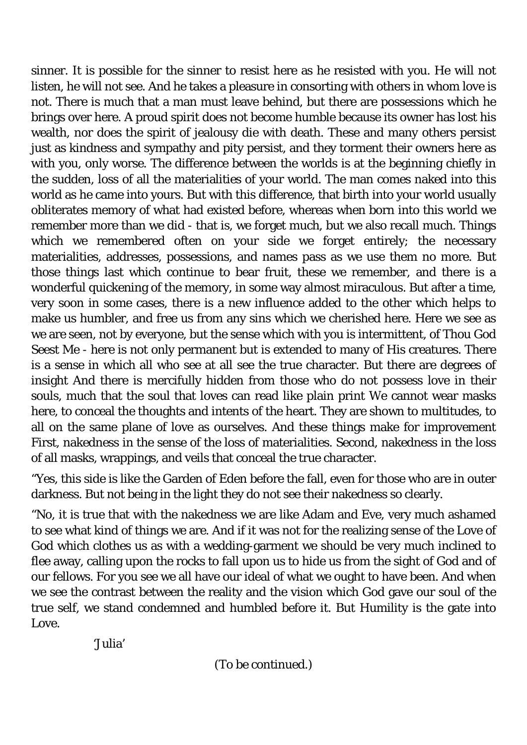sinner. It is possible for the sinner to resist here as he resisted with you. He will not listen, he will not see. And he takes a pleasure in consorting with others in whom love is not. There is much that a man must leave behind, but there are possessions which he brings over here. A proud spirit does not become humble because its owner has lost his wealth, nor does the spirit of jealousy die with death. These and many others persist just as kindness and sympathy and pity persist, and they torment their owners here as with you, only worse. The difference between the worlds is at the beginning chiefly in the sudden, loss of all the materialities of your world. The man comes naked into this world as he came into yours. But with this difference, that birth into your world usually obliterates memory of what had existed before, whereas when born into this world we remember more than we did - that is, we forget much, but we also recall much. Things which we remembered often on your side we forget entirely; the necessary materialities, addresses, possessions, and names pass as we use them no more. But those things last which continue to bear fruit, these we remember, and there is a wonderful quickening of the memory, in some way almost miraculous. But after a time, very soon in some cases, there is a new influence added to the other which helps to make us humbler, and free us from any sins which we cherished here. Here we see as we are seen, not by everyone, but the sense which with you is intermittent, of Thou God Seest Me - here is not only permanent but is extended to many of His creatures. There is a sense in which all who see at all see the true character. But there are degrees of insight And there is mercifully hidden from those who do not possess love in their souls, much that the soul that loves can read like plain print We cannot wear masks here, to conceal the thoughts and intents of the heart. They are shown to multitudes, to all on the same plane of love as ourselves. And these things make for improvement First, nakedness in the sense of the loss of materialities. Second, nakedness in the loss of all masks, wrappings, and veils that conceal the true character.

"Yes, this side is like the Garden of Eden before the fall, even for those who are in outer darkness. But not being in the light they do not see their nakedness so clearly.

"No, it is true that with the nakedness we are like Adam and Eve, very much ashamed to see what kind of things we are. And if it was not for the realizing sense of the Love of God which clothes us as with a wedding-garment we should be very much inclined to flee away, calling upon the rocks to fall upon us to hide us from the sight of God and of our fellows. For you see we all have our ideal of what we ought to have been. And when we see the contrast between the reality and the vision which God gave our soul of the true self, we stand condemned and humbled before it. But Humility is the gate into Love.

'Julia'

(To be continued.)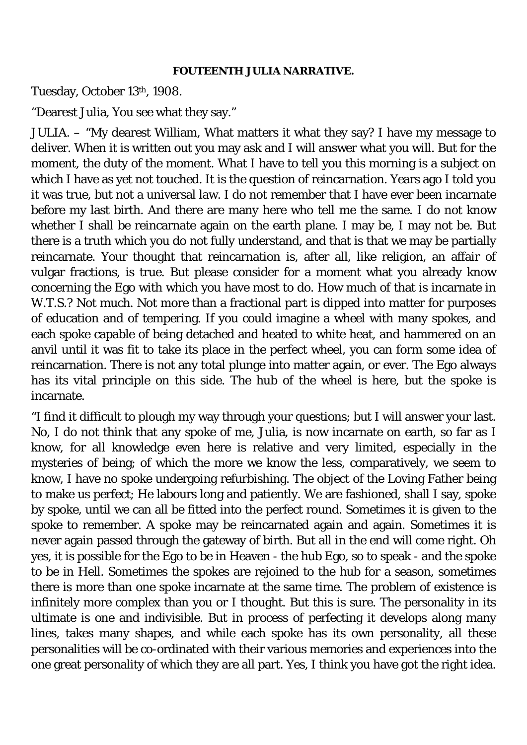### **FOUTEENTH JULIA NARRATIVE.**

Tuesday, October 13th, 1908.

"Dearest Julia, You see what they say."

JULIA. – "My dearest William, What matters it what they say? I have my message to deliver. When it is written out you may ask and I will answer what you will. But for the moment, the duty of the moment. What I have to tell you this morning is a subject on which I have as yet not touched. It is the question of reincarnation. Years ago I told you it was true, but not a universal law. I do not remember that I have ever been incarnate before my last birth. And there are many here who tell me the same. I do not know whether I shall be reincarnate again on the earth plane. I may be, I may not be. But there is a truth which you do not fully understand, and that is that we may be partially reincarnate. Your thought that reincarnation is, after all, like religion, an affair of vulgar fractions, is true. But please consider for a moment what you already know concerning the Ego with which you have most to do. How much of that is incarnate in W.T.S.? Not much. Not more than a fractional part is dipped into matter for purposes of education and of tempering. If you could imagine a wheel with many spokes, and each spoke capable of being detached and heated to white heat, and hammered on an anvil until it was fit to take its place in the perfect wheel, you can form some idea of reincarnation. There is not any total plunge into matter again, or ever. The Ego always has its vital principle on this side. The hub of the wheel is here, but the spoke is incarnate.

"I find it difficult to plough my way through your questions; but I will answer your last. No, I do not think that any spoke of me, Julia, is now incarnate on earth, so far as I know, for all knowledge even here is relative and very limited, especially in the mysteries of being; of which the more we know the less, comparatively, we seem to know, I have no spoke undergoing refurbishing. The object of the Loving Father being to make us perfect; He labours long and patiently. We are fashioned, shall I say, spoke by spoke, until we can all be fitted into the perfect round. Sometimes it is given to the spoke to remember. A spoke may be reincarnated again and again. Sometimes it is never again passed through the gateway of birth. But all in the end will come right. Oh yes, it is possible for the Ego to be in Heaven - the hub Ego, so to speak - and the spoke to be in Hell. Sometimes the spokes are rejoined to the hub for a season, sometimes there is more than one spoke incarnate at the same time. The problem of existence is infinitely more complex than you or I thought. But this is sure. The personality in its ultimate is one and indivisible. But in process of perfecting it develops along many lines, takes many shapes, and while each spoke has its own personality, all these personalities will be co-ordinated with their various memories and experiences into the one great personality of which they are all part. Yes, I think you have got the right idea.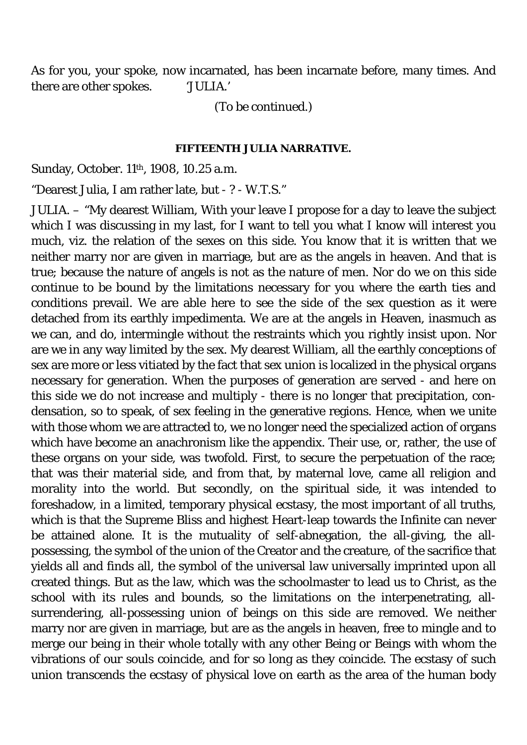As for you, your spoke, now incarnated, has been incarnate before, many times. And there are other spokes. 'JULIA.'

(To be continued.)

#### **FIFTEENTH JULIA NARRATIVE.**

Sunday, October. 11<sup>th</sup>, 1908, 10.25 a.m.

"Dearest Julia, I am rather late, but - ? - W.T.S."

JULIA. – "My dearest William, With your leave I propose for a day to leave the subject which I was discussing in my last, for I want to tell you what I know will interest you much, viz. the relation of the sexes on this side. You know that it is written that we neither marry nor are given in marriage, but are as the angels in heaven. And that is true; because the nature of angels is not as the nature of men. Nor do we on this side continue to be bound by the limitations necessary for you where the earth ties and conditions prevail. We are able here to see the side of the sex question as it were detached from its earthly impedimenta. We are at the angels in Heaven, inasmuch as we can, and do, intermingle without the restraints which you rightly insist upon. Nor are we in any way limited by the sex. My dearest William, all the earthly conceptions of sex are more or less vitiated by the fact that sex union is localized in the physical organs necessary for generation. When the purposes of generation are served - and here on this side we do not increase and multiply - there is no longer that precipitation, condensation, so to speak, of sex feeling in the generative regions. Hence, when we unite with those whom we are attracted to, we no longer need the specialized action of organs which have become an anachronism like the appendix. Their use, or, rather, the use of these organs on your side, was twofold. First, to secure the perpetuation of the race; that was their material side, and from that, by maternal love, came all religion and morality into the world. But secondly, on the spiritual side, it was intended to foreshadow, in a limited, temporary physical ecstasy, the most important of all truths, which is that the Supreme Bliss and highest Heart-leap towards the Infinite can never be attained alone. It is the mutuality of self-abnegation, the all-giving, the allpossessing, the symbol of the union of the Creator and the creature, of the sacrifice that yields all and finds all, the symbol of the universal law universally imprinted upon all created things. But as the law, which was the schoolmaster to lead us to Christ, as the school with its rules and bounds, so the limitations on the interpenetrating, allsurrendering, all-possessing union of beings on this side are removed. We neither marry nor are given in marriage, but are as the angels in heaven, free to mingle and to merge our being in their whole totally with any other Being or Beings with whom the vibrations of our souls coincide, and for so long as they coincide. The ecstasy of such union transcends the ecstasy of physical love on earth as the area of the human body